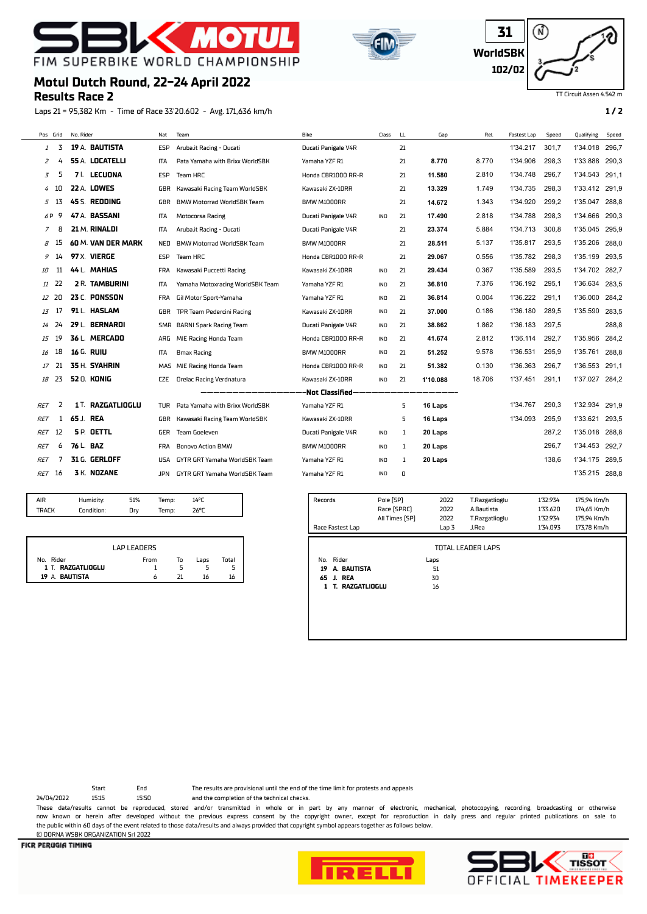# - МО FIM SUPERBIKE WORLD CHAMPIONSHIP





### TT Circuit Assen 4.542 m

# **Motul Dutch Round, 22-24 April 2022**

### **Results Race 2**

Laps 21 = 95,382 Km - Time of Race 33'20.602 - Avg. 171,636 km/h **1 / 2**

| Pos Grid   |     | No. Rider              | Nat        | Team                              | Bike                | Class      | LL. | Gap      | Rel.   | <b>Fastest Lap</b> | Speed | Qualifying     | Speed |
|------------|-----|------------------------|------------|-----------------------------------|---------------------|------------|-----|----------|--------|--------------------|-------|----------------|-------|
| 1          | 3   | 19 A. BAUTISTA         | <b>ESP</b> | Aruba.it Racing - Ducati          | Ducati Panigale V4R |            | 21  |          |        | 1'34.217           | 301,7 | 1'34.018 296,7 |       |
| 2          |     | <b>55 A. LOCATELLI</b> | ITA        | Pata Yamaha with Brixx WorldSBK   | Yamaha YZF R1       |            | 21  | 8.770    | 8.770  | 1'34.906           | 298,3 | 1'33.888       | 290,3 |
| 3          | 5   | <b>LECUONA</b><br>7 I. | ESP        | Team HRC                          | Honda CBR1000 RR-R  |            | 21  | 11.580   | 2.810  | 1'34.748           | 296,7 | 1'34.543       | 291,1 |
| 4          | 10  | <b>22 A. LOWES</b>     | GBR        | Kawasaki Racing Team WorldSBK     | Kawasaki ZX-10RR    |            | 21  | 13.329   | 1.749  | 1'34.735           | 298,3 | 1'33.412       | 291,9 |
| 5          | 13  | 45 S. REDDING          | GBR        | <b>BMW Motorrad WorldSBK Team</b> | BMW M1000RR         |            | 21  | 14.672   | 1.343  | 1'34.920           | 299,2 | 1'35.047       | 288,8 |
| 6 P        | 9   | 47 A. BASSANI          | <b>ITA</b> | Motocorsa Racing                  | Ducati Panigale V4R | <b>IND</b> | 21  | 17.490   | 2.818  | 1'34.788           | 298,3 | 1'34.666 290,3 |       |
| 7          | 8   | 21 M. RINALDI          | <b>ITA</b> | Aruba.it Racing - Ducati          | Ducati Panigale V4R |            | 21  | 23.374   | 5.884  | 1'34.713           | 300,8 | 1'35.045       | 295,9 |
| 8          | -15 | 60 M. VAN DER MARK     | NED        | <b>BMW Motorrad WorldSBK Team</b> | BMW M1000RR         |            | 21  | 28.511   | 5.137  | 1'35.817           | 293,5 | 1'35.206 288.0 |       |
| 9          | 14  | 97 X. VIERGE           | ESP        | Team HRC                          | Honda CBR1000 RR-R  |            | 21  | 29.067   | 0.556  | 1'35.782           | 298.3 | 1'35.199       | 293.5 |
| 10         | 11  | 44 L. MAHIAS           | <b>FRA</b> | Kawasaki Puccetti Racing          | Kawasaki ZX-10RR    | <b>IND</b> | 21  | 29.434   | 0.367  | 1'35.589           | 293.5 | 1'34.702       | 282.7 |
| 11         | 22  | <b>2 R. TAMBURINI</b>  | ITA        | Yamaha Motoxracing WorldSBK Team  | Yamaha YZF R1       | IND        | 21  | 36.810   | 7.376  | 1'36.192           | 295,1 | 1'36.634       | 283,5 |
| 12         | 20  | 23 C. PONSSON          | <b>FRA</b> | Gil Motor Sport-Yamaha            | Yamaha YZF R1       | IND        | 21  | 36.814   | 0.004  | 1'36.222           | 291,1 | 1'36.000       | 284,2 |
| 13         | 17  | 91 L. HASLAM           | GBR        | TPR Team Pedercini Racing         | Kawasaki ZX-10RR    | IND        | 21  | 37.000   | 0.186  | 1'36.180           | 289.5 | 1'35.590       | 283,5 |
| 14         | 24  | 29 L. BERNARDI         | SMR        | <b>BARNI Spark Racing Team</b>    | Ducati Panigale V4R | IND        | 21  | 38.862   | 1.862  | 1'36.183           | 297,5 |                | 288,8 |
| 15         | 19  | 36 L. MERCADO          | ARG        | MIE Racing Honda Team             | Honda CBR1000 RR-R  | IND        | 21  | 41.674   | 2.812  | 1'36.114           | 292,7 | 1'35.956       | 284,2 |
| 16         | 18  | 16 G. RUIU             | ITA        | <b>Bmax Racing</b>                | BMW M1000RR         | IND        | 21  | 51.252   | 9.578  | 1'36.531           | 295,9 | 1'35.761       | 288,8 |
| 17         | 21  | 35 H. SYAHRIN          | MAS        | MIE Racing Honda Team             | Honda CBR1000 RR-R  | <b>IND</b> | 21  | 51.382   | 0.130  | 1'36.363           | 296,7 | 1'36.553       | 291.1 |
| 18         | 23  | <b>52 0. KONIG</b>     | <b>CZE</b> | <b>Orelac Racing Verdnatura</b>   | Kawasaki ZX-10RR    | <b>IND</b> | 21  | 1'10.088 | 18.706 | 1'37.451           | 291,1 | 1'37.027       | 284,2 |
|            |     |                        |            |                                   | -Not Classified-    |            |     |          |        |                    |       |                |       |
| <b>RET</b> | 2   | 1 T. RAZGATLIOGLU      | TUR        | Pata Yamaha with Brixx WorldSBK   | Yamaha YZF R1       |            | 5   | 16 Laps  |        | 1'34.767           | 290,3 | 1'32.934       | 291,9 |
| <b>RET</b> |     | 65 J. REA              | GBR        | Kawasaki Racing Team WorldSBK     | Kawasaki ZX-10RR    |            | 5   | 16 Laps  |        | 1'34.093           | 295.9 | 1'33.621       | 293,5 |
| <b>RET</b> | 12  | <b>SP. DETTL</b>       | <b>GER</b> | Team Goeleven                     | Ducati Panigale V4R | <b>IND</b> | 1   | 20 Laps  |        |                    | 287.2 | 1'35.018       | 288.8 |
| RET        | 6   | 76 L. BAZ              | <b>FRA</b> | <b>Bonovo Action BMW</b>          | BMW M1000RR         | IND        | 1   | 20 Laps  |        |                    | 296,7 | 1'34.453       | 292,7 |
| <i>RET</i> |     | 31 G. GERLOFF          | USA        | GYTR GRT Yamaha WorldSBK Team     | Yamaha YZF R1       | IND        | 1   | 20 Laps  |        |                    | 138,6 | 1'34.175       | 289,5 |
| <b>RET</b> | 16  | 3 K. NOZANE            | JPN        | GYTR GRT Yamaha WorldSBK Team     | Yamaha YZF R1       | IND        | 0   |          |        |                    |       | 1'35.215 288.8 |       |

| air   | Humidity:  | 51% | Temp: | 14°C |  |
|-------|------------|-----|-------|------|--|
| TRACK | Condition: | Drv | Temp: | 26°C |  |
|       |            |     |       |      |  |

|                   | LAP LEADERS |    |      |       |
|-------------------|-------------|----|------|-------|
| No.<br>Rider      | From        | То | Laps | Total |
| 1 T. RAZGATLIOGLU |             |    |      |       |
| BAUTISTA<br>19 A  |             |    |      | 16    |

| Records<br>Race Fastest Lap | Pole [SP]<br>Race (SPRC)<br>All Times [SP] | 2022<br>2022<br>2022<br>Lap 3 | T.Razgatlioglu<br>A.Bautista<br>T.Razgatlioglu<br>J.Rea | 1'32.934<br>1'33.620<br>1'32.934<br>1'34.093 | 175,94 Km/h<br>174.65 Km/h<br>175,94 Km/h<br>173.78 Km/h |
|-----------------------------|--------------------------------------------|-------------------------------|---------------------------------------------------------|----------------------------------------------|----------------------------------------------------------|
|                             |                                            |                               |                                                         |                                              |                                                          |
|                             |                                            |                               | TOTAL LEADER LAPS                                       |                                              |                                                          |
| No. Rider                   |                                            | Laps                          |                                                         |                                              |                                                          |
| A. BAUTISTA<br>19           |                                            | 51                            |                                                         |                                              |                                                          |
| 65 J. REA                   |                                            | 30                            |                                                         |                                              |                                                          |
| RAZGATLIOGLU<br>1.<br>Т.    |                                            | 16                            |                                                         |                                              |                                                          |
|                             |                                            |                               |                                                         |                                              |                                                          |
|                             |                                            |                               |                                                         |                                              |                                                          |
|                             |                                            |                               |                                                         |                                              |                                                          |

© DORNA WSBK ORGANIZATION Srl 2022

Start End The results are provisional until the end of the time limit for protests and appeals

24/04/2022 15:15 15:50 and the completion of the technical checks. These data/results cannot be reproduced, stored and/or transmitted in whole or in part by any manner of electronic, mechanical, photocopying, recording, broadcasting or otherwise now known or herein afer developed without the previous express consent by the copyright owner, except for reproduction in daily press and regular printed publications on sale to the public within 60 days of the event related to those data/results and always provided that copyright symbol appears together as follows below.



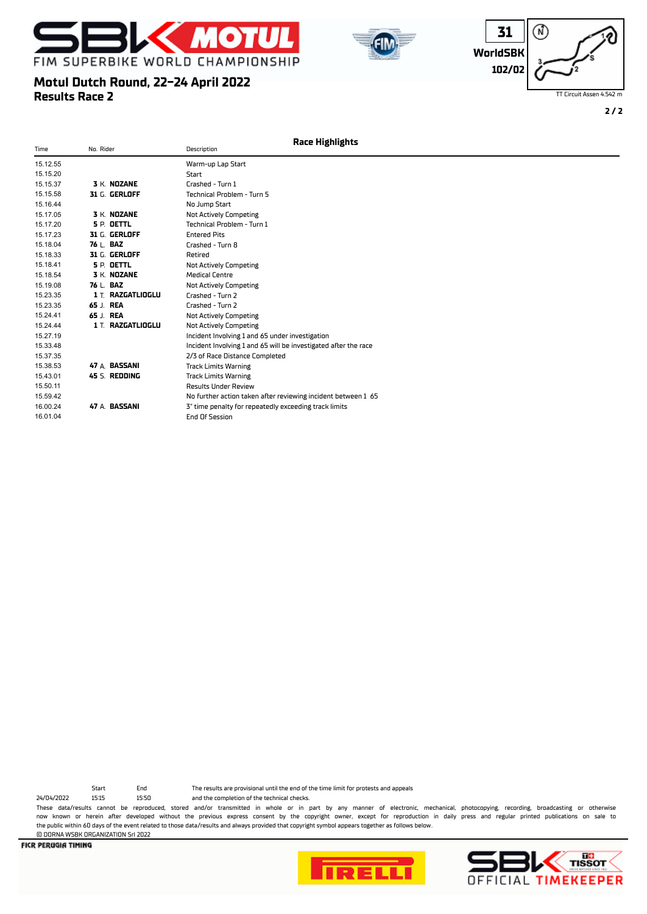

**Motul Dutch Round, 22-24 April 2022**

16.01.04 End Of Session

**Results Race 2**





TT Circuit Assen 4.542 m

**2 / 2**

#### Time No. Rider Description 15.12.55 Warm-up Lap Start 15.15.20 Start 15.15.37 **3** K. **NOZANE** Crashed - Turn 1 15.15.58 **31** G. **GERLOFF** Technical Problem - Turn 5 15.16.44 No Jump Start 15.17.05 **3** K. **NOZANE** Not Actively Competing 15.17.20 **5** P. **OETTL** Technical Problem - Turn 1 15.17.23 **31** G. **GERLOFF** Entered Pits 15.18.04 **76** L. **BAZ** Crashed - Turn 8 **15.18.33 31 G. GERLOFF BEET BEET BEET ALCORD BEET LET ALCORD BEET LET ALCORD BEET LET ALCORD BEET LET ALCORD BE**<br>**5 P. DETTL** Bet and Not Actional Actions Actions Actions Actions Actions Actions Actions Actions Actions Ac **Not Actively Competing** 15.18.54 **3** K. **NOZANE** Medical Centre 15.19.08 **76** L. **BAZ** Not Actively Competing 15.23.35 **1** T. **RAZGATLIOGLU** Crashed - Turn 2 15.23.35 **65** J. **REA** Crashed - Turn 2 15.24.41 **65** J. **REA** Not Actively Competing 15.24.44 **1** T. **RAZGATLIOGLU** Not Actively Competing 15.27.19 Incident Involving 1 and 65 under investigation 15.33.48 Incident Involving 1 and 65 will be investigated afer the race 15.37.35 2/3 of Race Distance Completed<br>15.38.53 **47** A. **BASSANI** Track Limits Warning 15.38.53 **47** A. **BASSANI** Track Limits Warning 15.43.01 **45** S. **REDDING** Track Limits Warning 15.50.11 Results Under Review 15.59.42 **47** A **BASSANI** No further action taken after reviewing incident between 1 65<br>16.00.24 **47** A **BASSANI** 3" time penalty for repeatedly exceeding track limits 16.00.24 **47** A. **BASSANI** 3" time penalty for repeatedly exceeding track limits **Race Highlights**

24/04/2022 15:15 15:50 and the completion of the technical checks.

Start End The results are provisional until the end of the time limit for protests and appeals

These data/results cannot be reproduced, stored and/or transmitted in whole or in part by any manner of electronic, mechanical, photocopying, recording, broadcasting or otherwise now known or herein afer developed without the previous express consent by the copyright owner, except for reproduction in daily press and regular printed publications on sale to the public within 60 days of the event related to those data/results and always provided that copyright symbol appears together as follows below. © DORNA WSBK ORGANIZATION Srl 2022



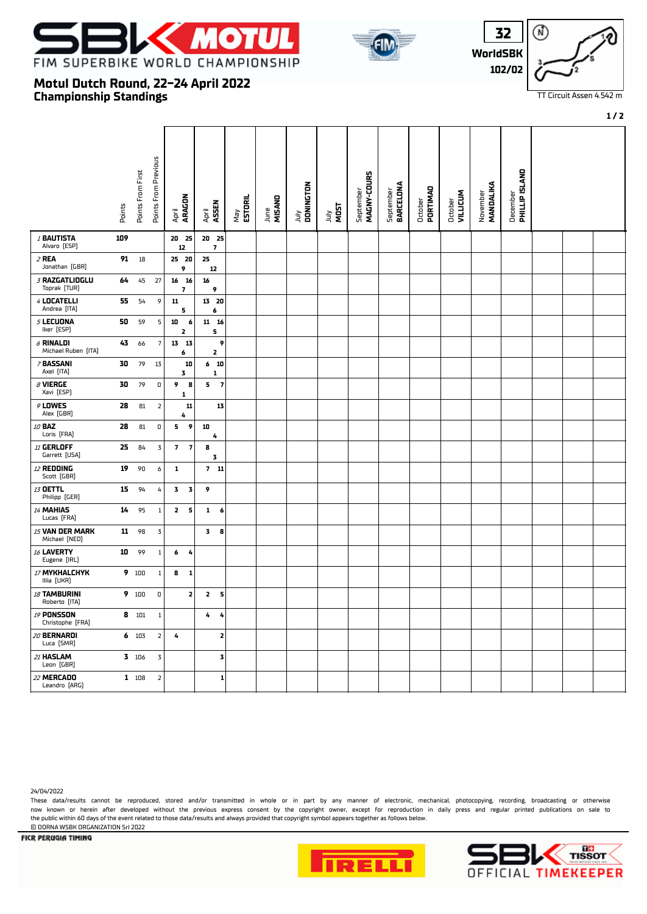

**Motul Dutch Round, 22-24 April 2022**

**Championship Standings**





TT Circuit Assen 4.542 m

**1 / 2**

#### Points From Previous Points From Previous December<br>**PHILLIP ISLAND** Points From First Points From First  **PHILLIP ISLAND** September<br>**MAGNY-COURS MAGNY-COURS MANDALIKA** July  **DONINGTON** September  **BARCELONA** October  **PORTIMAO** October  **VILLICUM** November April  **ARAGON** May  **ESTORIL** June  **MISANO** Points April  **ASSEN** July **MOST** <sup>1</sup> **BAUTISTA 109 20 25 20 25** Alvaro (ESP) **7 12** <sup>2</sup> **REA 91** 18 **25 20 25** Jonathan (GBR) **12 9** <sup>3</sup> **RAZGATLIOGLU 64** 45 27 **16 16 16** Toprak (TUR) **9 7** <sup>4</sup> **LOCATELLI 55** 54 9 **11 13 20** Andrea (ITA) **6 5** <sup>5</sup> **LECUONA 50** 59 5 **10 6 11 16** Iker (ESP) **5 2** <sup>6</sup> **RINALDI 43** 66 7 **13 13 9** Michael Ruben (ITA) **2**<br>Michael Ruben (ITA) **2 6** <sup>7</sup> **BASSANI 30** 79 13 **6 10 10** Axel (ITA) **1 1 1 1 1 3** <sup>8</sup> **VIERGE 30** 79 0 **5 7 9 8** Xavi (ESP) **1** <sup>9</sup> **LOWES 28** 81 2 **11 13** Alex (GBR) **4** <sup>10</sup> **BAZ 28** 81 0 **5 9 10** Loris (FRA) **4** <sup>11</sup> **GERLOFF 25** 84 3 **7 7 8** Garrett (USA) **3** <sup>12</sup> **REDDING 19** 90 6 **1 7 11** Scott (GBR) <sup>13</sup> **OETTL 15** 94 4 **3 3 9** Philipp (GER) <sup>14</sup> **MAHIAS 14** 95 1 **2 5 1 6** Lucas (FRA) <sup>15</sup> **VAN DER MARK 11** 98 3 **3 8** Michael (NED) <sup>16</sup> **LAVERTY 10** 99 1 **6 4** Eugene (IRL) <sup>17</sup> **MYKHALCHYK 9** 100 1 **8 1** Illia (UKR) <sup>18</sup> **TAMBURINI 9** 100 0 **2 2 5** Roberto (ITA) <sup>19</sup> **PONSSON 8** 101 1 **4 4** Christophe (FRA) **2** <sup>20</sup> **BERNARDI 6** 103 2 **4** Luca (SMR) <sup>21</sup> **HASLAM 3** 106 3 **3** Leon (GBR) <sup>22</sup> **MERCADO 1** 108 2 **1** Leandro (ARG)

24/04/2022

These data/results cannot be reproduced, stored and/or transmitted in whole or in part by any manner of electronic, mechanical, photocopying, recording, broadcasting or otherwise now known or herein afer developed without the previous express consent by the copyright owner, except for reproduction in daily press and regular printed publications on sale to the public within 60 days of the event related to those data/results and always provided that copyright symbol appears together as follows below. © DORNA WSBK ORGANIZATION Srl 2022



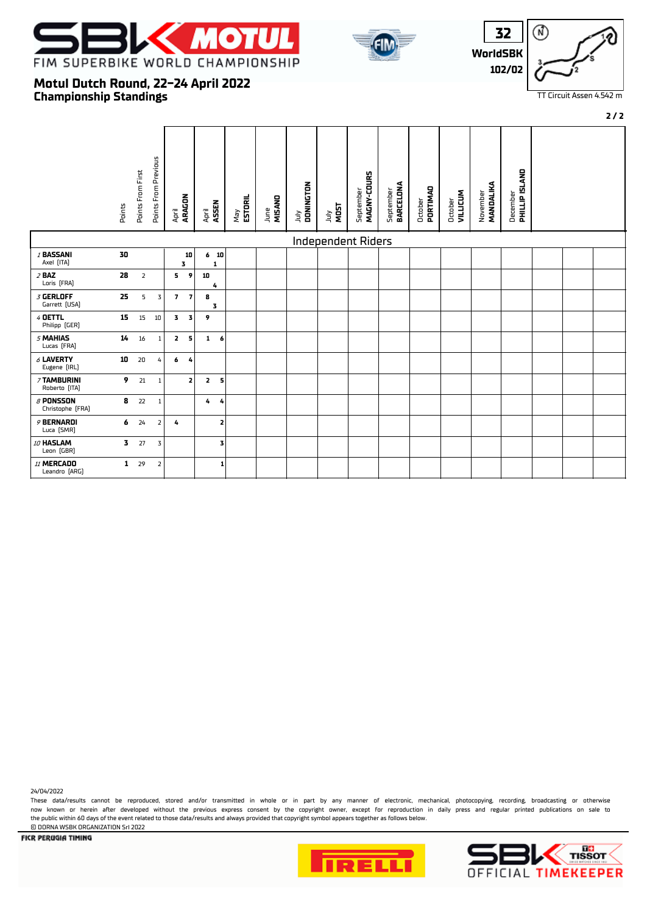





# **Championship Standings Motul Dutch Round, 22-24 April 2022**

|                                     |                         |                   |                         |                         |                |                |                         |                |                |                   |                           |                          |                               |                     |                            |                       |                                   |  | $2/2$ |
|-------------------------------------|-------------------------|-------------------|-------------------------|-------------------------|----------------|----------------|-------------------------|----------------|----------------|-------------------|---------------------------|--------------------------|-------------------------------|---------------------|----------------------------|-----------------------|-----------------------------------|--|-------|
|                                     | Points                  | Points From First | Points From Previous    | April<br><b>ARAGON</b>  |                | April<br>ASSEN |                         | ESTORIL<br>Vey | MISAND<br>June | July<br>DONINGTON | <b>NOST</b><br>July       | MAGNY-COURS<br>September | September<br><b>BARCELONA</b> | PORTIMAD<br>October | <b>VILLICUM</b><br>October | MANDALIKA<br>November | December<br><b>PHILLIP ISLAND</b> |  |       |
|                                     |                         |                   |                         |                         |                |                |                         |                |                |                   | <b>Independent Riders</b> |                          |                               |                     |                            |                       |                                   |  |       |
| / BASSANI<br>Axel [ITA]             | 30                      |                   |                         |                         | 10<br>3        |                | 6 <sub>10</sub><br>1    |                |                |                   |                           |                          |                               |                     |                            |                       |                                   |  |       |
| $2$ BAZ<br>Loris [FRA]              | 28                      | $\overline{2}$    |                         | 5                       | 9              | 10             | 4                       |                |                |                   |                           |                          |                               |                     |                            |                       |                                   |  |       |
| <b>3 GERLOFF</b><br>Garrett [USA]   | 25                      | 5                 | 3                       | 7 <sup>7</sup>          | $\overline{7}$ | 8              | 3                       |                |                |                   |                           |                          |                               |                     |                            |                       |                                   |  |       |
| 4 OETTL<br>Philipp [GER]            | 15                      | 15                | 10                      | $\overline{3}$          | 3              | 9              |                         |                |                |                   |                           |                          |                               |                     |                            |                       |                                   |  |       |
| 5 MAHIAS<br>Lucas [FRA]             | 14                      | 16                | $\mathbf{1}$            | $\overline{\mathbf{z}}$ | 5              |                | $1\quad 6$              |                |                |                   |                           |                          |                               |                     |                            |                       |                                   |  |       |
| $6$ LAVERTY<br>Eugene [IRL]         | 10                      | 20                | 4                       | 6                       | 4              |                |                         |                |                |                   |                           |                          |                               |                     |                            |                       |                                   |  |       |
| 7 TAMBURINI<br>Roberto [ITA]        | 9                       | 21                | $\mathbf{1}$            |                         | $\mathbf{z}$   | $\mathbf{z}$   | 5                       |                |                |                   |                           |                          |                               |                     |                            |                       |                                   |  |       |
| $\beta$ PONSSON<br>Christophe [FRA] | 8                       | 22                | $\mathbf{1}$            |                         |                | 4              | 4                       |                |                |                   |                           |                          |                               |                     |                            |                       |                                   |  |       |
| 9 BERNARDI<br>Luca [SMR]            | 6                       | 24                | $\overline{2}$          | 4                       |                |                | $\overline{\mathbf{z}}$ |                |                |                   |                           |                          |                               |                     |                            |                       |                                   |  |       |
| 10 HASLAM<br>Leon (GBR)             | $\overline{\mathbf{3}}$ | 27                | 3                       |                         |                |                | 3                       |                |                |                   |                           |                          |                               |                     |                            |                       |                                   |  |       |
| 11 MERCADO<br>Leandro [ARG]         | $\mathbf{1}$            | 29                | $\overline{\mathbf{2}}$ |                         |                |                | $\mathbf{1}$            |                |                |                   |                           |                          |                               |                     |                            |                       |                                   |  |       |

24/04/2022

These data/results cannot be reproduced, stored and/or transmitted in whole or in part by any manner of electronic, mechanical, photocopying, recording, broadcasting or otherwise now known or herein afer developed without the previous express consent by the copyright owner, except for reproduction in daily press and regular printed publications on sale to the public within 60 days of the event related to those data/results and always provided that copyright symbol appears together as follows below. © DORNA WSBK ORGANIZATION Srl 2022





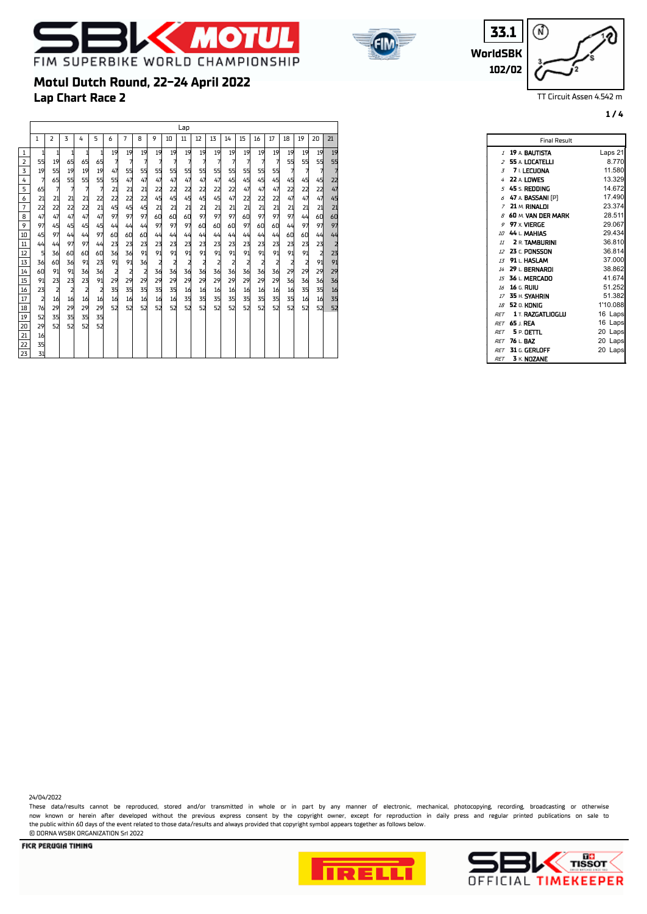



**WorldSBK 33.1 102/02**

⋒

Final Result

TT Circuit Assen 4.542 m

**1 / 4**

# **Lap Chart Race 2 Motul Dutch Round, 22-24 April 2022** Lap 2 3 4 5 6 7 8 9 10 11 12 13 14 15 16 17 18 19 20 21 1 1 1 1 1 19 19 19 19 19 19 19 19 19 19 19 19 19 19 19 19 55 19 65 65 65 7 7 7 7 7 7 7 7 7 7 7 7 55 55 55 55 19 55 19 19 19 47 55 55 55 55 55 55 55 55 55 55 55 7 7 7 7 7 65 55 55 55 55 47 47 47 47 47 47 47 45 45 45 45 45 45 45 22 65 7 7 7 7 21 21 21 22 22 22 22 22 22 47 47 47 22 22 22 47 6 | 21| 21| 21| 21| 22| 22| 22| 22| 45| 45| 45| 45| 45| 47| 22| 22| 22| 47| 47| 47| 45 22 22 22 22 21 45 45 45 21 21 21 21 21 21 21 21 21 21 21 21 21 47 47 47 47 47 97 97 97 60 60 60 97 97 97 60 97 97 97 44 60 60 97 45 45 45 45 44 44 44 97 97 97 60 60 60 97 60 60 44 97 97 97 52 35 35 35 35  $\frac{1}{2}$   $\frac{2}{3}$   $\frac{3}{4}$   $\frac{4}{5}$   $\frac{5}{6}$   $\frac{6}{7}$   $\frac{7}{8}$   $\frac{8}{7}$   $\frac{9}{11}$   $\frac{11}{12}$   $\frac{12}{13}$   $\frac{14}{14}$   $\frac{15}{15}$   $\frac{16}{17}$   $\frac{17}{18}$   $\frac{17}{18}$   $\frac{17}{18}$   $\frac{17}{18}$   $\frac{17}{18}$

 45 97 44 44 97 60 60 60 44 44 44 44 44 44 44 44 44 60 60 44 44 44 44 97 97 44 23 23 23 23 23 23 23 23 23 23 23 23 23 23 23 2 5 36 60 60 60 36 36 91 91 91 91 91 91 91 91 91 91 91 91 2 23 36 60 36 91 23 91 91 36 2 2 2 2 2 2 2 2 2 2 2 91 91 60 91 91 36 36 2 2 2 36 36 36 36 36 36 36 36 36 29 29 29 29 91 23 23 23 91 29 29 29 29 29 29 29 29 29 29 29 29 36 36 36 36 23 2 2 2 2 35 35 35 35 35 16 16 16 16 16 16 16 16 35 35 16 2 16 16 16 16 16 16 16 16 16 35 35 35 35 35 35 35 35 16 16 35 76 29 29 29 29 52 52 52 52 52 52 52 52 52 52 52 52 52 52 52 52

|                | Final Result                 |            |
|----------------|------------------------------|------------|
| $\mathcal{I}$  | 19 A. BAUTISTA               | Laps 21    |
| $\overline{z}$ | 55 A. LOCATELLI              | 8.770      |
|                | $3 - 7$ LECUONA              | 11.580     |
|                | 4 22 A. LOWES                | 13.329     |
|                | $5-45 \leq$ Redding          | 14.672     |
|                | $6$ 47 A BASSANI (P)         | 17.490     |
|                | $7-21$ M. RINALDI            | 23.374     |
| B              | 60 M. VAN DER MARK           | 28.511     |
| 9              | 97 x VIERGE                  | 29.067     |
|                | 10 44 L MAHIAS               | 29.434     |
|                | $11$ <b>2 R. TAMBURINI</b>   | 36.810     |
|                | 12 23 r. PONSSON             | 36.814     |
|                | 13 91 L HASLAM               | 37.000     |
|                | 14 29   BERNARDI             | 38.862     |
|                | 15 36 I. MERCADO             | 41.674     |
|                | 16 16 F. RUIU                | 51.252     |
|                | 17 35 H. SYAHRIN             | 51.382     |
|                | <i>18</i> 52 n. KONIG        | 1'10.088   |
|                | <b>RFT 1 T. RAZGATLIOGLU</b> | 16 Laps    |
|                | <b>RET 65 L REA</b>          | 16<br>Laps |
|                | $RFT = 5P$ . DETTL           | 20<br>Laps |
|                | RFT 76 L. BAZ                | 20<br>Laps |
|                | <i>RFT</i> 31 G. GERLOFF     | 20<br>Laps |
|                | RET 3 K. NOZANE              |            |

24/04/2022

These data/results cannot be reproduced, stored and/or transmitted in whole or in part by any manner of electronic, mechanical, photocopying, recording, broadcasting or otherwise now known or herein afer developed without the previous express consent by the copyright owner, except for reproduction in daily press and regular printed publications on sale to the public within 60 days of the event related to those data/results and always provided that copyright symbol appears together as follows below. © DORNA WSBK ORGANIZATION Srl 2022

**FICR PERUGIA TIMING** 

29 52 52 52 52

 16 35



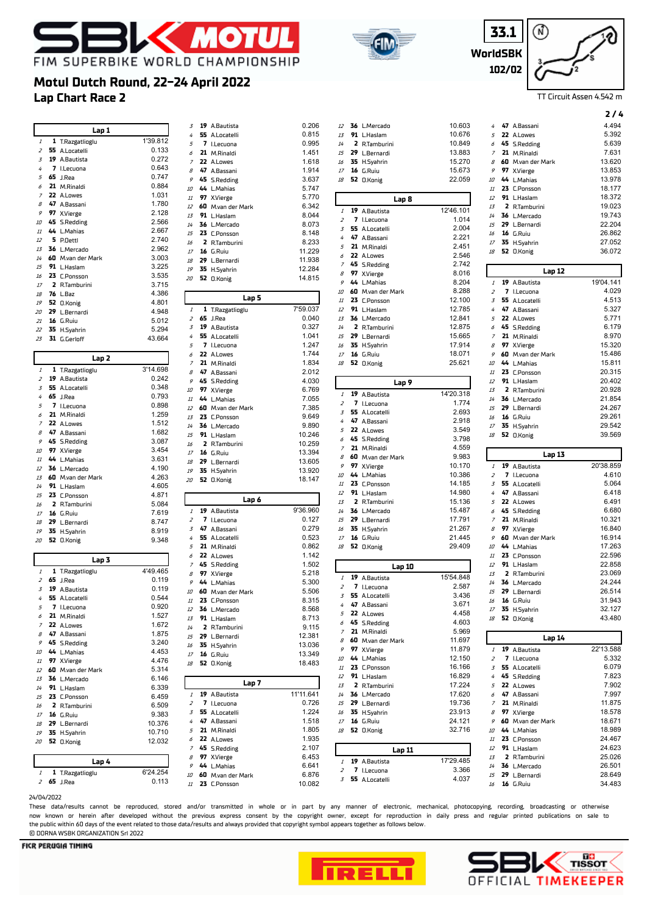





**2 / 4**

# **Lap Chart Race 2 Motul Dutch Round, 22-24 April 2022**

|                 | Lap 1                               |                   | 3              | 19 A.Bautista                 | 0.206                                                                                                                                                                                                                                   |
|-----------------|-------------------------------------|-------------------|----------------|-------------------------------|-----------------------------------------------------------------------------------------------------------------------------------------------------------------------------------------------------------------------------------------|
|                 |                                     |                   | 4              | 55 A.Locatelli                | 0.815                                                                                                                                                                                                                                   |
| 1               | 1 T.Razgatlioglu                    | 1'39.812          | 5              | 7 I.Lecuona                   | 0.995                                                                                                                                                                                                                                   |
| $\overline{z}$  | 55 A.Locatelli                      | 0.133             | 6              | 21 M.Rinaldi                  | 1.451                                                                                                                                                                                                                                   |
| 3               | 19 A.Bautista                       | 0.272             | $\overline{z}$ | 22 A.Lowes                    | 1.618                                                                                                                                                                                                                                   |
| 4               | 7 I.Lecuona                         | 0.643             | 8              | 47 A.Bassani                  | 1.914                                                                                                                                                                                                                                   |
| 5               | $65$ J.Rea                          | 0.747             | 9              | 45 S.Redding                  | 3.637                                                                                                                                                                                                                                   |
| 6               | 21 M.Rinaldi                        | 0.884             | 10             | 44 L.Mahias                   | 5.747                                                                                                                                                                                                                                   |
| $\overline{z}$  | 22 A.Lowes                          | 1.031             | 11             | 97 X.Vierge                   | 5.770                                                                                                                                                                                                                                   |
| 8               | 47 A.Bassani                        | 1.780             | 12             |                               | 6.342                                                                                                                                                                                                                                   |
| 9               | 97 X.Vierge                         | 2.128             |                | 60 M.van der Mark             |                                                                                                                                                                                                                                         |
| 10              | 45 S.Redding                        | 2.566             | 13             | 91 L.Haslam                   | 8.044                                                                                                                                                                                                                                   |
| $11\,$          | 44 L.Mahias                         | 2.667             | 14             | 36 L.Mercado                  | 8.073                                                                                                                                                                                                                                   |
|                 |                                     |                   | 15             | 23 C.Ponsson                  | 8.148                                                                                                                                                                                                                                   |
| 12              | 5 P.Oettl                           | 2.740             | 16             | 2 R.Tamburini                 | 8.233                                                                                                                                                                                                                                   |
| 13              | 36 L.Mercado                        | 2.962             | 17             | 16 G.Ruiu                     | 11.229                                                                                                                                                                                                                                  |
| 14              | 60 M.van der Mark                   | 3.003             | 18             | 29 L.Bernardi                 | 11.938                                                                                                                                                                                                                                  |
| 15              | 91 L.Haslam                         | 3.225<br>3.535    | 19             | 35 H.Syahrin                  | 12.284                                                                                                                                                                                                                                  |
| 16              | 23 C.Ponsson                        |                   | 20             | 52 O.Konig                    | 14.815                                                                                                                                                                                                                                  |
| $17\,$          | 2 R.Tamburini                       | 3.715             |                |                               |                                                                                                                                                                                                                                         |
| 18              | <b>76</b> L.Baz                     | 4.386             |                | Lap 5                         |                                                                                                                                                                                                                                         |
| 19              | 52 O.Konig                          | 4.801             | $\mathcal{I}$  | 1 T.Razgatlioglu              | 7'59.037                                                                                                                                                                                                                                |
| 20              | 29 L.Bernardi                       | 4.948             | $\overline{z}$ | <b>65</b> J.Rea               | 0.040                                                                                                                                                                                                                                   |
| 21              | 16 G.Ruiu                           | 5.012             | 3              | 19 A.Bautista                 | 0.327                                                                                                                                                                                                                                   |
|                 | 22 35 H.Syahrin                     | 5.294             | 4              | 55 A.Locatelli                | 1.041                                                                                                                                                                                                                                   |
| 23              | 31 G.Gerloff                        | 43.664            | 5              | 7 I.Lecuona                   | 1.247                                                                                                                                                                                                                                   |
|                 |                                     |                   | 6              | 22 A.Lowes                    | 1.744                                                                                                                                                                                                                                   |
|                 | Lap 2                               |                   | $\overline{z}$ | 21 M.Rinaldi                  | 1.834                                                                                                                                                                                                                                   |
| 1               | 1 T.Razgatlioglu                    | 3'14.698          | 8              | 47 A.Bassani                  | 2.012                                                                                                                                                                                                                                   |
| $\overline{z}$  | 19 A.Bautista                       | 0.242             | 9              | 45 S.Redding                  | 4.030                                                                                                                                                                                                                                   |
| 3               | 55 A.Locatelli                      | 0.348             | 10             | 97 X.Vierge                   | 6.769                                                                                                                                                                                                                                   |
| 4               | <b>65</b> J.Rea                     | 0.793             | 11             | 44 L.Mahias                   | 7.055                                                                                                                                                                                                                                   |
| 5               | 7 I.Lecuona                         | 0.898             | 12             | 60 M.van der Mark             | 7.385                                                                                                                                                                                                                                   |
| 6               | 21 M.Rinaldi                        | 1.259             | 13             | 23 C.Ponsson                  | 9.649                                                                                                                                                                                                                                   |
| $\overline{z}$  | 22 A.Lowes                          | 1.512             | 14             | 36 L.Mercado                  | 9.890                                                                                                                                                                                                                                   |
| 8               | 47 A.Bassani                        | 1.682             | 15             | 91 L.Haslam                   | 10.246                                                                                                                                                                                                                                  |
| 9               | 45 S.Redding                        | 3.087             | 16             | 2 R.Tamburini                 | 10.259                                                                                                                                                                                                                                  |
| 10              | 97 X.Vierge                         | 3.454             | 17             | 16 G.Ruiu                     | 13.394                                                                                                                                                                                                                                  |
| 11              | 44 L.Mahias                         | 3.631             | 18             | 29 L.Bernardi                 | 13.605                                                                                                                                                                                                                                  |
| 12              |                                     |                   |                |                               |                                                                                                                                                                                                                                         |
|                 |                                     |                   |                |                               |                                                                                                                                                                                                                                         |
|                 | 36 L.Mercado                        | 4.190             | 19             | 35 H.Syahrin                  |                                                                                                                                                                                                                                         |
| 13<br>14        | 60 M.van der Mark                   | 4.263             | 20             | 52 O.Konig                    |                                                                                                                                                                                                                                         |
| 15              | 91 L.Haslam<br>23 C.Ponsson         | 4.605<br>4.871    |                |                               |                                                                                                                                                                                                                                         |
| 16              |                                     |                   |                | Lap 6                         |                                                                                                                                                                                                                                         |
| $17$            | 2 R.Tamburini<br><b>16</b> G.Ruiu   | 5.084<br>7.619    | $\it 1$        | 19 A.Bautista                 | 9'36.960                                                                                                                                                                                                                                |
| 18              |                                     |                   | $\overline{z}$ | 7 I.Lecuona                   |                                                                                                                                                                                                                                         |
| 19              | 29 L.Bernardi                       | 8.747<br>8.919    | 3              | 47 A.Bassani                  | 0.279                                                                                                                                                                                                                                   |
| 20              | 35 H.Syahrin                        |                   | 4              | 55 A.Locatelli                |                                                                                                                                                                                                                                         |
|                 | 52 O.Konig                          | 9.348             | 5              | 21 M.Rinaldi                  |                                                                                                                                                                                                                                         |
|                 |                                     |                   | 6              | 22 A.Lowes                    | 1.142                                                                                                                                                                                                                                   |
|                 | Lap 3                               |                   | $\overline{z}$ | 45 S.Redding                  |                                                                                                                                                                                                                                         |
| 1               | 1 T.Razgatlioglu                    | 4'49.465          | 8              | 97 X.Vierge                   |                                                                                                                                                                                                                                         |
| 2               | <b>65</b> J.Rea                     | 0.119             | 9              | 44 L.Mahias                   | 5.300                                                                                                                                                                                                                                   |
| 3               | 19 A.Bautista                       | 0.119             | 10             | 60 M.van der Mark             | 5.506                                                                                                                                                                                                                                   |
| 4               | 55 A.Locatelli                      | 0.544             | $11\,$         | 23 C.Ponsson                  |                                                                                                                                                                                                                                         |
| 5               | 7 I.Lecuona                         | 0.920             | 12             | 36 L.Mercado                  |                                                                                                                                                                                                                                         |
| 6               | 21 M.Rinaldi                        | 1.527             |                | 13 91 L.Haslam                |                                                                                                                                                                                                                                         |
| $\overline{z}$  | 22 A.Lowes                          | 1.672             | 14             | 2 R.Tamburini                 |                                                                                                                                                                                                                                         |
| 8               | 47 A.Bassani                        | 1.875             | 15             | 29 L.Bernardi                 |                                                                                                                                                                                                                                         |
|                 | 9 45 S.Redding                      | 3.240             | 16             | 35 H.Syahrin                  |                                                                                                                                                                                                                                         |
| 10              | 44 L.Mahias                         | 4.453             | $17$           | 16 G.Ruiu                     |                                                                                                                                                                                                                                         |
| $11\,$          | 97 X.Vierge                         | 4.476             | 18             | 52 O.Konig                    |                                                                                                                                                                                                                                         |
| 12              | 60 M.van der Mark                   | 5.314             |                |                               |                                                                                                                                                                                                                                         |
| 13              | 36 L.Mercado                        | 6.146             |                | Lap 7                         |                                                                                                                                                                                                                                         |
| 14              | 91 L.Haslam                         | 6.339             | 1              |                               |                                                                                                                                                                                                                                         |
| 15 <sub>1</sub> | 23 C.Ponsson                        | 6.459             | 2              | 19 A.Bautista                 |                                                                                                                                                                                                                                         |
| 16              | 2 R.Tamburini                       | 6.509             | $\overline{3}$ | 7 I.Lecuona<br>55 A.Locatelli |                                                                                                                                                                                                                                         |
| 17              | <b>16</b> G.Ruiu                    | 9.383             | 4              | 47 A.Bassani                  |                                                                                                                                                                                                                                         |
| 18              | 29 L.Bernardi                       | 10.376            | 5              |                               |                                                                                                                                                                                                                                         |
| 19              | 35 H.Syahrin                        | 10.710            | 6              | 21 M.Rinaldi                  |                                                                                                                                                                                                                                         |
| 20              | 52 O.Konig                          | 12.032            | 7              | 22 A.Lowes<br>45 S.Redding    |                                                                                                                                                                                                                                         |
|                 |                                     |                   | 8              |                               |                                                                                                                                                                                                                                         |
|                 | Lap 4                               |                   | 9              | 97 X.Vierge<br>44 L.Mahias    |                                                                                                                                                                                                                                         |
| 1               | 1 T.Razgatlioglu<br><b>65</b> J.Rea | 6'24.254<br>0.113 |                | 10 60 M.van der Mark          | 13.920<br>18.147<br>0.127<br>0.523<br>0.862<br>1.502<br>5.218<br>8.315<br>8.568<br>8.713<br>9.115<br>12.381<br>13.036<br>13.349<br>18.483<br>11'11.641<br>0.726<br>1.224<br>1.518<br>1.805<br>1.935<br>2.107<br>6.453<br>6.641<br>6.876 |

| 3                | 19 | A.Bautista                  | 0.206            |
|------------------|----|-----------------------------|------------------|
| 4                | 55 | A.Locatelli                 | 0.815            |
| 5                | 7  | I.Lecuona                   | 0.995            |
| 6                |    | 21 M.Rinaldi                | 1.451            |
| 7                | 22 | A.Lowes                     | 1.618            |
| 8                | 47 | A.Bassani                   | 1.914            |
| 9                |    | 45 S.Redding                | 3.637            |
| 10               |    | 44 L.Mahias                 | 5.747            |
| 11               | 97 | X.Vierge                    | 5.770            |
| 12               | 60 | M.van der Mark              | 6.342            |
| 13               | 91 | L.Haslam                    | 8.044            |
| 14               | 36 | L.Mercado                   | 8.073            |
| 15               |    | 23 C.Ponsson                | 8.148            |
| 16               |    | 2 R.Tamburini               | 8.233            |
| 17               | 16 | G.Ruiu                      | 11.229           |
| 18               | 29 | L.Bernardi                  | 11.938           |
| 19               |    | 35 H.Syahrin                | 12.284           |
|                  | 52 |                             | 14.815           |
| 20               |    | 0.Konig                     |                  |
|                  |    | Lap 5                       |                  |
| 1                | 1  | T.Razgatlioglu              | 7'59.037         |
| 2                | 65 | J.Rea                       | 0.040            |
| 3                | 19 | A.Bautista                  | 0.327            |
| 4                | 55 | A.Locatelli                 | 1.041            |
| 5                | 7  | I.Lecuona                   | 1.247            |
| 6                |    | 22 A.Lowes                  | 1.744            |
| $\boldsymbol{7}$ |    | 21 M.Rinaldi                | 1.834            |
| 8                | 47 | A.Bassani                   | 2.012            |
| 9                |    | 45 S.Redding                | 4.030            |
| 10               | 97 |                             | 6.769            |
|                  |    | X.Vierge<br>44 L.Mahias     | 7.055            |
| 11               |    |                             |                  |
| 12               | 60 | M.van der Mark              | 7.385<br>9.649   |
| 13               |    | 23 C.Ponsson                |                  |
| 14               |    | 36 L.Mercado                | 9.890            |
| 15               |    | 91 L.Haslam                 | 10.246           |
| 16               | 2  | R.Tamburini                 | 10.259           |
| 17               | 16 | G.Ruiu                      | 13.394           |
| 18               | 29 | L.Bernardi                  | 13.605           |
| 19               | 35 | H.Syahrin                   | 13.920           |
| 20               | 52 | 0.Konig                     | 18.147           |
|                  |    | Lap 6                       |                  |
| 1                | 19 | A.Bautista                  | 9'36.960         |
| 2                | 7  | I.Lecuona                   | 0.127            |
| 3                | 47 | A.Bassani                   | 0.279            |
| 4                | 55 | A.Locatelli                 | 0.523            |
| 5                |    | 21 M.Rinaldi                | 0.862            |
| 6                | 22 | A.Lowes                     | 1.142            |
| $\overline{z}$   | 45 | <b>S.Redding</b>            | 1.502            |
| 8                | 97 | X.Vierge                    | 5.218            |
| 9                |    | 44 L.Mahias                 | 5.300            |
| 10               | 60 | M.van der Mark              | 5.506            |
| 11               | 23 | C.Ponsson                   | 8.315            |
| 12               | 36 | L.Mercado                   | 8.568            |
| 13               |    | 91 L.Haslam                 | 8.713            |
| $14\,$           | 2  |                             | 9.115            |
|                  |    | R.Tamburini                 | 12.381           |
| 15               |    | 29 L.Bernardi               |                  |
| 16               | 35 | H.Syahrin                   | 13.036           |
| $17\,$<br>18     | 52 | 16 G.Ruiu<br><b>O.Konig</b> | 13.349<br>18.483 |
|                  |    |                             |                  |
|                  |    | Lap 7                       |                  |
| 1                | 19 | A.Bautista                  | 11'11.641        |
| 2                | 7  | I.Lecuona                   | 0.726            |
| 3                | 55 | A.Locatelli                 | 1.224            |
| 4                | 47 | A.Bassani                   | 1.518            |
| 5                |    | 21 M.Rinaldi                | 1.805            |
| 6                | 22 | A.Lowes                     | 1.935            |
| $\boldsymbol{7}$ |    | 45 S.Redding                | 2.107            |
| 8                | 97 | X.Vierge                    | 6.453            |
| 9                | 44 | L.Mahias                    | 6.641            |
|                  | 60 | M.van der Mark              | 6.876            |

|                  |                                  |                  |                |                                  | 2/4              |
|------------------|----------------------------------|------------------|----------------|----------------------------------|------------------|
| 12               | 36 L.Mercado                     | 10.603           | 4              | 47 A.Bassani                     | 4.494            |
| 13               | 91 L.Haslam                      | 10.676           | 5              | 22 A.Lowes                       | 5.392            |
| 14               | 2 R.Tamburini                    | 10.849           | 6              | 45 S.Redding                     | 5.639            |
| 15               | 29 L.Bernardi                    | 13.883           | 7              | 21 M.Rinaldi                     | 7.631            |
| 16               | 35 H.Syahrin                     | 15.270           | 8              | 60 M.van der Mark                | 13.620           |
| 17               | 16 G.Ruiu                        | 15.673           | 9              | 97 X.Vierge                      | 13.853           |
| 18               | 52 O.Konig                       | 22.059           | 10             | 44 L.Mahias                      | 13.978           |
|                  |                                  |                  | 11             | 23 C.Ponsson                     | 18.177           |
|                  | Lap 8                            |                  | 12             | 91 L.Haslam                      | 18.372           |
| $\it 1$          | 19 A.Bautista                    | 12'46.101        | 13             | 2 R.Tamburini                    | 19.023           |
| 2                | 7 I.Lecuona                      | 1.014            | 14<br>15       | 36 L.Mercado                     | 19.743<br>22.204 |
| 3                | 55 A.Locatelli                   | 2.004            | 16             | 29 L.Bernardi<br>16 G.Ruiu       | 26.862           |
| $\overline{4}$   | 47 A.Bassani                     | 2.221            | 17             | 35 H.Syahrin                     | 27.052           |
| 5                | 21 M.Rinaldi                     | 2.451            | 18             | 52 O.Konig                       | 36.072           |
| 6                | 22 A.Lowes                       | 2.546            |                |                                  |                  |
| $\boldsymbol{7}$ | 45 S.Redding                     | 2.742            |                |                                  |                  |
| 8                | 97 X.Vierge                      | 8.016            |                | Lap 12                           |                  |
| 9                | 44 L.Mahias                      | 8.204            | 1              | 19 A.Bautista                    | 19'04.141        |
| 10               | 60 M.van der Mark                | 8.288            | $\overline{z}$ | 7 I.Lecuona                      | 4.029            |
| 11               | 23 C.Ponsson                     | 12.100           | 3              | 55 A.Locatelli                   | 4.513            |
| 12               | 91 L.Haslam                      | 12.785           | 4              | 47 A.Bassani                     | 5.327            |
| 13               | 36 L.Mercado                     | 12.841           | 5              | 22 A.Lowes                       | 5.771            |
| 14               | 2 R.Tamburini                    | 12.875           | 6              | 45 S.Redding                     | 6.179            |
| 15               | 29 L.Bernardi                    | 15.665           | 7              | 21 M.Rinaldi                     | 8.970            |
| 16               | 35 H.Syahrin                     | 17.914           | 8              | 97 X.Vierge                      | 15.320           |
| 17               | 16 G.Ruiu                        | 18.071           | 9              | 60 M.van der Mark                | 15.486<br>15.811 |
| 18               | 52 O.Konig                       | 25.621           | 10<br>11       | 44 L.Mahias                      | 20.315           |
|                  |                                  |                  | 12             | 23 C.Ponsson<br>91 L.Haslam      | 20.402           |
|                  | Lap 9                            |                  | 13             | 2 R.Tamburini                    | 20.928           |
| 1                | 19 A.Bautista                    | 14'20.318        | 14             | 36 L.Mercado                     | 21.854           |
| 2                | 7 I.Lecuona                      | 1.774            | 15             | 29 L.Bernardi                    | 24.267           |
| 3                | 55 A.Locatelli                   | 2.693            | 16             | 16 G.Ruiu                        | 29.261           |
| 4                | 47 A.Bassani                     | 2.918            | 17             | 35 H.Syahrin                     | 29.542           |
| 5                | 22 A.Lowes                       | 3.549            | 18             | 52 O.Konig                       | 39.569           |
|                  |                                  |                  |                |                                  |                  |
| 6                | 45 S.Redding                     | 3.798            |                |                                  |                  |
| $\overline{z}$   | 21 M.Rinaldi                     | 4.559            |                |                                  |                  |
| 8                | 60 M.van der Mark                | 9.983            |                | Lap 13                           |                  |
| 9                | 97 X.Vierge                      | 10.170           | 1              | 19 A.Bautista                    | 20'38.859        |
| 10               | 44 L.Mahias                      | 10.386           | $\overline{z}$ | 7 I.Lecuona                      | 4.610            |
| 11               | 23 C.Ponsson                     | 14.185           | 3              | 55 A.Locatelli                   | 5.064            |
| 12               | 91 L.Haslam                      | 14.980           | 4              | 47 A.Bassani                     | 6.418            |
| 13               | 2 R.Tamburini                    | 15.136           | 5              | 22 A.Lowes                       | 6.491            |
| 14               | 36 L.Mercado                     | 15.487           | 6              | 45 S.Redding                     | 6.680            |
| 15<br>16         | 29 L.Bernardi                    | 17.791<br>21.267 | 7<br>8         | 21 M.Rinaldi                     | 10.321<br>16.840 |
| $17\,$           | 35 H.Syahrin                     | 21.445           | 9              | 97 X.Vierge                      | 16.914           |
| 18               | 16 G.Ruiu<br>52 O.Konig          | 29.409           | 10             | 60 M.van der Mark<br>44 L.Mahias | 17.263           |
|                  |                                  |                  | 11             |                                  | 22.596           |
|                  |                                  |                  | 12             | 23 C.Ponsson<br>91 L.Haslam      | 22.858           |
|                  | Lap 10                           |                  | 13             | 2 R.Tamburini                    | 23.069           |
| 1                | 19 A.Bautista                    | 15'54.848        | 14             | 36 L.Mercado                     | 24.244           |
| $\boldsymbol{z}$ | 7 I.Lecuona                      | 2.587            | 15             | 29 L.Bernardi                    | 26.514           |
| 3                | 55 A.Locatelli                   | 3.436            | 16             | 16 G.Ruiu                        | 31.943           |
| 4                | 47 A.Bassani                     | 3.671            | 17             | 35 H.Syahrin                     | 32.127           |
| 5                | 22 A.Lowes                       | 4.458            | 18             | 52 O.Konig                       | 43.480           |
| 6<br>7           | 45 S.Redding                     | 4.603            |                |                                  |                  |
| 8                | 21 M.Rinaldi                     | 5.969<br>11.697  |                | Lap 14                           |                  |
| 9                | 60 M.van der Mark<br>97 X.Vierge | 11.879           | $\mathcal{I}$  | 19 A.Bautista                    | 22'13.588        |
| 10               | 44 L.Mahias                      | 12.150           | 2              |                                  | 5.332            |
| 11               | 23 C.Ponsson                     | 16.166           | 3              | 7 I.Lecuona<br>55 A.Locatelli    | 6.079            |
| 12               | 91 L.Haslam                      | 16.829           | 4              | 45 S.Redding                     | 7.823            |
| 13               | 2 R.Tamburini                    | 17.224           | 5              | 22 A.Lowes                       | 7.902            |
| 14               | 36 L.Mercado                     | 17.620           | 6              | 47 A.Bassani                     | 7.997            |
| 15               | 29 L.Bernardi                    | 19.736           | $\overline{z}$ | 21 M.Rinaldi                     | 11.875           |
| 16               | 35 H.Syahrin                     | 23.913           | 8              | 97 X.Vierge                      | 18.578           |
| 17               | <b>16</b> G.Ruiu                 | 24.121           | 9              | 60 M.van der Mark                | 18.671           |
| 18               | 52 O.Konig                       | 32.716           | 10             | 44 L.Mahias                      | 18.989           |
|                  |                                  |                  | 11             | 23 C.Ponsson                     | 24.467           |
|                  | Lap 11                           |                  | 12             | 91 L.Haslam                      | 24.623           |
| 1                | 19 A.Bautista                    | 17'29.485        | 13             | 2 R.Tamburini                    | 25.026           |
| 2                | 7 I.Lecuona                      | 3.366            | 14<br>15       | 36 L.Mercado<br>29 L.Bernardi    | 26.501<br>28.649 |

| 18                          | 52 | 0.Konig          | 39.569    |
|-----------------------------|----|------------------|-----------|
|                             |    | Lap 13           |           |
| $\mathcal{I}_{\mathcal{L}}$ | 19 | A.Bautista       | 20'38.859 |
| $\overline{z}$              | 7  | I.Lecuona        | 4.610     |
| 3                           | 55 | A.Locatelli      | 5.064     |
| 4                           | 47 | A.Bassani        | 6.418     |
| 5                           | 22 | A.Lowes          | 6.491     |
| 6                           |    | 45 S.Redding     | 6.680     |
| $\overline{z}$              |    | 21 M.Rinaldi     | 10.321    |
| 8                           | 97 | X.Vierge         | 16.840    |
| 9                           | 60 | M.van der Mark   | 16.914    |
| 10                          | 44 | L.Mahias         | 17.263    |
| 11                          | 23 | C.Ponsson        | 22.596    |
| $12^{1}$                    | 91 | L.Haslam         | 22.858    |
| 13                          | 2  | R.Tamburini      | 23.069    |
| 14                          | 36 | L.Mercado        | 24.244    |
| 15                          | 29 | L.Bernardi       | 26.514    |
| 16                          | 16 | G.Ruiu           | 31.943    |
| 17                          | 35 | H.Syahrin        | 32.127    |
| 18                          | 52 | 0.Konig          | 43.480    |
|                             |    | Lap 14           |           |
| $\overline{1}$              | 19 | A.Bautista       | 22'13.588 |
| $\overline{z}$              | 7  | I.Lecuona        | 5.332     |
| $\overline{5}$              | 55 | A.Locatelli      | 6.079     |
| 4                           | 45 | <b>S.Redding</b> | 7.823     |
| 5                           | 22 | A.Lowes          | 7.902     |
| 6                           | 47 | A.Bassani        | 7.997     |
| $\overline{z}$              | 21 | M.Rinaldi        | 11.875    |
| 8                           | 97 | <b>X.Vierge</b>  | 18.578    |
| 9                           | 60 | M.van der Mark   | 18.671    |
| 10                          | 44 | L.Mahias         | 18.989    |
| 11                          | 23 | C.Ponsson        | 24.467    |
| $12^{1}$                    | 91 | L.Haslam         | 24.623    |
| 13                          | 2  | R.Tamburini      | 25.026    |
| 14                          | 36 | L.Mercado        | 26.501    |
| 15                          | 29 | L.Bernardi       | 28.649    |
| 16                          | 16 | G.Ruiu           | 34.483    |

#### 24/04/2022

These data/results cannot be reproduced, stored and/or transmitted in whole or in part by any manner of electronic, mechanical, photocopying, recording, broadcasting or otherwise now known or herein afer developed without the previous express consent by the copyright owner, except for reproduction in daily press and regular printed publications on sale to the public within 60 days of the event related to those data/results and always provided that copyright symbol appears together as follows below. © DORNA WSBK ORGANIZATION Srl 2022



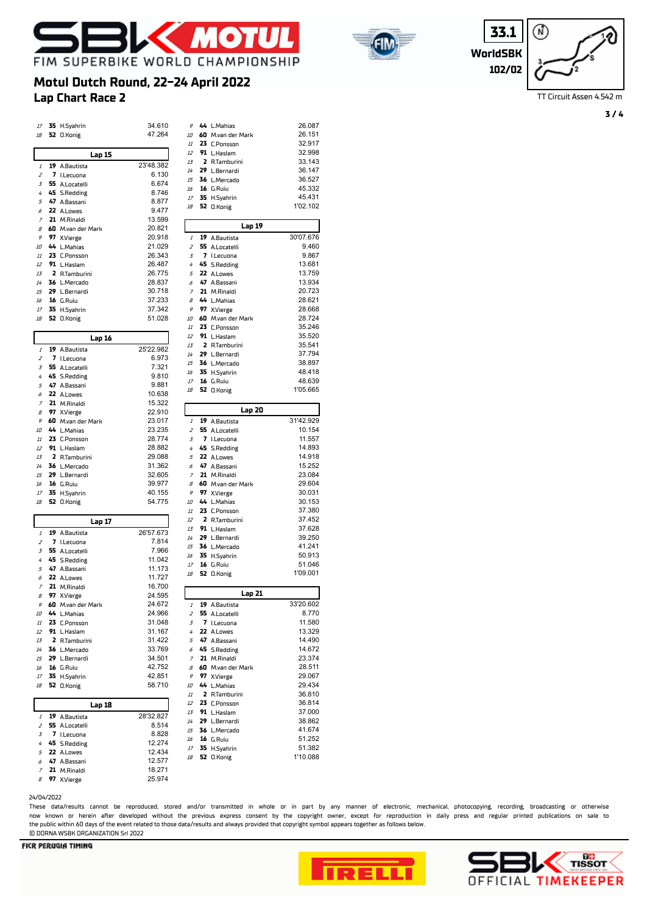





TT Circuit Assen 4.542 m

**3 / 4**

# **Lap Chart Race 2 Motul Dutch Round, 22-24 April 2022**

| 17                                                                                                                                 | 35 H.Syahrin                |                   | 34.610           | 9                   | 44 L.Mahias                   | 26.087                                                                                                                                                                   |
|------------------------------------------------------------------------------------------------------------------------------------|-----------------------------|-------------------|------------------|---------------------|-------------------------------|--------------------------------------------------------------------------------------------------------------------------------------------------------------------------|
| 18                                                                                                                                 | 52 O.Konig                  |                   | 47.264           | 10                  | 60 M.van der Mark             | 26.151                                                                                                                                                                   |
|                                                                                                                                    |                             |                   |                  | 11                  | 23 C.Ponsson                  | 32.917                                                                                                                                                                   |
|                                                                                                                                    |                             | <b>Lap 15</b>     |                  | 12                  | 91 L.Haslam                   | 32.998                                                                                                                                                                   |
|                                                                                                                                    |                             |                   | 23'48.382        | 13                  | 2 R.Tamburini                 | 33.143                                                                                                                                                                   |
| $\it 1$                                                                                                                            | 19 A.Bautista               |                   |                  | 14                  | 29 L.Bernardi                 | 36.147                                                                                                                                                                   |
| $\overline{z}$                                                                                                                     | 7 I.Lecuona                 |                   | 6.130<br>6.674   | 15                  | 36 L.Mercado                  | 36.527                                                                                                                                                                   |
| 3                                                                                                                                  | 55 A.Locatelli              |                   |                  | 16                  | 16 G.Ruiu                     | 45.332                                                                                                                                                                   |
| $\overline{4}$                                                                                                                     | 45 S.Redding                |                   | 8.746            | 17                  | 35 H.Syahrin                  | 45.431                                                                                                                                                                   |
| 5<br>6                                                                                                                             | 47 A.Bassani                |                   | 8.877            | 18                  | 52 O.Konig                    | 1'02.102                                                                                                                                                                 |
| 7                                                                                                                                  | 22 A.Lowes                  |                   | 9.477<br>13.599  |                     |                               |                                                                                                                                                                          |
| $\cal B$                                                                                                                           | 21 M.Rinaldi                |                   | 20.821           |                     | Lap 19                        |                                                                                                                                                                          |
| 9                                                                                                                                  | 97 X.Vierge                 | 60 M.van der Mark | 20.918           | 1                   | 19 A.Bautista                 | 30'07.676                                                                                                                                                                |
| 10                                                                                                                                 | 44 L.Mahias                 |                   | 21.029           | $\overline{z}$      | 55 A.Locatelli                | 9.460                                                                                                                                                                    |
| 11                                                                                                                                 | 23 C.Ponsson                |                   | 26.343           | 3                   | 7 I.Lecuona                   | 9.867                                                                                                                                                                    |
| 12                                                                                                                                 | 91 L.Haslam                 |                   | 26.487           | 4                   | 45 S.Redding                  | 13.681                                                                                                                                                                   |
| 13                                                                                                                                 | 2 R.Tamburini               |                   | 26.775           | 5                   | 22 A.Lowes                    | 13.759                                                                                                                                                                   |
| 14                                                                                                                                 | 36 L.Mercado                |                   | 28.837           | 6                   | 47 A.Bassani                  | 13.934                                                                                                                                                                   |
| 15                                                                                                                                 | 29 L.Bernardi               |                   | 30.718           | 7                   | 21 M.Rinaldi                  | 20.723                                                                                                                                                                   |
| 16                                                                                                                                 | 16 G.Ruiu                   |                   | 37.233           | 8                   | 44 L.Mahias                   | 28.621                                                                                                                                                                   |
| 17                                                                                                                                 | 35 H.Syahrin                |                   | 37.342           | 9                   | 97 X.Vierge                   | 28.668                                                                                                                                                                   |
| $18\,$                                                                                                                             | 52 O.Konig                  |                   | 51.028           | 10                  | 60 M.van der Mark             | 28.724                                                                                                                                                                   |
|                                                                                                                                    |                             |                   |                  | 11                  | 23 C.Ponsson                  | 35.246                                                                                                                                                                   |
|                                                                                                                                    |                             |                   |                  | 12                  | 91 L.Haslam                   | 35.520                                                                                                                                                                   |
|                                                                                                                                    |                             | Lap 16            |                  | 13                  | 2 R.Tamburini                 | 35.541                                                                                                                                                                   |
| $\it 1$                                                                                                                            | 19 A.Bautista               |                   | 25'22.982        | 14                  | 29 L.Bernardi                 | 37.794                                                                                                                                                                   |
| $\overline{z}$                                                                                                                     | 7 I.Lecuona                 |                   | 6.973            | 15                  | 36 L.Mercado                  | 38.897                                                                                                                                                                   |
| 3                                                                                                                                  | 55 A.Locatelli              |                   | 7.321            | 16                  | 35 H.Syahrin                  | 48.418                                                                                                                                                                   |
| 4                                                                                                                                  | 45 S.Redding                |                   | 9.810            | 17                  | <b>16</b> G.Ruiu              | 48.639                                                                                                                                                                   |
| 5                                                                                                                                  | 47 A.Bassani                |                   | 9.881            | 18                  | 52 O.Konig                    | 1'05.665                                                                                                                                                                 |
| 6                                                                                                                                  | 22 A.Lowes                  |                   | 10.638           |                     |                               |                                                                                                                                                                          |
| $\overline{z}$                                                                                                                     | 21 M.Rinaldi                |                   | 15.322           |                     | Lap 20                        |                                                                                                                                                                          |
| 8                                                                                                                                  | 97 X.Vierge                 |                   | 22.910           |                     |                               |                                                                                                                                                                          |
| 9                                                                                                                                  |                             | 60 M.van der Mark | 23.017           | $\mathcal{I}$       | 19 A.Bautista                 | 31'42.929                                                                                                                                                                |
| 10<br>11                                                                                                                           | 44 L.Mahias<br>23 C.Ponsson |                   | 23.235<br>28.774 | $\overline{z}$<br>3 | 55 A.Locatelli<br>7 I.Lecuona | 10.154<br>11.557                                                                                                                                                         |
| 12                                                                                                                                 | 91 L.Haslam                 |                   | 28.882           | 4                   | 45 S.Redding                  | 14.893                                                                                                                                                                   |
| 13                                                                                                                                 | 2 R.Tamburini               |                   | 29.088           | 5                   | 22 A.Lowes                    | 14.918                                                                                                                                                                   |
| 14                                                                                                                                 | 36 L.Mercado                |                   | 31.362           | 6                   | 47 A.Bassani                  | 15.252                                                                                                                                                                   |
| 15                                                                                                                                 | 29 L.Bernardi               |                   |                  |                     | 21 M.Rinaldi                  | 23.084                                                                                                                                                                   |
|                                                                                                                                    |                             |                   |                  |                     |                               |                                                                                                                                                                          |
|                                                                                                                                    |                             |                   | 32.605           | 7                   |                               |                                                                                                                                                                          |
| 16                                                                                                                                 | 16 G.Ruiu                   |                   | 39.977           | 8                   | 60 M.van der Mark             |                                                                                                                                                                          |
| $17\,$                                                                                                                             | 35 H.Syahrin                |                   | 40.155           | 9                   | 97 X.Vierge                   |                                                                                                                                                                          |
| 18                                                                                                                                 | 52 O.Konig                  |                   | 54.775           | 10<br>11            | 44 L.Mahias                   |                                                                                                                                                                          |
|                                                                                                                                    |                             |                   |                  | 12                  | 23 C.Ponsson                  | 37.452                                                                                                                                                                   |
|                                                                                                                                    |                             | Lap 17            |                  | 13                  | 2 R.Tamburini<br>91 L.Haslam  |                                                                                                                                                                          |
| $\it 1$                                                                                                                            | 19 A.Bautista               |                   | 26'57.673        | 14                  | 29 L.Bernardi                 |                                                                                                                                                                          |
| $\overline{z}$                                                                                                                     | 7 I.Lecuona                 |                   | 7.814            | 15                  | 36 L.Mercado                  |                                                                                                                                                                          |
| 3                                                                                                                                  | 55 A.Locatelli              |                   | 7.966            | 16                  | 35 H.Syahrin                  |                                                                                                                                                                          |
| 4                                                                                                                                  | 45 S.Redding                |                   | 11.042           | 17                  | 16 G.Ruiu                     |                                                                                                                                                                          |
| 5                                                                                                                                  | 47 A.Bassani                |                   | 11.173           | 18                  | 52 O.Konig                    | 1'09.001                                                                                                                                                                 |
| 6                                                                                                                                  | 22 A.Lowes                  |                   | 11.727           |                     |                               |                                                                                                                                                                          |
| $\overline{z}$                                                                                                                     | 21 M.Rinaldi                |                   | 16.700           |                     | Lap 21                        |                                                                                                                                                                          |
| $\mathcal{B}% _{0}=\mathcal{A}_{\mathrm{CL}}^{\mathrm{op}}(\mathcal{A})\simeq\mathcal{A}_{\mathrm{CL}}^{\mathrm{op}}(\mathcal{A})$ | 97 X.Vierge                 |                   | 24.595           |                     |                               |                                                                                                                                                                          |
| 9                                                                                                                                  |                             | 60 M.van der Mark | 24.672           | 1                   | 19 A.Bautista                 |                                                                                                                                                                          |
| 10<br>$I\!I$                                                                                                                       | 44 L.Mahias<br>23 C.Ponsson |                   | 24.966<br>31.048 | $\overline{z}$<br>3 | 55 A.Locatelli                |                                                                                                                                                                          |
| 12                                                                                                                                 | 91 L.Haslam                 |                   | 31.167           | 4                   | 7 I.Lecuona<br>22 A.Lowes     |                                                                                                                                                                          |
| 13                                                                                                                                 | 2 R.Tamburini               |                   | 31.422           | 5                   | 47 A.Bassani                  |                                                                                                                                                                          |
| 14                                                                                                                                 | 36 L.Mercado                |                   | 33.769           | 6                   | 45 S.Redding                  |                                                                                                                                                                          |
| 15                                                                                                                                 | 29 L.Bernardi               |                   | 34.501           | $\overline{7}$      | 21 M.Rinaldi                  |                                                                                                                                                                          |
| 16                                                                                                                                 | 16 G.Ruiu                   |                   | 42.752           | 8                   | 60 M.van der Mark             | 29.604<br>30.031<br>30.153<br>37.380<br>37.628<br>39.250<br>41.241<br>50.913<br>51.046<br>33'20.602<br>8.770<br>11.580<br>13.329<br>14.490<br>14.672<br>23.374<br>28.511 |
| $17\,$                                                                                                                             | 35 H.Syahrin                |                   | 42.851           | 9                   | 97 X.Vierge                   | 29.067                                                                                                                                                                   |
| 18                                                                                                                                 | 52 O.Konig                  |                   | 58.710           | 10                  | 44 L.Mahias                   | 29.434                                                                                                                                                                   |
|                                                                                                                                    |                             |                   |                  | 11                  | 2 R.Tamburini                 |                                                                                                                                                                          |
|                                                                                                                                    |                             | Lap 18            |                  | 12                  | 23 C.Ponsson                  |                                                                                                                                                                          |
| 1                                                                                                                                  |                             |                   | 28'32.827        | 13                  | 91 L.Haslam                   | 36.810<br>36.814<br>37.000                                                                                                                                               |
| 2                                                                                                                                  | 19 A.Bautista               |                   | 8.514            | 14                  | 29 L.Bernardi                 | 38.862                                                                                                                                                                   |
| 3                                                                                                                                  | 55 A.Locatelli              |                   | 8.828            | 15                  | 36 L.Mercado                  | 41.674                                                                                                                                                                   |
| 4                                                                                                                                  | 7 I.Lecuona<br>45 S.Redding |                   | 12.274           | 16                  | <b>16</b> G.Ruiu              | 51.252                                                                                                                                                                   |
| 5                                                                                                                                  | 22 A.Lowes                  |                   | 12.434           | 17                  | 35 H.Syahrin                  | 51.382                                                                                                                                                                   |
| 6                                                                                                                                  | 47 A.Bassani                |                   | 12.577           | 18                  | <b>52</b> O.Konig             | 1'10.088                                                                                                                                                                 |
| 7                                                                                                                                  | 21 M.Rinaldi                |                   | 18.271           |                     |                               |                                                                                                                                                                          |

| 14             | 29 | L.Bernardi         | 36.147    |
|----------------|----|--------------------|-----------|
| 15             | 36 | L.Mercado          | 36.527    |
|                |    |                    |           |
| 16             | 16 | G.Ruiu             | 45.332    |
| 17             | 35 | H.Syahrin          | 45.431    |
| 18             |    | 52 O.Konig         | 1'02.102  |
|                |    |                    |           |
|                |    | Lap 19             |           |
|                | 19 |                    | 30'07.676 |
| 1              |    | A.Bautista         |           |
| 2              | 55 | A.Locatelli        | 9.460     |
| 3              | 7  | I.Lecuona          | 9.867     |
| 4              | 45 | <b>S.Redding</b>   | 13.681    |
| 5              | 22 | A.Lowes            | 13.759    |
| 6              | 47 | A.Bassani          | 13.934    |
| $\overline{z}$ | 21 | M.Rinaldi          | 20.723    |
| 8              | 44 | L.Mahias           | 28.621    |
| 9              | 97 | X.Vierge           | 28.668    |
|                |    |                    |           |
| 10             | 60 | M.van der Mark     | 28.724    |
| $11\,$         | 23 | <b>C.Ponsson</b>   | 35.246    |
| 12             | 91 | L.Haslam           | 35.520    |
| 13             | 2  | R.Tamburini        | 35.541    |
| 14             | 29 | L.Bernardi         | 37.794    |
| 15             | 36 | L.Mercado          | 38.897    |
| 16             | 35 | H.Syahrin          | 48.418    |
| 17             |    | 16 G.Ruiu          | 48.639    |
| 18             | 52 | 0.Konig            | 1'05.665  |
|                |    |                    |           |
|                |    |                    |           |
|                |    | Lap 20             |           |
| 1              | 19 | A.Bautista         | 31'42.929 |
| 2              | 55 | A.Locatelli        | 10.154    |
| 3              | 7  | I.Lecuona          | 11.557    |
| 4              | 45 | <b>S.Redding</b>   | 14.893    |
| 5              | 22 | A.Lowes            | 14.918    |
| 6              | 47 | A.Bassani          | 15.252    |
| $\overline{z}$ | 21 | M.Rinaldi          | 23.084    |
| 8              | 60 | M.van der Mark     | 29.604    |
| 9              | 97 | X.Vierge           | 30.031    |
|                | 44 |                    | 30.153    |
| 10             |    | L.Mahias           |           |
| $11\,$         | 23 | <b>C.Ponsson</b>   | 37.380    |
| 12             | 2  | R.Tamburini        | 37.452    |
| 13             | 91 | L.Haslam           | 37.628    |
| 14             | 29 | L.Bernardi         | 39.250    |
| 15             | 36 | L.Mercado          | 41.241    |
| 16             | 35 | H.Syahrin          | 50.913    |
| 17             |    | 16 G.Ruiu          | 51.046    |
| 18             | 52 | 0.Konig            | 1'09.001  |
|                |    |                    |           |
|                |    | Lap 21             |           |
| 1              | 19 | A.Bautista         | 33'20.602 |
| 2              | 55 | A.Locatelli        | 8.770     |
|                | 7  |                    | 11.580    |
| 3              |    | I.Lecuona          |           |
| 4              | 22 | A.Lowes            | 13.329    |
| 5              | 47 | A.Bassani          | 14.490    |
| 6              | 45 | <b>S.Redding</b>   | 14.672    |
| $\overline{z}$ | 21 | M.Rinaldi          | 23.374    |
| 8              | 60 | M.van der Mark     | 28.511    |
| 9              | 97 | X.Vierge           | 29.067    |
| 10             | 44 | L.Mahias           | 29.434    |
| $\it 11$       | 2  | <b>R.Tamburini</b> | 36.810    |
| 12             | 23 | <b>C.Ponsson</b>   | 36.814    |
| 13             | 91 | L.Haslam           | 37.000    |
| $14\,$         | 29 | L.Bernardi         | 38.862    |
|                |    |                    | 41.674    |
|                |    |                    |           |
| 15             | 36 | L.Mercado          |           |
| 16             | 16 | G.Ruiu             | 51.252    |
| $17\,$         | 35 | H.Syahrin          | 51.382    |
| 18             | 52 | <b>O.Konig</b>     | 1'10.088  |

24/04/2022

These data/results cannot be reproduced, stored and/or transmitted in whole or in part by any manner of electronic, mechanical, photocopying, recording, broadcasting or otherwise now known or herein afer developed without the previous express consent by the copyright owner, except for reproduction in daily press and regular printed publications on sale to the public within 60 days of the event related to those data/results and always provided that copyright symbol appears together as follows below. © DORNA WSBK ORGANIZATION Srl 2022

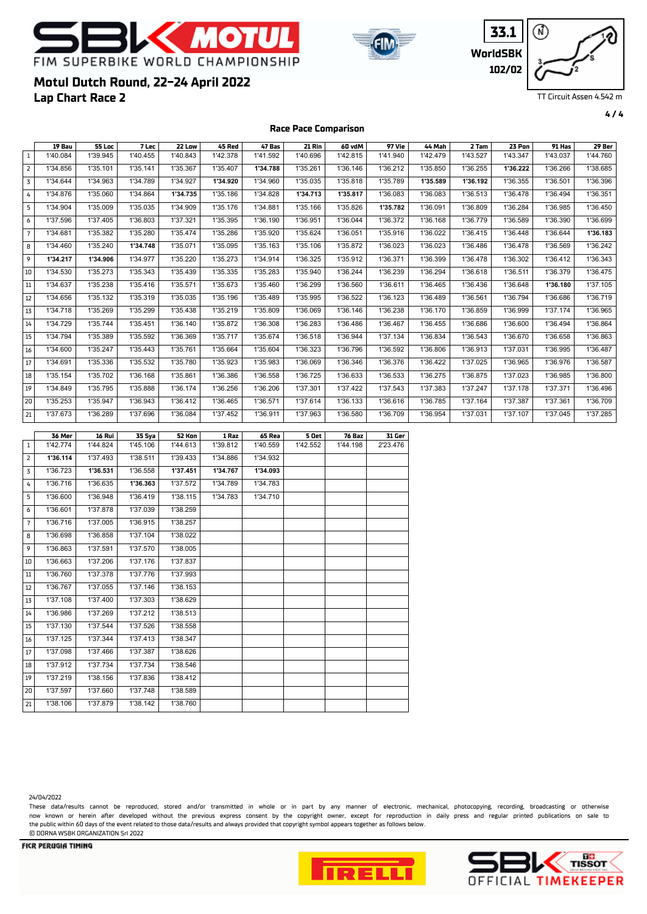





**4 / 4**

## **Lap Chart Race 2 Motul Dutch Round, 22-24 April 2022**

**Race Pace Comparison**

| $\,1\,$<br>1'40.084<br>1'39.945<br>1'40.455<br>1'40.843<br>1'42.378<br>1'41.592<br>1'40.696<br>1'42.815<br>1'41.940<br>1'42.479<br>1'43.527<br>1'43.347<br>1'43.037<br>1'35.101<br>1'35.141<br>1'35.407<br>1'35.261<br>1'36.146<br>1'35.850<br>1'36.255<br>1'34.856<br>1'35.367<br>1'34.788<br>1'36.212<br>1'36.222<br>1'36.266<br>$\overline{2}$<br>1'35.035<br>3<br>1'34.644<br>1'34.963<br>1'34.789<br>1'34.927<br>1'34.920<br>1'34.960<br>1'35.818<br>1'35.789<br>1'35.589<br>1'36.192<br>1'36.355<br>1'36.501<br>1'34.876<br>1'35.060<br>1'34.864<br>1'34.735<br>1'35.186<br>1'34.828<br>1'34.713<br>1'35.817<br>1'36.083<br>1'36.083<br>1'36.513<br>1'36.478<br>1'36.494<br>4<br>1'35.009<br>5<br>1'34.904<br>1'35.035<br>1'34.909<br>1'35.176<br>1'34.881<br>1'35.166<br>1'35.826<br>1'35.782<br>1'36.091<br>1'36.809<br>1'36.284<br>1'36.985<br>1'37.405<br>1'37.596<br>1'36.803<br>1'37.321<br>1'35.395<br>1'36.190<br>1'36.951<br>1'36.044<br>1'36.372<br>1'36.168<br>1'36.779<br>1'36.589<br>1'36.390<br>6<br>$\overline{7}$<br>1'34.681<br>1'35.382<br>1'35.280<br>1'35.474<br>1'35.286<br>1'35.920<br>1'35.624<br>1'36.051<br>1'35.916<br>1'36.022<br>1'36.415<br>1'36.448<br>1'36.644<br>8<br>1'34.460<br>1'35.240<br>1'34.748<br>1'35.071<br>1'35.095<br>1'35.163<br>1'35.106<br>1'35.872<br>1'36.023<br>1'36.023<br>1'36.486<br>1'36.478<br>1'36.569<br>9<br>1'34.977<br>1'35.273<br>1'36.325<br>1'35.912<br>1'34.217<br>1'34.906<br>1'35.220<br>1'34.914<br>1'36.371<br>1'36.399<br>1'36.478<br>1'36.302<br>1'36.412<br>1'34.530<br>1'35.273<br>1'35.343<br>1'35.439<br>1'35.335<br>1'35.283<br>1'35.940<br>1'36.244<br>1'36.239<br>1'36.294<br>1'36.618<br>1'36.511<br>1'36.379<br>10<br>$11\,$<br>1'34.637<br>1'35.238<br>1'35.416<br>1'35.571<br>1'35.673<br>1'35.460<br>1'36.299<br>1'36.560<br>1'36.465<br>1'36.436<br>1'36.648<br>1'36.611<br>1'36.180<br>$12\,$<br>1'34.656<br>1'35.132<br>1'35.319<br>1'35.035<br>1'35.196<br>1'35.489<br>1'35.995<br>1'36.522<br>1'36.489<br>1'36.561<br>1'36.794<br>1'36.686<br>1'36.123<br>13<br>1'35.269<br>1'35.299<br>1'34.718<br>1'35.438<br>1'35.219<br>1'35.809<br>1'36.069<br>1'36.146<br>1'36.238<br>1'36.170<br>1'36.859<br>1'36.999<br>1'37.174<br>14<br>1'34.729<br>1'35.744<br>1'35.451<br>1'36.140<br>1'35.872<br>1'36.308<br>1'36.283<br>1'36.486<br>1'36.467<br>1'36.455<br>1'36.686<br>1'36.600<br>1'36.494 | 1'44.760<br>1'38.685<br>1'36.396<br>1'36.351<br>1'36.450<br>1'36.699<br>1'36.183<br>1'36.242<br>1'36.343<br>1'36.475<br>1'37.105<br>1'36.719 |
|-----------------------------------------------------------------------------------------------------------------------------------------------------------------------------------------------------------------------------------------------------------------------------------------------------------------------------------------------------------------------------------------------------------------------------------------------------------------------------------------------------------------------------------------------------------------------------------------------------------------------------------------------------------------------------------------------------------------------------------------------------------------------------------------------------------------------------------------------------------------------------------------------------------------------------------------------------------------------------------------------------------------------------------------------------------------------------------------------------------------------------------------------------------------------------------------------------------------------------------------------------------------------------------------------------------------------------------------------------------------------------------------------------------------------------------------------------------------------------------------------------------------------------------------------------------------------------------------------------------------------------------------------------------------------------------------------------------------------------------------------------------------------------------------------------------------------------------------------------------------------------------------------------------------------------------------------------------------------------------------------------------------------------------------------------------------------------------------------------------------------------------------------------------------------------------------------------------------------------------------------------------------------------------------------------------------------------------------------------------------------------------------|----------------------------------------------------------------------------------------------------------------------------------------------|
|                                                                                                                                                                                                                                                                                                                                                                                                                                                                                                                                                                                                                                                                                                                                                                                                                                                                                                                                                                                                                                                                                                                                                                                                                                                                                                                                                                                                                                                                                                                                                                                                                                                                                                                                                                                                                                                                                                                                                                                                                                                                                                                                                                                                                                                                                                                                                                                         |                                                                                                                                              |
|                                                                                                                                                                                                                                                                                                                                                                                                                                                                                                                                                                                                                                                                                                                                                                                                                                                                                                                                                                                                                                                                                                                                                                                                                                                                                                                                                                                                                                                                                                                                                                                                                                                                                                                                                                                                                                                                                                                                                                                                                                                                                                                                                                                                                                                                                                                                                                                         |                                                                                                                                              |
|                                                                                                                                                                                                                                                                                                                                                                                                                                                                                                                                                                                                                                                                                                                                                                                                                                                                                                                                                                                                                                                                                                                                                                                                                                                                                                                                                                                                                                                                                                                                                                                                                                                                                                                                                                                                                                                                                                                                                                                                                                                                                                                                                                                                                                                                                                                                                                                         |                                                                                                                                              |
|                                                                                                                                                                                                                                                                                                                                                                                                                                                                                                                                                                                                                                                                                                                                                                                                                                                                                                                                                                                                                                                                                                                                                                                                                                                                                                                                                                                                                                                                                                                                                                                                                                                                                                                                                                                                                                                                                                                                                                                                                                                                                                                                                                                                                                                                                                                                                                                         |                                                                                                                                              |
|                                                                                                                                                                                                                                                                                                                                                                                                                                                                                                                                                                                                                                                                                                                                                                                                                                                                                                                                                                                                                                                                                                                                                                                                                                                                                                                                                                                                                                                                                                                                                                                                                                                                                                                                                                                                                                                                                                                                                                                                                                                                                                                                                                                                                                                                                                                                                                                         |                                                                                                                                              |
|                                                                                                                                                                                                                                                                                                                                                                                                                                                                                                                                                                                                                                                                                                                                                                                                                                                                                                                                                                                                                                                                                                                                                                                                                                                                                                                                                                                                                                                                                                                                                                                                                                                                                                                                                                                                                                                                                                                                                                                                                                                                                                                                                                                                                                                                                                                                                                                         |                                                                                                                                              |
|                                                                                                                                                                                                                                                                                                                                                                                                                                                                                                                                                                                                                                                                                                                                                                                                                                                                                                                                                                                                                                                                                                                                                                                                                                                                                                                                                                                                                                                                                                                                                                                                                                                                                                                                                                                                                                                                                                                                                                                                                                                                                                                                                                                                                                                                                                                                                                                         |                                                                                                                                              |
|                                                                                                                                                                                                                                                                                                                                                                                                                                                                                                                                                                                                                                                                                                                                                                                                                                                                                                                                                                                                                                                                                                                                                                                                                                                                                                                                                                                                                                                                                                                                                                                                                                                                                                                                                                                                                                                                                                                                                                                                                                                                                                                                                                                                                                                                                                                                                                                         |                                                                                                                                              |
|                                                                                                                                                                                                                                                                                                                                                                                                                                                                                                                                                                                                                                                                                                                                                                                                                                                                                                                                                                                                                                                                                                                                                                                                                                                                                                                                                                                                                                                                                                                                                                                                                                                                                                                                                                                                                                                                                                                                                                                                                                                                                                                                                                                                                                                                                                                                                                                         |                                                                                                                                              |
|                                                                                                                                                                                                                                                                                                                                                                                                                                                                                                                                                                                                                                                                                                                                                                                                                                                                                                                                                                                                                                                                                                                                                                                                                                                                                                                                                                                                                                                                                                                                                                                                                                                                                                                                                                                                                                                                                                                                                                                                                                                                                                                                                                                                                                                                                                                                                                                         |                                                                                                                                              |
|                                                                                                                                                                                                                                                                                                                                                                                                                                                                                                                                                                                                                                                                                                                                                                                                                                                                                                                                                                                                                                                                                                                                                                                                                                                                                                                                                                                                                                                                                                                                                                                                                                                                                                                                                                                                                                                                                                                                                                                                                                                                                                                                                                                                                                                                                                                                                                                         |                                                                                                                                              |
|                                                                                                                                                                                                                                                                                                                                                                                                                                                                                                                                                                                                                                                                                                                                                                                                                                                                                                                                                                                                                                                                                                                                                                                                                                                                                                                                                                                                                                                                                                                                                                                                                                                                                                                                                                                                                                                                                                                                                                                                                                                                                                                                                                                                                                                                                                                                                                                         |                                                                                                                                              |
|                                                                                                                                                                                                                                                                                                                                                                                                                                                                                                                                                                                                                                                                                                                                                                                                                                                                                                                                                                                                                                                                                                                                                                                                                                                                                                                                                                                                                                                                                                                                                                                                                                                                                                                                                                                                                                                                                                                                                                                                                                                                                                                                                                                                                                                                                                                                                                                         | 1'36.965                                                                                                                                     |
|                                                                                                                                                                                                                                                                                                                                                                                                                                                                                                                                                                                                                                                                                                                                                                                                                                                                                                                                                                                                                                                                                                                                                                                                                                                                                                                                                                                                                                                                                                                                                                                                                                                                                                                                                                                                                                                                                                                                                                                                                                                                                                                                                                                                                                                                                                                                                                                         | 1'36.864                                                                                                                                     |
| 1'34.794<br>1'35.389<br>1'35.592<br>1'36.369<br>1'35.717<br>1'35.674<br>1'36.518<br>1'36.944<br>1'37.134<br>1'36.834<br>1'36.543<br>1'36.670<br>1'36.658<br>15                                                                                                                                                                                                                                                                                                                                                                                                                                                                                                                                                                                                                                                                                                                                                                                                                                                                                                                                                                                                                                                                                                                                                                                                                                                                                                                                                                                                                                                                                                                                                                                                                                                                                                                                                                                                                                                                                                                                                                                                                                                                                                                                                                                                                          | 1'36.863                                                                                                                                     |
| 1'34.600<br>1'35.247<br>1'35.443<br>1'35.761<br>1'35.664<br>1'35.604<br>1'36.323<br>1'36.796<br>1'36.592<br>1'36.806<br>1'36.913<br>1'37.031<br>1'36.995<br>16                                                                                                                                                                                                                                                                                                                                                                                                                                                                                                                                                                                                                                                                                                                                                                                                                                                                                                                                                                                                                                                                                                                                                                                                                                                                                                                                                                                                                                                                                                                                                                                                                                                                                                                                                                                                                                                                                                                                                                                                                                                                                                                                                                                                                          | 1'36.487                                                                                                                                     |
| 1'35.532<br>1'34.691<br>1'35.336<br>1'35.780<br>1'35.923<br>1'35.983<br>1'36.069<br>1'36.346<br>1'36.376<br>1'36.422<br>1'37.025<br>1'36.965<br>1'36.976<br>17                                                                                                                                                                                                                                                                                                                                                                                                                                                                                                                                                                                                                                                                                                                                                                                                                                                                                                                                                                                                                                                                                                                                                                                                                                                                                                                                                                                                                                                                                                                                                                                                                                                                                                                                                                                                                                                                                                                                                                                                                                                                                                                                                                                                                          | 1'36.587                                                                                                                                     |
| 1'35.702<br>1'35.154<br>1'36.168<br>1'35.861<br>1'36.386<br>1'36.558<br>1'36.725<br>1'36.633<br>1'36.533<br>1'36.275<br>1'36.875<br>1'37.023<br>1'36.985<br>18                                                                                                                                                                                                                                                                                                                                                                                                                                                                                                                                                                                                                                                                                                                                                                                                                                                                                                                                                                                                                                                                                                                                                                                                                                                                                                                                                                                                                                                                                                                                                                                                                                                                                                                                                                                                                                                                                                                                                                                                                                                                                                                                                                                                                          | 1'36.800                                                                                                                                     |
| 1'34.849<br>1'35.795<br>1'35.888<br>1'36.174<br>1'36.256<br>1'36.206<br>1'37.301<br>1'37.422<br>1'37.543<br>1'37.383<br>1'37.247<br>1'37.178<br>1'37.371<br>19                                                                                                                                                                                                                                                                                                                                                                                                                                                                                                                                                                                                                                                                                                                                                                                                                                                                                                                                                                                                                                                                                                                                                                                                                                                                                                                                                                                                                                                                                                                                                                                                                                                                                                                                                                                                                                                                                                                                                                                                                                                                                                                                                                                                                          | 1'36.496                                                                                                                                     |
| 1'35.253<br>1'35.947<br>1'36.943<br>1'36.412<br>1'36.465<br>1'36.571<br>1'37.614<br>1'36.133<br>1'36.616<br>1'36.785<br>1'37.164<br>1'37.387<br>1'37.361<br>20                                                                                                                                                                                                                                                                                                                                                                                                                                                                                                                                                                                                                                                                                                                                                                                                                                                                                                                                                                                                                                                                                                                                                                                                                                                                                                                                                                                                                                                                                                                                                                                                                                                                                                                                                                                                                                                                                                                                                                                                                                                                                                                                                                                                                          | 1'36.709                                                                                                                                     |
| 1'37.673<br>1'36.289<br>1'37.696<br>1'36.084<br>1'37.452<br>1'36.911<br>1'37.963<br>1'36.580<br>1'36.709<br>1'36.954<br>1'37.031<br>1'37.107<br>1'37.045<br>21                                                                                                                                                                                                                                                                                                                                                                                                                                                                                                                                                                                                                                                                                                                                                                                                                                                                                                                                                                                                                                                                                                                                                                                                                                                                                                                                                                                                                                                                                                                                                                                                                                                                                                                                                                                                                                                                                                                                                                                                                                                                                                                                                                                                                          | 1'37.285                                                                                                                                     |
|                                                                                                                                                                                                                                                                                                                                                                                                                                                                                                                                                                                                                                                                                                                                                                                                                                                                                                                                                                                                                                                                                                                                                                                                                                                                                                                                                                                                                                                                                                                                                                                                                                                                                                                                                                                                                                                                                                                                                                                                                                                                                                                                                                                                                                                                                                                                                                                         |                                                                                                                                              |
| 36 Mer<br>16 Rui<br>35 Sya<br>52 Kon<br>1 Raz<br>65 Rea<br>5 Oet<br>76 Baz<br>31 Ger<br>1'42.774<br>1'44.824<br>1'45.106<br>1'44.613<br>1'39.812<br>1'40.559<br>1'42.552<br>1'44.198<br>2'23.476<br>$\mathbf{1}$                                                                                                                                                                                                                                                                                                                                                                                                                                                                                                                                                                                                                                                                                                                                                                                                                                                                                                                                                                                                                                                                                                                                                                                                                                                                                                                                                                                                                                                                                                                                                                                                                                                                                                                                                                                                                                                                                                                                                                                                                                                                                                                                                                        |                                                                                                                                              |
| $\overline{\mathbf{2}}$<br>1'37.493<br>1'38.511<br>1'36.114<br>1'39.433<br>1'34.886<br>1'34.932                                                                                                                                                                                                                                                                                                                                                                                                                                                                                                                                                                                                                                                                                                                                                                                                                                                                                                                                                                                                                                                                                                                                                                                                                                                                                                                                                                                                                                                                                                                                                                                                                                                                                                                                                                                                                                                                                                                                                                                                                                                                                                                                                                                                                                                                                         |                                                                                                                                              |
| $\mathbf 3$<br>1'36.723<br>1'36.531<br>1'36.558<br>1'34.767<br>1'37.451<br>1'34.093                                                                                                                                                                                                                                                                                                                                                                                                                                                                                                                                                                                                                                                                                                                                                                                                                                                                                                                                                                                                                                                                                                                                                                                                                                                                                                                                                                                                                                                                                                                                                                                                                                                                                                                                                                                                                                                                                                                                                                                                                                                                                                                                                                                                                                                                                                     |                                                                                                                                              |
| $\sqrt{4}$<br>1'36.716<br>1'36.635<br>1'36.363<br>1'37.572<br>1'34.789<br>1'34.783                                                                                                                                                                                                                                                                                                                                                                                                                                                                                                                                                                                                                                                                                                                                                                                                                                                                                                                                                                                                                                                                                                                                                                                                                                                                                                                                                                                                                                                                                                                                                                                                                                                                                                                                                                                                                                                                                                                                                                                                                                                                                                                                                                                                                                                                                                      |                                                                                                                                              |
| 5<br>1'36.600<br>1'36.948<br>1'36.419<br>1'34.783<br>1'34.710<br>1'38.115                                                                                                                                                                                                                                                                                                                                                                                                                                                                                                                                                                                                                                                                                                                                                                                                                                                                                                                                                                                                                                                                                                                                                                                                                                                                                                                                                                                                                                                                                                                                                                                                                                                                                                                                                                                                                                                                                                                                                                                                                                                                                                                                                                                                                                                                                                               |                                                                                                                                              |
| 6<br>1'36.601<br>1'37.878<br>1'37.039<br>1'38.259                                                                                                                                                                                                                                                                                                                                                                                                                                                                                                                                                                                                                                                                                                                                                                                                                                                                                                                                                                                                                                                                                                                                                                                                                                                                                                                                                                                                                                                                                                                                                                                                                                                                                                                                                                                                                                                                                                                                                                                                                                                                                                                                                                                                                                                                                                                                       |                                                                                                                                              |
| $\overline{7}$<br>1'36.716<br>1'37.005<br>1'36.915<br>1'38.257                                                                                                                                                                                                                                                                                                                                                                                                                                                                                                                                                                                                                                                                                                                                                                                                                                                                                                                                                                                                                                                                                                                                                                                                                                                                                                                                                                                                                                                                                                                                                                                                                                                                                                                                                                                                                                                                                                                                                                                                                                                                                                                                                                                                                                                                                                                          |                                                                                                                                              |
| 8<br>1'36.698<br>1'36.858<br>1'37.104<br>1'38.022                                                                                                                                                                                                                                                                                                                                                                                                                                                                                                                                                                                                                                                                                                                                                                                                                                                                                                                                                                                                                                                                                                                                                                                                                                                                                                                                                                                                                                                                                                                                                                                                                                                                                                                                                                                                                                                                                                                                                                                                                                                                                                                                                                                                                                                                                                                                       |                                                                                                                                              |
| 9<br>1'36.863<br>1'37.591<br>1'37.570<br>1'38.005                                                                                                                                                                                                                                                                                                                                                                                                                                                                                                                                                                                                                                                                                                                                                                                                                                                                                                                                                                                                                                                                                                                                                                                                                                                                                                                                                                                                                                                                                                                                                                                                                                                                                                                                                                                                                                                                                                                                                                                                                                                                                                                                                                                                                                                                                                                                       |                                                                                                                                              |
| 10<br>1'36.663<br>1'37.206<br>1'37.176<br>1'37.837                                                                                                                                                                                                                                                                                                                                                                                                                                                                                                                                                                                                                                                                                                                                                                                                                                                                                                                                                                                                                                                                                                                                                                                                                                                                                                                                                                                                                                                                                                                                                                                                                                                                                                                                                                                                                                                                                                                                                                                                                                                                                                                                                                                                                                                                                                                                      |                                                                                                                                              |
| 1'36.760<br>1'37.378<br>1'37.776<br>1'37.993<br>$11\,$                                                                                                                                                                                                                                                                                                                                                                                                                                                                                                                                                                                                                                                                                                                                                                                                                                                                                                                                                                                                                                                                                                                                                                                                                                                                                                                                                                                                                                                                                                                                                                                                                                                                                                                                                                                                                                                                                                                                                                                                                                                                                                                                                                                                                                                                                                                                  |                                                                                                                                              |
| $12\,$<br>1'36.767<br>1'37.055<br>1'37.146<br>1'38.153                                                                                                                                                                                                                                                                                                                                                                                                                                                                                                                                                                                                                                                                                                                                                                                                                                                                                                                                                                                                                                                                                                                                                                                                                                                                                                                                                                                                                                                                                                                                                                                                                                                                                                                                                                                                                                                                                                                                                                                                                                                                                                                                                                                                                                                                                                                                  |                                                                                                                                              |
| 13<br>1'37.108<br>1'37.400<br>1'37.303<br>1'38.629                                                                                                                                                                                                                                                                                                                                                                                                                                                                                                                                                                                                                                                                                                                                                                                                                                                                                                                                                                                                                                                                                                                                                                                                                                                                                                                                                                                                                                                                                                                                                                                                                                                                                                                                                                                                                                                                                                                                                                                                                                                                                                                                                                                                                                                                                                                                      |                                                                                                                                              |
| 1'37.269<br>1'37.212<br>$14\,$<br>1'36.986<br>1'38.513                                                                                                                                                                                                                                                                                                                                                                                                                                                                                                                                                                                                                                                                                                                                                                                                                                                                                                                                                                                                                                                                                                                                                                                                                                                                                                                                                                                                                                                                                                                                                                                                                                                                                                                                                                                                                                                                                                                                                                                                                                                                                                                                                                                                                                                                                                                                  |                                                                                                                                              |
| 1'37.544<br>1'38.558<br> 15 <br>1'37.130<br>1'37.526                                                                                                                                                                                                                                                                                                                                                                                                                                                                                                                                                                                                                                                                                                                                                                                                                                                                                                                                                                                                                                                                                                                                                                                                                                                                                                                                                                                                                                                                                                                                                                                                                                                                                                                                                                                                                                                                                                                                                                                                                                                                                                                                                                                                                                                                                                                                    |                                                                                                                                              |
| 1'37.344<br>1'37.413<br>1'38.347<br>16<br>1'37.125                                                                                                                                                                                                                                                                                                                                                                                                                                                                                                                                                                                                                                                                                                                                                                                                                                                                                                                                                                                                                                                                                                                                                                                                                                                                                                                                                                                                                                                                                                                                                                                                                                                                                                                                                                                                                                                                                                                                                                                                                                                                                                                                                                                                                                                                                                                                      |                                                                                                                                              |
| 17<br>1'37.098<br>1'37.466<br>1'37.387<br>1'38.626                                                                                                                                                                                                                                                                                                                                                                                                                                                                                                                                                                                                                                                                                                                                                                                                                                                                                                                                                                                                                                                                                                                                                                                                                                                                                                                                                                                                                                                                                                                                                                                                                                                                                                                                                                                                                                                                                                                                                                                                                                                                                                                                                                                                                                                                                                                                      |                                                                                                                                              |
| 1'37.912<br>1'37.734<br>1'37.734<br>1'38.546<br>18                                                                                                                                                                                                                                                                                                                                                                                                                                                                                                                                                                                                                                                                                                                                                                                                                                                                                                                                                                                                                                                                                                                                                                                                                                                                                                                                                                                                                                                                                                                                                                                                                                                                                                                                                                                                                                                                                                                                                                                                                                                                                                                                                                                                                                                                                                                                      |                                                                                                                                              |
| 1'37.219<br>1'38.156<br>1'37.836<br>19<br>1'38.412                                                                                                                                                                                                                                                                                                                                                                                                                                                                                                                                                                                                                                                                                                                                                                                                                                                                                                                                                                                                                                                                                                                                                                                                                                                                                                                                                                                                                                                                                                                                                                                                                                                                                                                                                                                                                                                                                                                                                                                                                                                                                                                                                                                                                                                                                                                                      |                                                                                                                                              |
| 1'37.597<br>1'37.660<br>1'37.748<br>1'38.589<br>20                                                                                                                                                                                                                                                                                                                                                                                                                                                                                                                                                                                                                                                                                                                                                                                                                                                                                                                                                                                                                                                                                                                                                                                                                                                                                                                                                                                                                                                                                                                                                                                                                                                                                                                                                                                                                                                                                                                                                                                                                                                                                                                                                                                                                                                                                                                                      |                                                                                                                                              |
| 21<br>1'37.879<br>1'38.760<br>1'38.106<br>1'38.142                                                                                                                                                                                                                                                                                                                                                                                                                                                                                                                                                                                                                                                                                                                                                                                                                                                                                                                                                                                                                                                                                                                                                                                                                                                                                                                                                                                                                                                                                                                                                                                                                                                                                                                                                                                                                                                                                                                                                                                                                                                                                                                                                                                                                                                                                                                                      |                                                                                                                                              |

24/04/2022

These data/results cannot be reproduced, stored and/or transmitted in whole or in part by any manner of electronic, mechanical, photocopying, recording, broadcasting or otherwise now known or herein afer developed without the previous express consent by the copyright owner, except for reproduction in daily press and regular printed publications on sale to the public within 60 days of the event related to those data/results and always provided that copyright symbol appears together as follows below. © DORNA WSBK ORGANIZATION Srl 2022



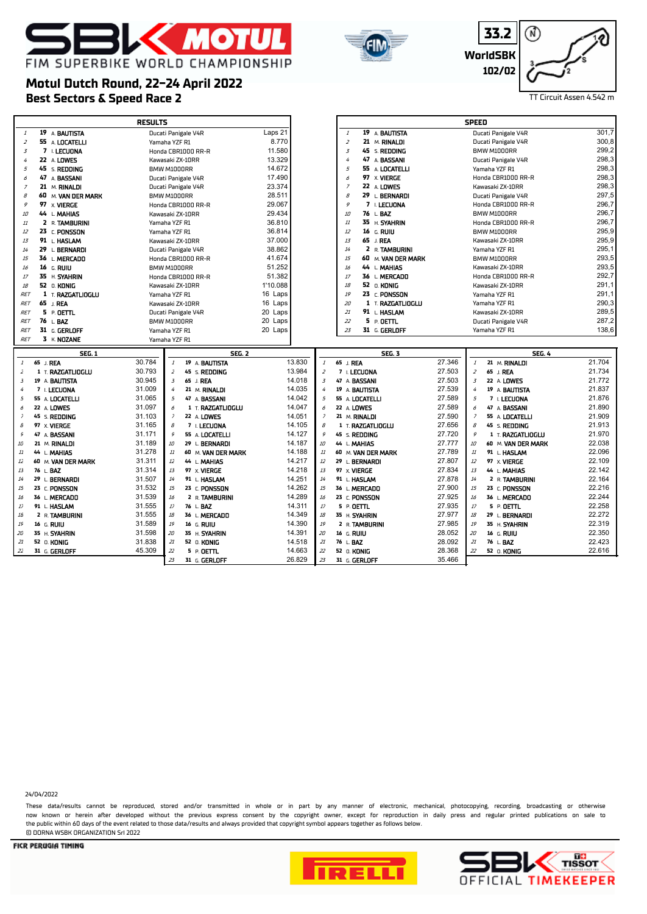# **K MOTU** FIM SUPERBIKE WORLD CHAMPIONSHIP



**33.2 WorldSBK 102/02** ⋒

# **Best Sectors & Speed Race 2** TT Circuit Assen 4.542 m **Motul Dutch Round, 22-24 April 2022**

r

|                |                    | <b>RESULTS</b>                            |               |                           |                                      |        | <b>SPEED</b>                               |        |
|----------------|--------------------|-------------------------------------------|---------------|---------------------------|--------------------------------------|--------|--------------------------------------------|--------|
| $\it 1$        | 19 A BAUTISTA      | Ducati Panigale V4R                       | Laps 21       |                           | 19 A BAUTISTA<br>$\it 1$             |        | Ducati Panigale V4R                        | 301,7  |
| $\overline{z}$ | 55 A LOCATELLI     | Yamaha YZF R1                             | 8.770         |                           | $\overline{z}$<br>21 M. RINALDI      |        | Ducati Panigale V4R                        | 300,8  |
| $\overline{3}$ | 7 L LECUONA        | Honda CBR1000 RR-R                        | 11.580        |                           | $\overline{3}$<br>45 S. REDDING      |        | BMW M1000RR                                | 299,2  |
| 4              | 22 A LOWES         | Kawasaki ZX-10RR                          | 13.329        |                           | $\overline{4}$<br>47 A BASSANI       |        | Ducati Panigale V4R                        | 298,3  |
| 5              | 45 S. REDDING      | BMW M1000RR                               | 14.672        |                           | 5<br>55 A LOCATELLI                  |        | Yamaha YZF R1                              | 298,3  |
| 6              | 47 A BASSANI       | Ducati Panigale V4R                       | 17.490        |                           | 97 x VIERGE<br>6                     |        | Honda CBR1000 RR-R                         | 298,3  |
| $\overline{z}$ | 21 M. RINALDI      | Ducati Panigale V4R                       | 23.374        |                           | $\overline{z}$<br>22 A LOWES         |        | Kawasaki ZX-10RR                           | 298.3  |
| 8              | 60 M. VAN DER MARK | BMW M1000RR                               | 28.511        |                           | $\mathcal{B}% _{0}$<br>29 L BERNARDI |        | Ducati Panigale V4R                        | 297,5  |
| 9              | 97 x VIERGE        | Honda CBR1000 RR-R                        | 29.067        |                           | 9<br>7 I. LECUONA                    |        | Honda CBR1000 RR-R                         | 296,7  |
| 10             | 44 L. MAHIAS       | Kawasaki ZX-10RR                          | 29.434        |                           | 10<br>76 L.BAZ                       |        | BMW M1000RR                                | 296,7  |
| 11             | 2 R. TAMBURINI     | Yamaha YZF R1                             | 36.810        |                           | 11<br>35 H. SYAHRIN                  |        | Honda CBR1000 RR-R                         | 296,7  |
| 12             | 23 C. PONSSON      | Yamaha YZF R1                             | 36.814        |                           | 12<br>16 G. RUIU                     |        | BMW M1000RR                                | 295,9  |
| 13             | 91 L. HASLAM       | Kawasaki ZX-10RR                          | 37.000        |                           | 13<br>65 J. REA                      |        | Kawasaki ZX-10RR                           | 295,9  |
| 14             | 29 L. BERNARDI     | Ducati Panigale V4R                       | 38.862        |                           | 14<br>2 R. TAMBURINI                 |        | Yamaha YZF R1                              | 295,1  |
| 15             | 36 L. MERCADO      | Honda CBR1000 RR-R                        | 41.674        |                           | 60 M. VAN DER MARK<br>15             |        | BMW M1000RR                                | 293,5  |
| 16             | 16 G. RUIU         | BMW M1000RR                               | 51.252        |                           | 16<br>44 L MAHIAS                    |        | Kawasaki ZX-10RR                           | 293,5  |
| 17             | 35 H. SYAHRIN      | Honda CBR1000 RR-R                        | 51.382        |                           | 17<br>36 L. MERCADO                  |        | Honda CBR1000 RR-R                         | 292,7  |
| 18             | 52 0. KONIG        | Kawasaki ZX-10RR                          | 1'10.088      |                           | 18<br>52 0. KONIG                    |        | Kawasaki ZX-10RR                           | 291,1  |
| <b>RET</b>     | 1 T. RAZGATLIOGLU  | Yamaha YZF R1                             | 16 Laps       |                           | 19<br>23 C. PONSSON                  |        | Yamaha YZF R1                              | 291,1  |
| <b>RET</b>     | 65 J. REA          | Kawasaki ZX-10RR                          | 16 Laps       |                           | 20<br>1 T. RAZGATLIOGLU              |        | Yamaha YZF R1                              | 290,3  |
| <b>RET</b>     | $5 \cdot 0$ ETTL   | Ducati Panigale V4R                       | 20 Laps       |                           | 21<br>91 L HASLAM                    |        | Kawasaki ZX-10RR                           | 289,5  |
| <b>RET</b>     | 76 L.BAZ           | BMW M1000RR                               | 20 Laps       |                           | 22<br>5 P. DETTL                     |        | Ducati Panigale V4R                        | 287,2  |
| <b>RET</b>     | 31 G. GERLOFF      | Yamaha YZF R1                             | 20 Laps       |                           | 23<br>31 G. GERLOFF                  |        | Yamaha YZF R1                              | 138,6  |
| <b>RET</b>     | 3 K. NOZANE        | Yamaha YZF R1                             |               |                           |                                      |        |                                            |        |
|                |                    |                                           |               |                           |                                      |        |                                            |        |
|                | <b>SEG. 1</b>      |                                           | <b>SEG. 2</b> |                           | <b>SEG. 3</b>                        |        | <b>SEG. 4</b>                              |        |
| $\mathbf{1}$   | 65 J. REA          | 30.784<br>19 A BAUTISTA<br>$\mathbf{1}$   | 13.830        | $\boldsymbol{\mathit{1}}$ | 65 J. REA                            | 27.346 | 21 M. RINALDI<br>$\boldsymbol{\mathit{1}}$ | 21.704 |
| 2              | 1 T. RAZGATLIOGLU  | 30.793<br>$\overline{z}$<br>45 S. REDDING | 13.984        | 2                         | 7 I. LECUONA                         | 27.503 | $\overline{z}$<br>65 J. REA                | 21.734 |
| $\overline{3}$ | 19 A. BAUTISTA     | 30.945<br>$\overline{3}$<br>65 J. REA     | 14.018        | $\overline{3}$            | 47 A. BASSANI                        | 27.503 | $\boldsymbol{\mathcal{Z}}$<br>22 A LOWES   | 21.772 |
| 4              | 7 I. LECUONA       | 31.009<br>4<br>21 M. RINALDI              | 14.035        | $\overline{4}$            | 19 A. BAUTISTA                       | 27.539 | 4<br>19 A BAUTISTA                         | 21.837 |
| $\sqrt{2}$     | 55 A. LOCATELLI    | 31.065<br>5<br>47 A BASSANI               | 14.042        | $\sqrt{2}$                | 55 A. LOCATELLI                      | 27.589 | 5<br>7 I. LECUONA                          | 21.876 |
| 6              | 22 A. LOWES        | 31.097<br>6<br>1 T. RAZGATLIOGLU          | 14.047        | 6                         | 22 A. LOWES                          | 27.589 | 6<br>47 A BASSANI                          | 21.890 |
| $\overline{z}$ | 45 S. REDDING      | 31.103<br>$\overline{z}$<br>22 A LOWES    | 14.051        | $\overline{\phantom{a}}$  | 21 M. RINALDI                        | 27.590 | $\overline{\phantom{a}}$<br>55 A LOCATELLI | 21.909 |
| $\mathcal S$   | 97 X VIERGE        | 31.165<br>$\mathcal{B}$<br>7 I. LECUONA   | 14.105        | $\mathcal S$              | 1 T. RAZGATLIOGLU                    | 27.656 | $\mathcal{B}$<br>45 S. REDDING             | 21.913 |
| $\mathcal G$   | 47 A. BASSANI      | 31.171<br>9<br>55 A LOCATELLI             | 14.127        | $\mathcal G$              | 45 S. REDDING                        | 27.720 | 9<br>1 T. RAZGATLIOGLU                     | 21.970 |
| 10             | 21 M. RINALDI      | 31.189<br>10<br>29 L. BERNARDI            | 14.187<br>10  |                           | 44 L. MAHIAS                         | 27.777 | 10<br>60 M. VAN DER MARK                   | 22.038 |
| 11             | 44 L MAHIAS        | 31.278<br>$11\,$<br>60 M. VAN DER MARK    | 14.188<br>11  |                           | 60 M. VAN DER MARK                   | 27.789 | $11\,$<br>91 L. HASLAM                     | 22.096 |
| $12\,$         | 60 M. VAN DER MARK | 31.311<br>$12\,$<br>44 L. MAHIAS          | 14.217<br>12  |                           | 29 L. BERNARDI                       | 27.807 | 12<br>97 X. VIERGE                         | 22.109 |
| 13             | 76 L. BAZ          | 31.314<br>13<br>97 X. VIERGE              | 13<br>14.218  |                           | 97 X. VIERGE                         | 27.834 | 13<br>44 L. MAHIAS                         | 22.142 |
| 14             | 29 L BERNARDI      | 31.507<br>14<br>91 L. HASLAM              | 14.251<br>14  |                           | 91 L. HASLAM                         | 27.878 | 14<br>2 R. TAMBURINI                       | 22.164 |
| 15             | 23 C. PONSSON      | 31.532<br>15<br>23 C. PONSSON             | 15<br>14.262  |                           | 36 L. MERCADO                        | 27.900 | 15<br>23 C. PONSSON                        | 22.216 |
| 16             | 36 L MERCADO       | 31.539<br>16<br>2 R. TAMBURINI            | 14.289<br>16  |                           | 23 C. PONSSON                        | 27.925 | 16<br>36 L. MERCADO                        | 22.244 |
| 17             | 91 L HASLAM        | 17<br>31.555<br>76 L. BAZ                 | 14.311<br>17  |                           | 5 P. OETTL                           | 27.935 | $17$<br>5 P. OETTL                         | 22.258 |
| 18             | 2 R. TAMBURINI     | 31.555<br>18<br>36 L. MERCADO             | 14.349<br>18  |                           | 35 H. SYAHRIN                        | 27.977 | 18<br>29 L. BERNARDI                       | 22.272 |
| 19             | 16 G. RUIU         | 31.589<br>19<br>16 G. RUIU                | 14.390<br>19  |                           | 2 R. TAMBURINI                       | 27.985 | $19\,$<br>35 H. SYAHRIN                    | 22.319 |
| 20             | 35 H. SYAHRIN      | 31.598<br>20<br>35 H. SYAHRIN             | 14.391<br>20  |                           | 16 G. RUIU                           | 28.052 | 20<br>16 G. RUIU                           | 22.350 |
| 21             | 52 O. KONIG        | 21<br>31.838<br>52 O. KONIG               | 14.518<br>21  |                           | 76 L. BAZ                            | 28.092 | 21<br>76 L. BAZ                            | 22.423 |
| 22             | 31 G. GERLOFF      | 45.309<br>22<br>5 P. OETTL                | 22<br>14.663  |                           | 52 O. KONIG                          | 28.368 | 22<br>52 0. KONIG                          | 22.616 |
|                |                    | 23<br>31 G. GERLOFF                       | 23<br>26.829  |                           | 31 G. GERLOFF                        | 35.466 |                                            |        |

Ē.

24/04/2022

These data/results cannot be reproduced, stored and/or transmitted in whole or in part by any manner of electronic, mechanical, photocopying, recording, broadcasting or otherwise now known or herein afer developed without the previous express consent by the copyright owner, except for reproduction in daily press and regular printed publications on sale to the public within 60 days of the event related to those data/results and always provided that copyright symbol appears together as follows below. © DORNA WSBK ORGANIZATION Srl 2022



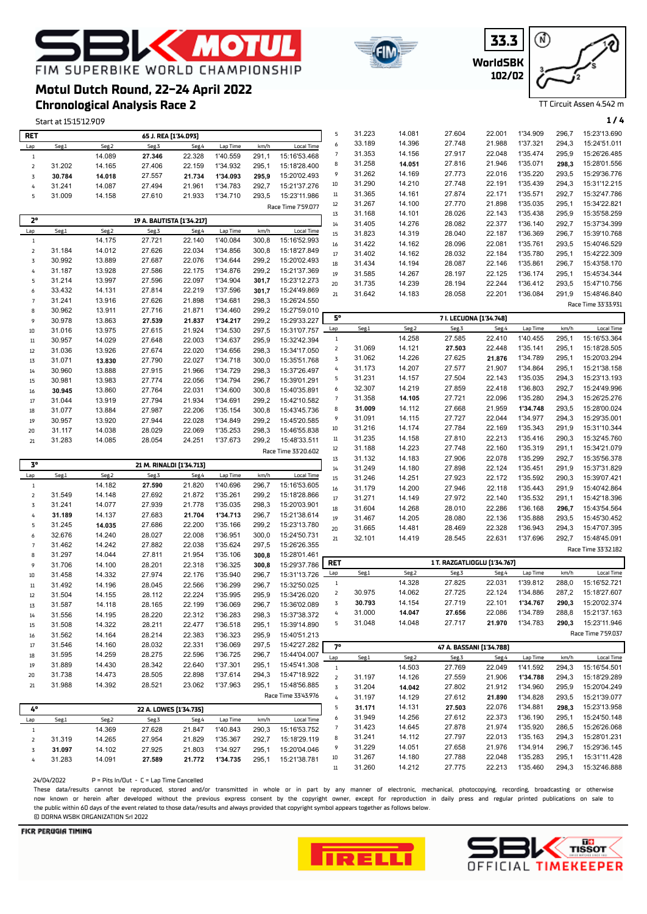# **K MOTU** FIM SUPERBIKE WORLD CHAMPIONSHIP

## **Chronological Analysis Race 2 Motul Dutch Round, 22-24 April 2022**

|                     | Start at 15:15'12.909 |                  |                           |                  |                      |                |                              |                         |                  |                  |                              |                  |                      |                | 1/4                          |
|---------------------|-----------------------|------------------|---------------------------|------------------|----------------------|----------------|------------------------------|-------------------------|------------------|------------------|------------------------------|------------------|----------------------|----------------|------------------------------|
| <b>RET</b>          |                       |                  | 65 J. REA [1'34.093]      |                  |                      |                |                              | 5                       | 31.223           | 14.081           | 27.604                       | 22.001           | 1'34.909             | 296,7          | 15:23'13.690                 |
| Lap                 | Seg.1                 | Seg.2            | Seg.3                     | Seg.4            | Lap Time             | km/h           | Local Time                   | 6                       | 33.189           | 14.396           | 27.748                       | 21.988           | 1'37.321             | 294,3          | 15:24'51.011                 |
| $\mathbf{1}$        |                       | 14.089           | 27.346                    | 22.328           | 1'40.559             | 291,1          | 15:16'53.468                 | $\overline{7}$          | 31.353           | 14.156           | 27.917                       | 22.048           | 1'35.474             | 295,9          | 15:26'26.485                 |
| $\mathsf{Z}$        | 31.202                | 14.165           | 27.406                    | 22.159           | 1'34.932             | 295,1          | 15:18'28.400                 | 8                       | 31.258           | 14.051           | 27.816                       | 21.946           | 1'35.071             | 298,3          | 15:28'01.556                 |
| 3                   | 30.784                | 14.018           | 27.557                    | 21.734           | 1'34.093             | 295,9          | 15:20'02.493                 | 9                       | 31.262           | 14.169           | 27.773                       | 22.016           | 1'35.220             | 293,5          | 15:29'36.776                 |
| 4                   | 31.241                | 14.087           | 27.494                    | 21.961           | 1'34.783             | 292,7          | 15:21'37.276                 | 10                      | 31.290           | 14.210           | 27.748                       | 22.191           | 1'35.439             | 294,3          | 15:31'12.215                 |
| 5                   | 31.009                | 14.158           | 27.610                    | 21.933           | 1'34.710             | 293,5          | 15:23'11.986                 | $11\,$                  | 31.365           | 14.161           | 27.874                       | 22.171           | 1'35.571             | 292,7          | 15:32'47.786                 |
|                     |                       |                  |                           |                  |                      |                | Race Time 7'59.077           | 12                      | 31.267           | 14.100           | 27.770                       | 21.898           | 1'35.035             | 295,1          | 15:34'22.821                 |
|                     |                       |                  |                           |                  |                      |                |                              | 13                      | 31.168           | 14.101           | 28.026                       | 22.143           | 1'35.438             | 295,9          | 15:35'58.259                 |
| 2°                  |                       |                  | 19 A. BAUTISTA [1'34.217] |                  |                      |                |                              | 14                      | 31.405           | 14.276           | 28.082                       | 22.377           | 1'36.140             | 292,7          | 15:37'34.399                 |
| Lap                 | Seg.1                 | Seg.2            | Seg.3                     | Seg.4            | Lap Time             | km/h           | <b>Local Time</b>            | 15                      | 31.823           | 14.319           | 28.040                       | 22.187           | 1'36.369             | 296,7          | 15:39'10.768                 |
| $\mathbf{1}$        |                       | 14.175           | 27.721                    | 22.140           | 1'40.084             | 300,8          | 15:16'52.993                 | 16                      | 31.422           | 14.162           | 28.096                       | 22.081           | 1'35.761             | 293,5          | 15:40'46.529                 |
| $\mathsf{Z}$        | 31.184                | 14.012           | 27.626                    | 22.034           | 1'34.856             | 300,8          | 15:18'27.849                 | 17                      | 31.402           | 14.162           | 28.032                       | 22.184           | 1'35.780             | 295,1          | 15:42'22.309                 |
| 3                   | 30.992                | 13.889           | 27.687                    | 22.076           | 1'34.644             | 299,2          | 15:20'02.493                 | 18                      | 31.434           | 14.194           | 28.087                       | 22.146           | 1'35.861             | 296,7          | 15:43'58.170                 |
| 4                   | 31.187                | 13.928           | 27.586                    | 22.175           | 1'34.876             | 299,2          | 15:21'37.369                 | 19                      | 31.585           | 14.267           | 28.197                       | 22.125           | 1'36.174             | 295,1          | 15:45'34.344                 |
| 5                   | 31.214<br>33.432      | 13.997<br>14.131 | 27.596<br>27.814          | 22.097<br>22.219 | 1'34.904<br>1'37.596 | 301,7          | 15:23'12.273<br>15:24'49.869 | 20                      | 31.735           | 14.239           | 28.194                       | 22.244           | 1'36.412             | 293,5          | 15:47'10.756                 |
| 6<br>$\overline{7}$ | 31.241                | 13.916           | 27.626                    | 21.898           | 1'34.681             | 301,7<br>298,3 | 15:26'24.550                 | 21                      | 31.642           | 14.183           | 28.058                       | 22.201           | 1'36.084             | 291,9          | 15:48'46.840                 |
| 8                   | 30.962                | 13.911           | 27.716                    | 21.871           | 1'34.460             | 299,2          | 15:27'59.010                 |                         |                  |                  |                              |                  |                      |                | Race Time 33'33.931          |
| 9                   | 30.978                | 13.863           | 27.539                    | 21.837           | 1'34.217             | 299,2          | 15:29'33.227                 | 5°                      |                  |                  | 7 I. LECUONA [1'34.748]      |                  |                      |                |                              |
| $10\,$              | 31.016                | 13.975           | 27.615                    | 21.924           | 1'34.530             | 297,5          | 15:31'07.757                 | Lap                     | Seg.1            | Seg.2            | Seg.3                        | Seg.4            | Lap Time             | km/h           | Local Time                   |
| $11\,$              | 30.957                | 14.029           | 27.648                    | 22.003           | 1'34.637             | 295,9          | 15:32'42.394                 | $\mathbf{1}$            |                  | 14.258           | 27.585                       | 22.410           | 1'40.455             | 295,1          | 15:16'53.364                 |
| $12\,$              | 31.036                | 13.926           | 27.674                    | 22.020           | 1'34.656             | 298,3          | 15:34'17.050                 | $\overline{2}$          | 31.069           | 14.121           | 27.503                       | 22.448           | 1'35.141             | 295,1          | 15:18'28.505                 |
| $1\overline{3}$     | 31.071                | 13.830           | 27.790                    | 22.027           | 1'34.718             | 300,0          | 15:35'51.768                 | 3                       | 31.062           | 14.226           | 27.625                       | 21.876           | 1'34.789             | 295,1          | 15:20'03.294                 |
| 14                  | 30.960                | 13.888           | 27.915                    | 21.966           | 1'34.729             | 298,3          | 15:37'26.497                 | 4                       | 31.173           | 14.207           | 27.577                       | 21.907           | 1'34.864             | 295,1          | 15:21'38.158                 |
| 15                  | 30.981                | 13.983           | 27.774                    | 22.056           | 1'34.794             | 296,7          | 15:39'01.291                 | 5                       | 31.231           | 14.157           | 27.504                       | 22.143           | 1'35.035             | 294,3          | 15:23'13.193                 |
| $16\,$              | 30.945                | 13.860           | 27.764                    | 22.031           | 1'34.600             | 300,8          | 15:40'35.891                 | 6                       | 32.307           | 14.219           | 27.859                       | 22.418           | 1'36.803             | 292,7          | 15:24'49.996                 |
| 17                  | 31.044                | 13.919           | 27.794                    | 21.934           | 1'34.691             | 299,2          | 15:42'10.582                 | $\overline{7}$          | 31.358           | 14.105           | 27.721                       | 22.096           | 1'35.280             | 294,3          | 15:26'25.276                 |
| 18                  | 31.077                | 13.884           | 27.987                    | 22.206           | 1'35.154             | 300,8          | 15:43'45.736                 | 8                       | 31.009           | 14.112           | 27.668                       | 21.959           | 1'34.748             | 293,5          | 15:28'00.024                 |
| 19                  | 30.957                | 13.920           | 27.944                    | 22.028           | 1'34.849             | 299,2          | 15:45'20.585                 | 9                       | 31.091           | 14.115           | 27.727                       | 22.044           | 1'34.977             | 294,3          | 15:29'35.001                 |
| 20                  | 31.117                | 14.038           | 28.029                    | 22.069           | 1'35.253             | 298,3          | 15:46'55.838                 | 10                      | 31.216           | 14.174           | 27.784                       | 22.169           | 1'35.343             | 291,9          | 15:31'10.344                 |
| 21                  | 31.283                | 14.085           | 28.054                    | 24.251           | 1'37.673             | 299,2          | 15:48'33.511                 | $11\,$                  | 31.235           | 14.158           | 27.810                       | 22.213           | 1'35.416             | 290,3          | 15:32'45.760                 |
|                     |                       |                  |                           |                  |                      |                |                              |                         |                  |                  |                              |                  |                      |                |                              |
|                     |                       |                  |                           |                  |                      |                | Race Time 33'20.602          | 12                      | 31.188           | 14.223           | 27.748                       | 22.160           | 1'35.319             | 291,1          | 15:34'21.079                 |
|                     |                       |                  |                           |                  |                      |                |                              | $1\overline{3}$         | 31.132           | 14.183           | 27.906                       | 22.078           | 1'35.299             | 292,7          | 15:35'56.378                 |
| $3^{\circ}$         |                       |                  | 21 M. RINALDI [1'34.713]  |                  |                      |                |                              | 14                      | 31.249           | 14.180           | 27.898                       | 22.124           | 1'35.451             | 291,9          | 15:37'31.829                 |
| Lap                 | Seg.1                 | Seg.2            | Seg.3                     | Seg.4            | Lap Time             | km/h           | <b>Local Time</b>            | 15                      | 31.246           | 14.251           | 27.923                       | 22.172           | 1'35.592             | 290,3          | 15:39'07.421                 |
| $\mathbf{1}$        |                       | 14.182           | 27.590                    | 21.820           | 1'40.696             | 296,7          | 15:16'53.605                 | 16                      | 31.179           | 14.200           | 27.946                       | 22.118           | 1'35.443             | 291,9          | 15:40'42.864                 |
| $\overline{2}$      | 31.549                | 14.148           | 27.692                    | 21.872           | 1'35.261             | 299,2          | 15:18'28.866                 | 17                      | 31.271           | 14.149           | 27.972                       | 22.140           | 1'35.532             | 291,1          | 15:42'18.396                 |
| 3<br>4              | 31.241                | 14.077           | 27.939                    | 21.778           | 1'35.035             | 298,3          | 15:20'03.901                 | 18                      | 31.604           | 14.268           | 28.010                       | 22.286           | 1'36.168             | 296,7          | 15:43'54.564                 |
| 5                   | 31.189<br>31.245      | 14.137           | 27.683<br>27.686          | 21.704<br>22.200 | 1'34.713<br>1'35.166 | 296,7<br>299,2 | 15:21'38.614<br>15:23'13.780 | 19                      | 31.467           | 14.205           | 28.080                       | 22.136           | 1'35.888             | 293,5          | 15:45'30.452                 |
| 6                   | 32.676                | 14.035<br>14.240 | 28.027                    | 22.008           | 1'36.951             | 300,0          | 15:24'50.731                 | 20                      | 31.665           | 14.481           | 28.469                       | 22.328           | 1'36.943             | 294,3          | 15:47'07.395                 |
| $\overline{7}$      | 31.462                | 14.242           | 27.882                    | 22.038           | 1'35.624             | 297,5          | 15:26'26.355                 | 21                      | 32.101           | 14.419           | 28.545                       | 22.631           | 1'37.696             | 292,7          | 15:48'45.091                 |
| 8                   | 31.297                | 14.044           | 27.811                    | 21.954           | 1'35.106             | 300,8          | 15:28'01.461                 |                         |                  |                  |                              |                  |                      |                | Race Time 33'32.182          |
| 9                   | 31.706                | 14.100           | 28.201                    | 22.318           | 1'36.325             | 300,8          | 15:29'37.786                 | RET                     |                  |                  | 1 T. RAZGATLIOGLU [1'34.767] |                  |                      |                |                              |
| 10                  | 31.458                | 14.332           | 27.974                    | 22.176           | 1'35.940             | 296,7          | 15:31'13.726                 | Lap                     | Seg.1            | Seg.2            | Seg.3                        | Seg.4            | Lap Time             | km/h           | Local Time                   |
| $11\,$              | 31.492                | 14.196           | 28.045                    | 22.566           | 1'36.299             | 296,7          | 15:32'50.025                 | $\mathbf{1}$            |                  | 14.328           | 27.825                       | 22.031           | 1'39.812             | 288,0          | 15:16'52.721                 |
| 12                  | 31.504                | 14.155           | 28.112                    | 22.224           | 1'35.995             | 295,9          | 15:34'26.020                 | $\overline{2}$          | 30.975           | 14.062           | 27.725                       | 22.124           | 1'34.886             | 287,2          | 15:18'27.607                 |
| 13                  | 31.587                | 14.118           | 28.165                    | 22.199           | 1'36.069             | 296,7          | 15:36'02.089                 | 3                       | 30.793           | 14.154           | 27.719                       | 22.101           | 1'34.767             | 290,3          | 15:20'02.374                 |
| 14                  | 31.556                | 14.195           | 28.220                    | 22.312           | 1'36.283             | 298,3          | 15:37'38.372                 | 4                       | 31.000           | 14.047           | 27.656                       | 22.086           | 1'34.789             | 288,8          | 15:21'37.163                 |
| 15                  | 31.508                | 14.322           | 28.211                    | 22.477           | 1'36.518             | 295,1          | 15:39'14.890                 | 5                       | 31.048           | 14.048           | 27.717                       | 21.970           | 1'34.783             | 290,3          | 15:23'11.946                 |
| 16                  | 31.562                | 14.164           | 28.214                    | 22.383           | 1'36.323             | 295,9          | 15:40'51.213                 |                         |                  |                  |                              |                  |                      |                | Race Time 7'59.037           |
| 17                  | 31.546                | 14.160           | 28.032                    | 22.331           | 1'36.069             | 297,5          | 15:42'27.282                 | 7°                      |                  |                  | 47 A. BASSANI [1'34.788]     |                  |                      |                |                              |
| 18                  | 31.595                | 14.259           | 28.275                    | 22.596           | 1'36.725             | 296,7          | 15:44'04.007                 | Lap                     | Seg.1            | Seg.2            | Seg.3                        | Seg.4            | Lap Time             | km/h           | Local Time                   |
| 19                  | 31.889                | 14.430           | 28.342                    | 22.640           | 1'37.301             | 295,1          | 15:45'41.308                 | $1\,$                   |                  | 14.503           | 27.769                       | 22.049           | 1'41.592             | 294,3          | 15:16'54.501                 |
| 20                  | 31.738                | 14.473           | 28.505                    | 22.898           | 1'37.614             | 294,3          | 15:47'18.922                 | $\mathsf{2}$            | 31.197           | 14.126           | 27.559                       | 21.906           | 1'34.788             | 294,3          | 15:18'29.289                 |
| 21                  | 31.988                | 14.392           | 28.521                    | 23.062           | 1'37.963             | 295,1          | 15:48'56.885                 | $\overline{\mathbf{3}}$ | 31.204           | 14.042           | 27.802                       | 21.912           | 1'34.960             | 295,9          | 15:20'04.249                 |
|                     |                       |                  |                           |                  |                      |                | Race Time 33'43.976          | 4                       | 31.197           | 14.129           | 27.612                       | 21.890           | 1'34.828             | 293,5          | 15:21'39.077                 |
| 4°                  |                       |                  | 22 A. LOWES [1'34.735]    |                  |                      |                |                              | 5                       | 31.171           | 14.131           | 27.503                       | 22.076           | 1'34.881             | 298,3          | 15:23'13.958                 |
| Lap                 | Seg.1                 | Seg.2            | Seg.3                     | Seg.4            | Lap Time             | km/h           | <b>Local Time</b>            | 6                       | 31.949           | 14.256           | 27.612                       | 22.373           | 1'36.190             | 295,1          | 15:24'50.148                 |
| $\mathbf{1}$        |                       | 14.369           | 27.628                    | 21.847           | 1'40.843             | 290,3          | 15:16'53.752                 | $\overline{7}$          | 31.423           | 14.645           | 27.878                       | 21.974           | 1'35.920             | 286,5          | 15:26'26.068                 |
| 2                   | 31.319                | 14.265           | 27.954                    | 21.829           | 1'35.367             | 292,7          | 15:18'29.119                 | 8                       | 31.241           | 14.112           | 27.797                       | 22.013           | 1'35.163             | 294,3          | 15:28'01.231                 |
| 3                   | 31.097                | 14.102           | 27.925                    | 21.803           | 1'34.927             | 295,1          | 15:20'04.046                 | 9                       | 31.229           | 14.051           | 27.658                       | 21.976           | 1'34.914             | 296,7          | 15:29'36.145                 |
| 4                   | 31.283                | 14.091           | 27.589                    | 21.772           | 1'34.735             | 295,1          | 15:21'38.781                 | 10<br>$11\,$            | 31.267<br>31.260 | 14.180<br>14.212 | 27.788<br>27.775             | 22.048<br>22.213 | 1'35.283<br>1'35.460 | 295,1<br>294,3 | 15:31'11.428<br>15:32'46.888 |

 $24/04/2022$  P = Pits In/Out - C

These data/results cannot be reproduced, stored and/or transmitted in whole or in part by any manner of electronic, mechanical, photocopying, recording, broadcasting or otherwise now known or herein afer developed without the previous express consent by the copyright owner, except for reproduction in daily press and regular printed publications on sale to the public within 60 days of the event related to those data/results and always provided that copyright symbol appears together as follows below. © DORNA WSBK ORGANIZATION Srl 2022

#### FICR PERUGIA TIMING







TT Circuit Assen 4.542 m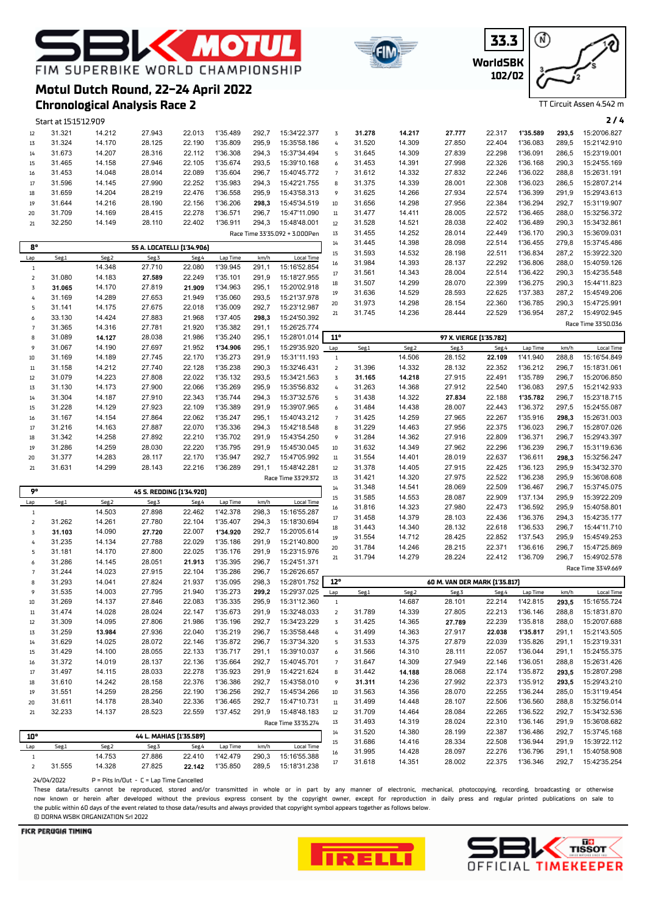# **MOT** FIM SUPERBIKE WORLD CHAMPIONSHIP

**Chronological Analysis Race 2**

**Motul Dutch Round, 22-24 April 2022**



**WorldSBK 33.3 102/02**



TT Circuit Assen 4.542 m

|                     | Start at 15:15'12.909 |        |                                  |        |          |       |                                |                 |                  |                  |                               |                  |                      |                | 2/4                          |
|---------------------|-----------------------|--------|----------------------------------|--------|----------|-------|--------------------------------|-----------------|------------------|------------------|-------------------------------|------------------|----------------------|----------------|------------------------------|
| 12                  | 31.321                | 14.212 | 27.943                           | 22.013 | 1'35.489 | 292,7 | 15:34'22.377                   | $\overline{3}$  | 31.278           | 14.217           | 27.777                        | 22.317           | 1'35.589             | 293,5          | 15:20'06.827                 |
| $1\overline{3}$     | 31.324                | 14.170 | 28.125                           | 22.190 | 1'35.809 | 295,9 | 15:35'58.186                   | $\pmb{4}$       | 31.520           | 14.309           | 27.850                        | 22.404           | 1'36.083             | 289,5          | 15:21'42.910                 |
| 14                  | 31.673                | 14.207 | 28.316                           | 22.112 | 1'36.308 | 294,3 | 15:37'34.494                   | 5               | 31.645           | 14.309           | 27.839                        | 22.298           | 1'36.091             | 286,5          | 15:23'19.001                 |
| 15                  | 31.465                | 14.158 | 27.946                           | 22.105 | 1'35.674 | 293,5 | 15:39'10.168                   | 6               | 31.453           | 14.391           | 27.998                        | 22.326           | 1'36.168             | 290,3          | 15:24'55.169                 |
| 16                  | 31.453                | 14.048 | 28.014                           | 22.089 | 1'35.604 | 296,7 | 15:40'45.772                   | $\overline{7}$  | 31.612           | 14.332           | 27.832                        | 22.246           | 1'36.022             | 288,8          | 15:26'31.191                 |
| $17\,$              | 31.596                | 14.145 | 27.990                           | 22.252 | 1'35.983 | 294,3 | 15:42'21.755                   | 8               | 31.375           | 14.339           | 28.001                        | 22.308           | 1'36.023             | 286,5          | 15:28'07.214                 |
| 18                  | 31.659                | 14.204 | 28.219                           | 22.476 | 1'36.558 | 295,9 | 15:43'58.313                   | 9               | 31.625           | 14.266           | 27.934                        | 22.574           | 1'36.399             | 291,9          | 15:29'43.613                 |
| 19                  | 31.644                | 14.216 | 28.190                           | 22.156 | 1'36.206 | 298,3 | 15:45'34.519                   | $10\,$          | 31.656           | 14.298           | 27.956                        | 22.384           | 1'36.294             | 292,7          | 15:31'19.907                 |
| 20                  | 31.709                | 14.169 | 28.415                           | 22.278 | 1'36.571 | 296,7 | 15:47'11.090                   | $11\,$          | 31.477           | 14.411           | 28.005                        | 22.572           | 1'36.465             | 288,0          | 15:32'56.372                 |
| 21                  | 32.250                | 14.149 | 28.110                           | 22.402 | 1'36.911 | 294,3 | 15:48'48.001                   | $12\,$          | 31.528           | 14.521           | 28.038                        | 22.402           | 1'36.489             | 290,3          | 15:34'32.861                 |
|                     |                       |        |                                  |        |          |       | Race Time 33'35.092 + 3.000Pen | 13              | 31.455           | 14.252           | 28.014                        | 22.449           | 1'36.170             | 290,3          | 15:36'09.031                 |
| $8^{\circ}$         |                       |        | 55 A. LOCATELLI [1'34.906]       |        |          |       |                                | 14              | 31.445           | 14.398           | 28.098                        | 22.514           | 1'36.455             | 279,8          | 15:37'45.486                 |
| Lap                 | Seg.1                 | Seg.2  | Seg.3                            | Seg.4  | Lap Time | km/h  | <b>Local Time</b>              | 15              | 31.593           | 14.532           | 28.198                        | 22.511           | 1'36.834             | 287,2          | 15:39'22.320                 |
| $\mathbf{1}$        |                       | 14.348 | 27.710                           | 22.080 | 1'39.945 | 291,1 | 15:16'52.854                   | 16              | 31.984           | 14.393           | 28.137                        | 22.292           | 1'36.806             | 288,0          | 15:40'59.126                 |
| $\overline{2}$      | 31.080                | 14.183 | 27.589                           | 22.249 | 1'35.101 | 291,9 | 15:18'27.955                   | 17              | 31.561           | 14.343           | 28.004                        | 22.514           | 1'36.422             | 290,3          | 15:42'35.548                 |
| 3                   | 31.065                | 14.170 | 27.819                           | 21.909 | 1'34.963 | 295,1 | 15:20'02.918                   | 18              | 31.507           | 14.299           | 28.070                        | 22.399           | 1'36.275             | 290,3          | 15:44'11.823                 |
| 4                   | 31.169                | 14.289 | 27.653                           | 21.949 | 1'35.060 | 293,5 | 15:21'37.978                   | 19              | 31.636           | 14.529           | 28.593                        | 22.625           | 1'37.383             | 287,2          | 15:45'49.206                 |
| 5                   | 31.141                | 14.175 | 27.675                           | 22.018 | 1'35.009 | 292,7 | 15:23'12.987                   | 20              | 31.973           | 14.298           | 28.154                        | 22.360           | 1'36.785             | 290,3          | 15:47'25.991                 |
| 6                   | 33.130                | 14.424 | 27.883                           | 21.968 | 1'37.405 | 298,3 | 15:24'50.392                   | 21              | 31.745           | 14.236           | 28.444                        | 22.529           | 1'36.954             | 287,2          | 15:49'02.945                 |
| $\overline{7}$      | 31.365                | 14.316 | 27.781                           | 21.920 | 1'35.382 | 291,1 | 15:26'25.774                   |                 |                  |                  |                               |                  |                      |                | Race Time 33'50.036          |
| 8                   | 31.089                | 14.127 | 28.038                           | 21.986 | 1'35.240 | 295,1 | 15:28'01.014                   | $11^{\circ}$    |                  |                  | 97 X. VIERGE [1'35.782]       |                  |                      |                |                              |
| 9                   | 31.067                | 14.190 | 27.697                           | 21.952 | 1'34.906 | 295,1 | 15:29'35.920                   | Lap             | Seg.1            | Seg.2            | Seg.3                         | Seg.4            | Lap Time             | km/h           | Local Time                   |
| $10\,$              | 31.169                | 14.189 | 27.745                           | 22.170 | 1'35.273 | 291,9 | 15:31'11.193                   | $\mathbf{1}$    |                  | 14.506           | 28.152                        | 22.109           | 1'41.940             | 288,8          | 15:16'54.849                 |
| $11\,$              | 31.158                | 14.212 | 27.740                           | 22.128 | 1'35.238 | 290,3 | 15:32'46.431                   | $\overline{2}$  | 31.396           | 14.332           | 28.132                        | 22.352           | 1'36.212             | 296,7          | 15:18'31.061                 |
| 12                  | 31.079                | 14.223 | 27.808                           | 22.022 | 1'35.132 | 293,5 | 15:34'21.563                   | $\overline{3}$  | 31.165           | 14.218           | 27.915                        | 22.491           | 1'35.789             | 296,7          | 15:20'06.850                 |
| 13                  | 31.130                | 14.173 | 27.900                           | 22.066 | 1'35.269 | 295,9 | 15:35'56.832                   | $\it 4$         | 31.263           | 14.368           | 27.912                        | 22.540           | 1'36.083             | 297,5          | 15:21'42.933                 |
| 14                  | 31.304                | 14.187 | 27.910                           | 22.343 | 1'35.744 | 294,3 | 15:37'32.576                   | 5               | 31.438           | 14.322           | 27.834                        | 22.188           | 1'35.782             | 296,7          | 15:23'18.715                 |
| 15                  | 31.228                | 14.129 | 27.923                           | 22.109 | 1'35.389 | 291,9 | 15:39'07.965                   | 6               | 31.484           | 14.438           | 28.007                        | 22.443           | 1'36.372             | 297,5          | 15:24'55.087                 |
| 16                  | 31.167                | 14.154 | 27.864                           | 22.062 | 1'35.247 | 295,1 | 15:40'43.212                   | $\overline{7}$  | 31.425           | 14.259           | 27.965                        | 22.267           | 1'35.916             | 298,3          | 15:26'31.003                 |
| $17\,$              | 31.216                | 14.163 | 27.887                           | 22.070 | 1'35.336 | 294,3 | 15:42'18.548                   | 8               | 31.229           | 14.463           | 27.956                        | 22.375           | 1'36.023             | 296,7          | 15:28'07.026                 |
| 18                  | 31.342                | 14.258 | 27.892                           | 22.210 | 1'35.702 | 291,9 | 15:43'54.250                   | 9               | 31.284           | 14.362           | 27.916                        | 22.809           | 1'36.371             | 296,7          | 15:29'43.397                 |
| 19                  | 31.286                | 14.259 | 28.030                           | 22.220 | 1'35.795 | 291,9 | 15:45'30.045                   | 10              | 31.632           | 14.349           | 27.962                        | 22.296           | 1'36.239             | 296,7          | 15:31'19.636                 |
| 20                  | 31.377                | 14.283 | 28.117                           | 22.170 | 1'35.947 | 292,7 | 15:47'05.992                   | $11\,$          | 31.554           | 14.401           | 28.019                        | 22.637           | 1'36.611             | 298,3          | 15:32'56.247                 |
| 21                  | 31.631                | 14.299 | 28.143                           | 22.216 | 1'36.289 | 291,1 | 15:48'42.281                   | 12              | 31.378           | 14.405           | 27.915                        | 22.425           | 1'36.123             | 295,9          | 15:34'32.370                 |
|                     |                       |        |                                  |        |          |       | Race Time 33'29.372            | $1\overline{3}$ | 31.421           | 14.320           | 27.975                        | 22.522           | 1'36.238             | 295,9          | 15:36'08.608                 |
| 90                  |                       |        | 45 S. REDDING [1'34.920]         |        |          |       |                                | 14              | 31.348           | 14.541           | 28.069                        | 22.509           | 1'36.467             | 296,7          | 15:37'45.075                 |
| Lap                 | Seg.1                 | Seg.2  | Seg.3                            | Seg.4  | Lap Time | km/h  | <b>Local Time</b>              | 15              | 31.585           | 14.553           | 28.087                        | 22.909           | 1'37.134             | 295,9          | 15:39'22.209                 |
| $\mathbf{1}$        |                       | 14.503 | 27.898                           | 22.462 | 1'42.378 | 298,3 | 15:16'55.287                   | 16              | 31.816           | 14.323           | 27.980                        | 22.473           | 1'36.592             | 295,9          | 15:40'58.801                 |
| $\overline{2}$      | 31.262                | 14.261 | 27.780                           | 22.104 | 1'35.407 | 294,3 | 15:18'30.694                   | 17              | 31.458           | 14.379           | 28.103                        | 22.436           | 1'36.376             | 294,3          | 15:42'35.177                 |
| 3                   | 31.103                | 14.090 | 27.720                           | 22.007 | 1'34.920 | 292,7 | 15:20'05.614                   | 18              | 31.443           | 14.340           | 28.132                        | 22.618           | 1'36.533             | 296,7          | 15:44'11.710                 |
| 4                   | 31.235                | 14.134 | 27.788                           | 22.029 | 1'35.186 | 291,9 | 15:21'40.800                   | 19              | 31.554           | 14.712           | 28.425                        | 22.852           | 1'37.543             | 295,9          | 15:45'49.253                 |
| 5                   | 31.181                | 14.170 | 27.800                           | 22.025 | 1'35.176 | 291,9 | 15:23'15.976                   | 20              | 31.784           | 14.246           | 28.215                        | 22.371           | 1'36.616             | 296,7          | 15:47'25.869                 |
| 6                   | 31.286                | 14.145 | 28.051                           | 21.913 | 1'35.395 | 296,7 | 15:24'51.371                   | 21              | 31.794           | 14.279           | 28.224                        | 22.412           | 1'36.709             | 296,7          | 15:49'02.578                 |
| $\overline{7}$      | 31.244                | 14.023 | 27.915                           | 22.104 | 1'35.286 | 296,7 | 15:26'26.657                   |                 |                  |                  |                               |                  |                      |                | Race Time 33'49.669          |
| 8                   | 31.293                | 14.041 | 27.824                           | 21.937 | 1'35.095 | 298,3 | 15:28'01.752                   | $12^{\circ}$    |                  |                  | 60 M. VAN DER MARK [1'35.817] |                  |                      |                |                              |
| 9                   | 31.535                | 14.003 | 27.795                           | 21.940 | 1'35.273 | 299,2 | 15:29'37.025                   | Lap             | Seg.1            | Seg.2            | Seg.3                         | Seg.4            | Lap Time             | km/h           | Local Time                   |
| 10                  | 31.269                | 14.137 | 27.846                           | 22.083 | 1'35.335 | 295,9 | 15:31'12.360                   | $\mathbf{1}$    |                  | 14.687           | 28.101                        | 22.214           | 1'42.815             | 293,5          | 15:16'55.724                 |
| $11\,$              | 31.474                | 14.028 | 28.024                           | 22.147 | 1'35.673 | 291,9 | 15:32'48.033                   | $\overline{2}$  | 31.789           | 14.339           | 27.805                        | 22.213           | 1'36.146             | 288,8          | 15:18'31.870                 |
| 12                  | 31.309                | 14.095 | 27.806                           | 21.986 | 1'35.196 | 292,7 | 15:34'23.229                   | $\overline{3}$  | 31.425           | 14.365           | 27.789                        | 22.239           | 1'35.818             | 288,0          | 15:20'07.688                 |
| 13                  | 31.259                | 13.984 | 27.936                           | 22.040 | 1'35.219 | 296,7 | 15:35'58.448                   | $\pmb{4}$       | 31.499           | 14.363           | 27.917                        | 22.038           | 1'35.817             | 291,1          | 15:21'43.505                 |
| 14                  | 31.629                | 14.025 | 28.072                           | 22.146 | 1'35.872 | 296,7 | 15:37'34.320                   | 5               | 31.533           | 14.375           | 27.879                        | 22.039           | 1'35.826             | 291,1          | 15:23'19.331                 |
| 15                  | 31.429                | 14.100 | 28.055                           | 22.133 | 1'35.717 | 291,1 | 15:39'10.037                   | 6               | 31.566           | 14.310           | 28.111                        | 22.057           | 1'36.044             | 291,1          | 15:24'55.375                 |
| 16                  | 31.372                | 14.019 | 28.137                           | 22.136 | 1'35.664 | 292,7 | 15:40'45.701                   | $\overline{7}$  | 31.647           | 14.309           | 27.949                        | 22.146           | 1'36.051             | 288,8          | 15:26'31.426                 |
| $17\,$              | 31.497                | 14.115 | 28.033                           | 22.278 | 1'35.923 | 291,9 | 15:42'21.624                   | 8               | 31.442           | 14.188           | 28.068                        | 22.174           | 1'35.872             | 293,5          | 15:28'07.298                 |
| 18                  | 31.610                | 14.242 | 28.158                           | 22.376 | 1'36.386 | 292,7 | 15:43'58.010                   | 9               | 31.311           | 14.236           | 27.992                        | 22.373           | 1'35.912             | 293,5          | 15:29'43.210                 |
| 19                  | 31.551                | 14.259 | 28.256                           | 22.190 | 1'36.256 | 292,7 | 15:45'34.266                   | $10\,$          | 31.563           | 14.356           | 28.070                        | 22.255           | 1'36.244             | 285,0          | 15:31'19.454                 |
| 20                  | 31.611                | 14.178 | 28.340                           | 22.336 | 1'36.465 | 292,7 | 15:47'10.731                   | $11\,$          | 31.499           | 14.448           | 28.107                        | 22.506           | 1'36.560             | 288,8          | 15:32'56.014                 |
|                     |                       |        |                                  |        |          |       | 15:48'48.183                   | $12\,$          | 31.709           | 14.464           | 28.084                        | 22.265           | 1'36.522             | 292,7          | 15:34'32.536                 |
| 21                  | 32.233                | 14.137 | 28.523                           | 22.559 | 1'37.452 | 291,9 |                                |                 |                  |                  |                               |                  |                      |                |                              |
|                     |                       |        |                                  |        |          |       | Race Time 33'35.274            | $1\overline{3}$ | 31.493           | 14.319           | 28.024                        | 22.310           | 1'36.146             | 291,9          | 15:36'08.682                 |
|                     |                       |        |                                  |        |          |       |                                | 14              | 31.520           | 14.380           | 28.199                        | 22.387           | 1'36.486             | 292,7          | 15:37'45.168                 |
| $10^{\circ}$<br>Lap | Seg.1                 | Seg.2  | 44 L. MAHIAS [1'35.589]<br>Seg.3 | Seg.4  | Lap Time | km/h  | <b>Local Time</b>              | 15              | 31.686<br>31.995 | 14.416<br>14.428 | 28.334<br>28.097              | 22.508<br>22.276 | 1'36.944<br>1'36.796 | 291,9<br>291,1 | 15:39'22.112<br>15:40'58.908 |

 $24/04/2022$  P = Pits In/Out - C = Lap Time Cancelled

 14.753 27.886 22.410 1'42.479 290,3 15:16'55.388 31.555 14.328 27.825 **22.142** 1'35.850 289,5 15:18'31.238

These data/results cannot be reproduced, stored and/or transmitted in whole or in part by any manner of electronic, mechanical, photocopying, recording, broadcasting or otherwise now known or herein afer developed without the previous express consent by the copyright owner, except for reproduction in daily press and regular printed publications on sale to the public within 60 days of the event related to those data/results and always provided that copyright symbol appears together as follows below. © DORNA WSBK ORGANIZATION Srl 2022

#### **FICR PERUGIA TIMING**





31.618 14.351 28.002 22.375 1'36.346 292,7 15:42'35.254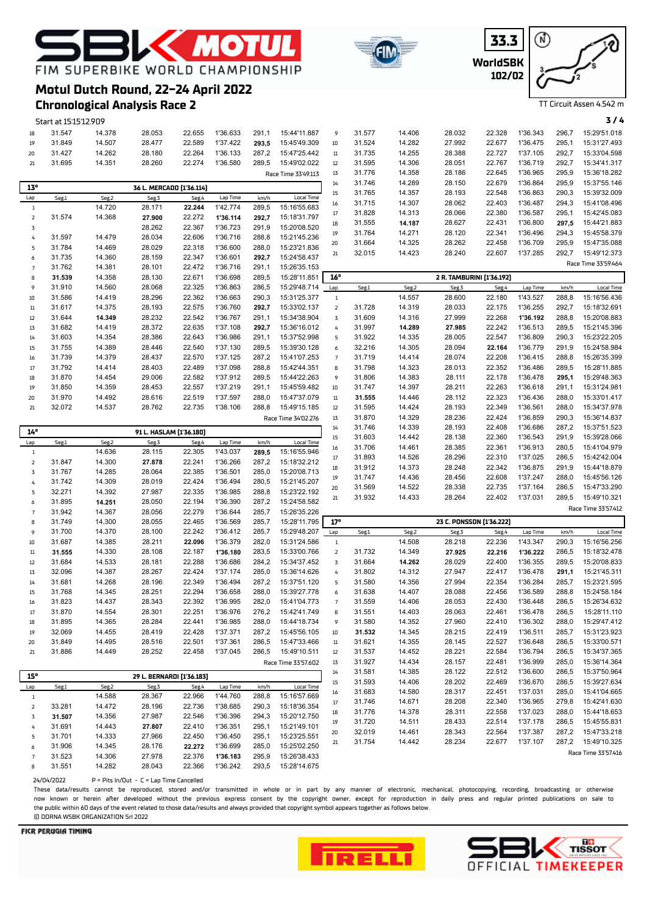

**WorldSBK 33.3 102/02**



TT Circuit Assen 4.542 m

# **Chronological Analysis Race 2**

**Motul Dutch Round, 22-24 April 2022**

FIM SUPERBIKE WORLD CHAMPIONSHIP

**EXAMPLE** 

|                     | Start at 15:15'12.909 |                  |                           |                  |                      |                |                              |                |                  |                  |                           |        |          |       | 3/4                                 |
|---------------------|-----------------------|------------------|---------------------------|------------------|----------------------|----------------|------------------------------|----------------|------------------|------------------|---------------------------|--------|----------|-------|-------------------------------------|
| 18                  | 31.547                | 14.378           | 28.053                    | 22.655           | 1'36.633             | 291,1          | 15:44'11.887                 | 9              | 31.577           | 14.406           | 28.032                    | 22.328 | 1'36.343 | 296,7 | 15:29'51.018                        |
| 19                  | 31.849                | 14.507           | 28.477                    | 22.589           | 1'37.422             | 293,5          | 15:45'49.309                 | $10\,$         | 31.524           | 14.282           | 27.992                    | 22.677 | 1'36.475 | 295,1 | 15:31'27.493                        |
| 20                  | 31.427                | 14.262           | 28.180                    | 22.264           | 1'36.133             | 287,2          | 15:47'25.442                 | $11\,$         | 31.735           | 14.255           | 28.388                    | 22.727 | 1'37.105 | 292,7 | 15:33'04.598                        |
| 21                  | 31.695                | 14.351           | 28.260                    | 22.274           | 1'36.580             | 289,5          | 15:49'02.022                 | 12             | 31.595           | 14.306           | 28.051                    | 22.767 | 1'36.719 | 292,7 | 15:34'41.317                        |
|                     |                       |                  |                           |                  |                      |                | Race Time 33'49.113          | 13             | 31.776           | 14.358           | 28.186                    | 22.645 | 1'36.965 | 295,9 | 15:36'18.282                        |
| 13°                 |                       |                  | 36 L. MERCADO [1'36.114]  |                  |                      |                |                              | 14             | 31.746           | 14.289           | 28.150                    | 22.679 | 1'36.864 | 295,9 | 15:37'55.146                        |
| Lap                 | Seg.1                 | Seg.2            | Seg.3                     | Seg.4            | Lap Time             | km/h           | <b>Local Time</b>            | 15             | 31.765           | 14.357           | 28.193                    | 22.548 | 1'36.863 | 290,3 | 15:39'32.009                        |
| $\mathbf{1}$        |                       | 14.720           | 28.171                    | 22.244           | 1'42.774             | 289,5          | 15:16'55.683                 | 16             | 31.715           | 14.307           | 28.062                    | 22.403 | 1'36.487 | 294,3 | 15:41'08.496                        |
| $\mathsf{Z}$        | 31.574                | 14.368           | 27.900                    | 22.272           | 1'36.114             | 292,7          | 15:18'31.797                 | 17             | 31.828           | 14.313           | 28.066                    | 22.380 | 1'36.587 | 295,1 | 15:42'45.083                        |
| 3                   |                       |                  | 28.262                    | 22.367           | 1'36.723             | 291,9          | 15:20'08.520                 | 18             | 31.555           | 14.187           | 28.627                    | 22.431 | 1'36.800 | 297,5 | 15:44'21.883                        |
| 4                   | 31.597                | 14.479           | 28.034                    | 22.606           | 1'36.716             | 288,8          | 15:21'45.236                 | 19             | 31.764           | 14.271           | 28.120                    | 22.341 | 1'36.496 | 294,3 | 15:45'58.379                        |
| 5                   | 31.784                | 14.469           | 28.029                    | 22.318           | 1'36.600             | 288,0          | 15:23'21.836                 | 20             | 31.664           | 14.325           | 28.262                    | 22.458 | 1'36.709 | 295,9 | 15:47'35.088                        |
| 6                   | 31.735                | 14.360           | 28.159                    | 22.347           | 1'36.601             | 292,7          | 15:24'58.437                 | 21             | 32.015           | 14.423           | 28.240                    | 22.607 | 1'37.285 | 292,7 | 15:49'12.373                        |
| $\overline{7}$      | 31.762                | 14.381           | 28.101                    | 22.472           | 1'36.716             | 291,1          | 15:26'35.153                 |                |                  |                  |                           |        |          |       | Race Time 33'59.464                 |
| 8                   | 31.539                | 14.358           | 28.130                    | 22.671           | 1'36.698             | 289,5          | 15:28'11.851                 | 16°            |                  |                  | 2 R. TAMBURINI [1'36.192] |        |          |       |                                     |
| 9                   | 31.910                | 14.560           | 28.068                    | 22.325           | 1'36.863             | 286,5          | 15:29'48.714                 | Lap            | Seg.1            | Seg.2            | Seg.3                     | Seg.4  | Lap Time | km/h  | <b>Local Time</b>                   |
| 10                  | 31.586                | 14.419           | 28.296                    | 22.362           | 1'36.663             | 290,3          | 15:31'25.377                 | $1\,$          |                  | 14.557           | 28.600                    | 22.180 | 1'43.527 | 288,8 | 15:16'56.436                        |
| $11\,$              | 31.617                | 14.375           | 28.193                    | 22.575           | 1'36.760             | 292,7          | 15:33'02.137                 | $\mathsf{2}$   | 31.728           | 14.319           | 28.033                    | 22.175 | 1'36.255 | 292,7 | 15:18'32.691                        |
| 12                  | 31.644                | 14.349           | 28.232                    | 22.542           | 1'36.767             | 291,1          | 15:34'38.904                 | 3              | 31.609           | 14.316           | 27.999                    | 22.268 | 1'36.192 | 288,8 | 15:20'08.883                        |
| 13                  | 31.682                | 14.419           | 28.372                    | 22.635           | 1'37.108             | 292,7          | 15:36'16.012                 | 4              | 31.997           | 14.289           | 27.985                    | 22.242 | 1'36.513 | 289,5 | 15:21'45.396                        |
| 14                  | 31.603                | 14.354           | 28.386                    | 22.643           | 1'36.986             | 291,1          | 15:37'52.998                 | 5              | 31.922           | 14.335           | 28.005                    | 22.547 | 1'36.809 | 290,3 | 15:23'22.205                        |
| 15                  | 31.755                | 14.389           | 28.446                    | 22.540           | 1'37.130             | 289,5          | 15:39'30.128                 | 6              | 32.216           | 14.305           | 28.094                    | 22.164 | 1'36.779 | 291,9 | 15:24'58.984                        |
| 16                  | 31.739                | 14.379           | 28.437                    | 22.570           | 1'37.125             | 287,2          | 15:41'07.253                 | $\overline{7}$ | 31.719           | 14.414           | 28.074                    | 22.208 | 1'36.415 | 288,8 | 15:26'35.399                        |
| $17\,$              | 31.792                | 14.414           | 28.403                    | 22.489           | 1'37.098             | 288,8          | 15:42'44.351                 | 8              | 31.798           | 14.323           | 28.013                    | 22.352 | 1'36.486 | 289,5 | 15:28'11.885                        |
| 18                  | 31.870                | 14.454           | 29.006                    | 22.582           | 1'37.912             | 289,5          | 15:44'22.263                 | 9              | 31.806           | 14.383           | 28.111                    | 22.178 | 1'36.478 | 295,1 | 15:29'48.363                        |
| 19                  | 31.850                | 14.359           | 28.453                    | 22.557           | 1'37.219             | 291,1          | 15:45'59.482                 | $10\,$         | 31.747           | 14.397           | 28.211                    | 22.263 | 1'36.618 | 291,1 | 15:31'24.981                        |
| 20                  | 31.970                | 14.492           | 28.616                    | 22.519           | 1'37.597             | 288,0          | 15:47'37.079                 | $11\,$         | 31.555           | 14.446           | 28.112                    | 22.323 | 1'36.436 | 288,0 | 15:33'01.417                        |
| 21                  | 32.072                | 14.537           | 28.762                    | 22.735           | 1'38.106             | 288,8          | 15:49'15.185                 | 12             | 31.595           | 14.424           | 28.193                    | 22.349 | 1'36.561 | 288,0 | 15:34'37.978                        |
|                     |                       |                  |                           |                  |                      |                | Race Time 34'02.276          | 13             | 31.870           | 14.329           | 28.236                    | 22.424 | 1'36.859 | 290,3 | 15:36'14.837                        |
|                     |                       |                  |                           |                  |                      |                |                              | 14             | 31.746           | 14.339           | 28.193                    | 22.408 | 1'36.686 | 287,2 | 15:37'51.523                        |
| 14°                 |                       |                  | 91 L. HASLAM [1'36.180]   |                  |                      |                |                              | 15             | 31.603           | 14.442           | 28.138                    | 22.360 | 1'36.543 | 291,9 | 15:39'28.066                        |
|                     | Seg.1                 | Seg.2            | Seg.3                     | Seg.4            |                      |                |                              |                |                  |                  |                           |        |          |       |                                     |
| Lap                 |                       |                  |                           |                  | Lap Time             | km/h           | Local Time                   |                |                  |                  |                           | 22.361 | 1'36.913 | 280,5 |                                     |
| $1\,$               |                       | 14.636           | 28.115                    | 22.305           | 1'43.037             | 289,5          | 15:16'55.946                 | 16<br>17       | 31.706<br>31.893 | 14.461<br>14.526 | 28.385<br>28.296          | 22.310 | 1'37.025 | 286,5 | 15:41'04.979<br>15:42'42.004        |
| $\mathsf{Z}$        | 31.847                | 14.300           | 27.878                    | 22.241           | 1'36.266             | 287,2          | 15:18'32.212                 | 18             |                  |                  | 28.248                    | 22.342 | 1'36.875 | 291,9 | 15:44'18.879                        |
| 3                   | 31.767                | 14.285           | 28.064                    | 22.385           | 1'36.501             | 285,0          | 15:20'08.713                 | 19             | 31.912           | 14.373<br>14.436 |                           | 22.608 | 1'37.247 | 288,0 | 15:45'56.126                        |
| 4                   | 31.742                | 14.309           | 28.019                    | 22.424           | 1'36.494             | 280,5          | 15:21'45.207                 | 20             | 31.747<br>31.569 | 14.522           | 28.456<br>28.338          | 22.735 | 1'37.164 | 286,5 | 15:47'33.290                        |
| 5                   | 32.271                | 14.392           | 27.987                    | 22.335           | 1'36.985             | 288,8          | 15:23'22.192                 | 21             | 31.932           | 14.433           | 28.264                    | 22.402 | 1'37.031 | 289,5 | 15:49'10.321                        |
| 6                   | 31.895                | 14.251           | 28.050                    | 22.194           | 1'36.390             | 287,2          | 15:24'58.582                 |                |                  |                  |                           |        |          |       |                                     |
| $\overline{7}$      | 31.942                | 14.367           | 28.056                    | 22.279           | 1'36.644             | 285,7          | 15:26'35.226                 |                |                  |                  |                           |        |          |       | Race Time 33'57.412                 |
| 8                   | 31.749                | 14.300           | 28.055                    | 22.465           | 1'36.569             | 285,7          | 15:28'11.795                 | 17°            |                  |                  | 23 C. PONSSON [1'36.222]  |        |          |       |                                     |
| 9                   | 31.700                | 14.370           | 28.100                    | 22.242           | 1'36.412             | 285,7          | 15:29'48.207                 | Lap            | Seg.1            | Seg.2            | Seg.3                     | Seg.4  | Lap Time | km/h  | <b>Local Time</b>                   |
| $10\,$              | 31.687                | 14.385           | 28.211                    | 22.096           | 1'36.379             | 282,0          | 15:31'24.586                 | $\mathbf{1}$   |                  | 14.508           | 28.218                    | 22.236 | 1'43.347 | 290,3 | 15:16'56.256                        |
| $11\,$              | 31.555                | 14.330           | 28.108                    | 22.187           | 1'36.180             | 283,5          | 15:33'00.766                 | $\overline{2}$ | 31.732           | 14.349           | 27.925                    | 22.216 | 1'36.222 | 286,5 | 15:18'32.478                        |
| 12                  | 31.684                | 14.533           | 28.181                    | 22.288           | 1'36.686             | 284,2          | 15:34'37.452                 | 3              | 31.664           | 14.262           | 28.029                    | 22.400 | 1'36.355 | 289,5 | 15:20'08.833                        |
| 13                  | 32.096                | 14.387           | 28.267                    | 22.424           | 1'37.174             | 285,0          | 15:36'14.626                 | 4              | 31.802           | 14.312           | 27.947                    | 22.417 | 1'36.478 | 291,1 | 15:21'45.311                        |
| 14                  | 31.681                | 14.268           | 28.196                    | 22.349           | 1'36.494             | 287,2          | 15:37'51.120                 | 5              | 31.580           | 14.356           | 27.994                    | 22.354 | 1'36.284 | 285,7 | 15:23'21.595                        |
| 15                  | 31.768                | 14.345           | 28.251                    | 22.294           | 1'36.658             | 288,0          | 15:39'27.778                 | 6              | 31.638           | 14.407           | 28.088                    | 22.456 | 1'36.589 | 288,8 | 15:24'58.184                        |
| 16                  | 31.823                | 14.437           | 28.343                    | 22.392           | 1'36.995             | 282,0          | 15:41'04.773                 | $\overline{7}$ | 31.559           | 14.406           | 28.053                    | 22.430 | 1'36.448 | 286,5 | 15:26'34.632                        |
| $17\,$              | 31.870                | 14.554           | 28.301                    | 22.251           | 1'36.976             | 276,2          | 15:42'41.749                 | 8              | 31.551           | 14.403           | 28.063                    | 22.461 | 1'36.478 | 286,5 | 15:28'11.110                        |
| 18                  | 31.895                | 14.365           | 28.284                    | 22.441           | 1'36.985             | 288,0          | 15:44'18.734                 | 9              | 31.580           | 14.352           | 27.960                    | 22.410 | 1'36.302 | 288,0 | 15:29'47.412                        |
| 19                  | 32.069                | 14.455           | 28.419                    | 22.428           | 1'37.371             | 287,2          | 15:45'56.105                 | 10             | 31.532           | 14.345           | 28.215                    | 22.419 | 1'36.511 | 285,7 | 15:31'23.923                        |
| 20                  | 31.849                | 14.495           | 28.516                    | 22.501           | 1'37.361             | 286,5          | 15:47'33.466                 | $11\,$         | 31.621           | 14.355           | 28.145                    | 22.527 | 1'36.648 | 286,5 | 15:33'00.571                        |
| 21                  | 31.886                | 14.449           | 28.252                    | 22.458           | 1'37.045             | 286,5          | 15:49'10.511                 | $12\,$         | 31.537           | 14.452           | 28.221                    | 22.584 | 1'36.794 | 286,5 | 15:34'37.365                        |
|                     |                       |                  |                           |                  |                      |                | Race Time 33'57.602          | 13             | 31.927           | 14.434           | 28.157                    | 22.481 | 1'36.999 | 285,0 | 15:36'14.364                        |
| 15°                 |                       |                  | 29 L. BERNARDI [1'36.183] |                  |                      |                |                              | 14             | 31.581           | 14.385           | 28.122                    | 22.512 | 1'36.600 | 286,5 | 15:37'50.964                        |
| Lap                 | Seg.1                 | Seg.2            | Seg.3                     | Seg.4            | Lap Time             | km/h           | <b>Local Time</b>            | 15             | 31.593           | 14.406           | 28.202                    | 22.469 | 1'36.670 | 286,5 | 15:39'27.634                        |
| $\mathbf{1}$        |                       | 14.588           | 28.367                    | 22.966           | 1'44.760             | 288,8          | 15:16'57.669                 | 16             | 31.683           | 14.580           | 28.317                    | 22.451 | 1'37.031 | 285,0 | 15:41'04.665                        |
| 2                   | 33.281                | 14.472           | 28.196                    | 22.736           | 1'38.685             | 290,3          | 15:18'36.354                 | 17             | 31.746           | 14.671           | 28.208                    | 22.340 | 1'36.965 | 279,8 | 15:42'41.630                        |
| 3                   | 31.507                | 14.356           | 27.987                    | 22.546           | 1'36.396             | 294,3          | 15:20'12.750                 | 18             | 31.776           | 14.378           | 28.311                    | 22.558 | 1'37.023 | 288,0 | 15:44'18.653                        |
| 4                   | 31.691                | 14.443           | 27.807                    | 22.410           | 1'36.351             | 295,1          | 15:21'49.101                 | 19             | 31.720           | 14.511           | 28.433                    | 22.514 | 1'37.178 | 286,5 | 15:45'55.831                        |
| 5                   | 31.701                | 14.333           | 27.966                    | 22.450           | 1'36.450             | 295,1          | 15:23'25.551                 | 20             | 32.019           | 14.461           | 28.343                    | 22.564 | 1'37.387 | 287,2 | 15:47'33.218                        |
| 6<br>$\overline{7}$ | 31.906<br>31.523      | 14.345<br>14.306 | 28.176<br>27.978          | 22.272<br>22.376 | 1'36.699<br>1'36.183 | 285,0<br>295,9 | 15:25'02.250<br>15:26'38.433 | 21             | 31.754           | 14.442           | 28.234                    | 22.677 | 1'37.107 | 287,2 | 15:49'10.325<br>Race Time 33'57.416 |

 $24/04/2022$  P = Pits In/Out - C = Lap Time Cancelled

31.551 14.282 28.043 22.366 1'36.242 293,5 15:28'14.675

These data/results cannot be reproduced, stored and/or transmitted in whole or in part by any manner of electronic, mechanical, photocopying, recording, broadcasting or otherwise now known or herein afer developed without the previous express consent by the copyright owner, except for reproduction in daily press and regular printed publications on sale to the public within 60 days of the event related to those data/results and always provided that copyright symbol appears together as follows below. © DORNA WSBK ORGANIZATION Srl 2022



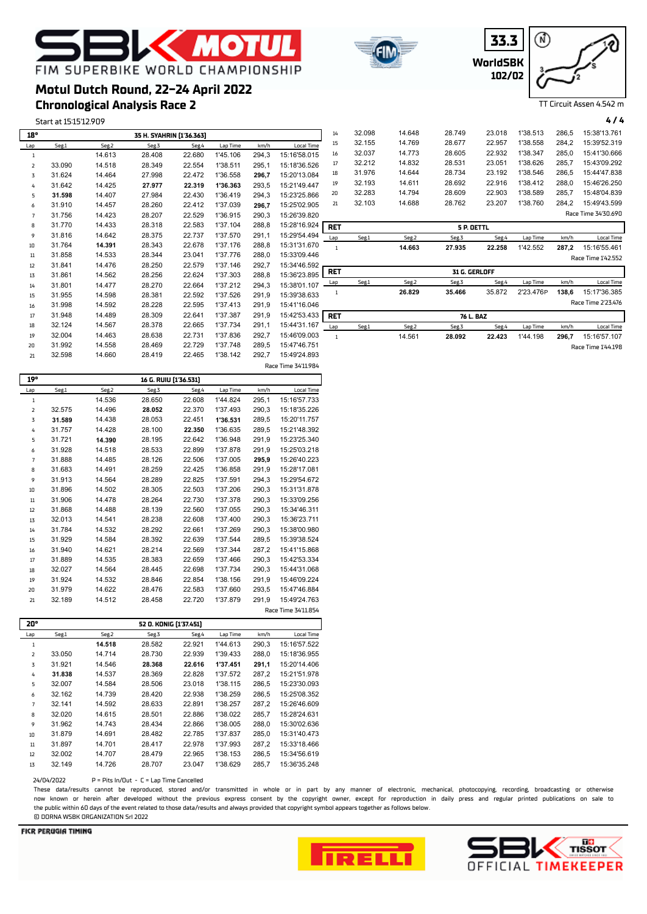# **K MOTU** FIM SUPERBIKE WORLD CHAMPIONSHIP

## **Chronological Analysis Race 2 Motul Dutch Round, 22-24 April 2022**

Start at 15:15'12.909 **4 / 4**

| 18°            |        |                       | 35 H. SYAHRIN [1'36.363] |        |          |       |                     | 14             | 32.098 | 14.648 | 28.749        | 23.018 | 1'38.513  | 286,5 | 15:38'13.761        |
|----------------|--------|-----------------------|--------------------------|--------|----------|-------|---------------------|----------------|--------|--------|---------------|--------|-----------|-------|---------------------|
| Lap            | Seg.1  | Seg.2                 | Seg.3                    | Seg.4  | Lap Time | km/h  | Local Time          | 15             | 32.155 | 14.769 | 28.677        | 22.957 | 1'38.558  | 284,2 | 15:39'52.319        |
| -1             |        | 14.613                | 28.408                   | 22.680 | 1'45.106 | 294,3 | 15:16'58.015        | 16             | 32.037 | 14.773 | 28.605        | 22.932 | 1'38.347  | 285,0 | 15:41'30.666        |
| 2              | 33.090 | 14.518                | 28.349                   | 22.554 | 1'38.511 | 295,1 | 15:18'36.526        | 17             | 32.212 | 14.832 | 28.531        | 23.051 | 1'38.626  | 285.7 | 15:43'09.292        |
| 3              | 31.624 | 14.464                | 27.998                   | 22.472 | 1'36.558 | 296,7 | 15:20'13.084        | 18             | 31.976 | 14.644 | 28.734        | 23.192 | 1'38.546  | 286,5 | 15:44'47.838        |
| 4              | 31.642 | 14.425                | 27.977                   | 22.319 | 1'36.363 | 293,5 | 15:21'49.447        | 19             | 32.193 | 14.611 | 28.692        | 22.916 | 1'38.412  | 288,0 | 15:46'26.250        |
| 5              | 31.598 | 14.407                | 27.984                   | 22.430 | 1'36.419 | 294,3 | 15:23'25.866        | 20             | 32.283 | 14.794 | 28.609        | 22.903 | 1'38.589  | 285.7 | 15:48'04.839        |
| 6              | 31.910 | 14.457                | 28.260                   | 22.412 | 1'37.039 | 296,7 | 15:25'02.905        | 21             | 32.103 | 14.688 | 28.762        | 23.207 | 1'38.760  | 284,2 | 15:49'43.599        |
| $\overline{7}$ | 31.756 | 14.423                | 28.207                   | 22.529 | 1'36.915 | 290,3 | 15:26'39.820        |                |        |        |               |        |           |       | Race Time 34'30.690 |
| 8              | 31.770 | 14.433                | 28.318                   | 22.583 | 1'37.104 | 288,8 | 15:28'16.924        | <b>RET</b>     |        |        | 5 P. OETTL    |        |           |       |                     |
| 9              | 31.816 | 14.642                | 28.375                   | 22.737 | 1'37.570 | 291,1 | 15:29'54.494        | Lap            | Seg.1  | Seg.2  | Seg.3         | Seg.4  | Lap Time  | km/h  | <b>Local Time</b>   |
| 10             | 31.764 | 14.391                | 28.343                   | 22.678 | 1'37.176 | 288,8 | 15:31'31.670        | $\overline{1}$ |        | 14.663 | 27.935        | 22.258 | 1'42.552  | 287,2 | 15:16'55.461        |
| 11             | 31.858 | 14.533                | 28.344                   | 23.041 | 1'37.776 | 288,0 | 15:33'09.446        |                |        |        |               |        |           |       | Race Time 1'42.552  |
| 12             | 31.841 | 14.476                | 28.250                   | 22.579 | 1'37.146 | 292,7 | 15:34'46.592        |                |        |        |               |        |           |       |                     |
| 13             | 31.861 | 14.562                | 28.256                   | 22.624 | 1'37.303 | 288,8 | 15:36'23.895        | <b>RET</b>     |        |        | 31 G. GERLOFF |        |           |       |                     |
| 14             | 31.801 | 14.477                | 28.270                   | 22.664 | 1'37.212 | 294,3 | 15:38'01.107        | Lap            | Seg.1  | Seg.2  | Seg.3         | Seg.4  | Lap Time  | km/h  | <b>Local Time</b>   |
| 15             | 31.955 | 14.598                | 28.381                   | 22.592 | 1'37.526 | 291,9 | 15:39'38.633        | 1              |        | 26.829 | 35.466        | 35.872 | 2'23.476P | 138,6 | 15:17'36.385        |
| 16             | 31.998 | 14.592                | 28.228                   | 22.595 | 1'37.413 | 291,9 | 15:41'16.046        |                |        |        |               |        |           |       | Race Time 2'23.476  |
| 17             | 31.948 | 14.489                | 28.309                   | 22.641 | 1'37.387 | 291,9 | 15:42'53.433        | <b>RET</b>     |        |        | 76 L. BAZ     |        |           |       |                     |
| 18             | 32.124 | 14.567                | 28.378                   | 22.665 | 1'37.734 | 291,1 | 15:44'31.167        | Lap            | Seg.1  | Seg.2  | Seg.3         | Seg.4  | Lap Time  | km/h  | <b>Local Time</b>   |
| 19             | 32.004 | 14.463                | 28.638                   | 22.731 | 1'37.836 | 292,7 | 15:46'09.003        | $\overline{1}$ |        | 14.561 | 28.092        | 22.423 | 1'44.198  | 296,7 | 15:16'57.107        |
| 20             | 31.992 | 14.558                | 28.469                   | 22.729 | 1'37.748 | 289,5 | 15:47'46.751        |                |        |        |               |        |           |       | Race Time 1'44.198  |
| 21             | 32.598 | 14.660                | 28.419                   | 22.465 | 1'38.142 | 292,7 | 15:49'24.893        |                |        |        |               |        |           |       |                     |
|                |        |                       |                          |        |          |       | Race Time 34'11.984 |                |        |        |               |        |           |       |                     |
| 19°            |        | 16 G. RUIU [1'36.531] |                          |        |          |       |                     |                |        |        |               |        |           |       |                     |

| 19°            |        |        | 16 G. RUIU (1'36.531) |        |          |       |                     |
|----------------|--------|--------|-----------------------|--------|----------|-------|---------------------|
| Lap            | Seg.1  | Seg.2  | Seg.3                 | Seg.4  | Lap Time | km/h  | <b>Local Time</b>   |
| 1              |        | 14.536 | 28.650                | 22.608 | 1'44.824 | 295,1 | 15:16'57.733        |
| $\overline{2}$ | 32.575 | 14.496 | 28.052                | 22.370 | 1'37.493 | 290,3 | 15:18'35.226        |
| 3              | 31.589 | 14.438 | 28.053                | 22.451 | 1'36.531 | 289,5 | 15:20'11.757        |
| 4              | 31.757 | 14.428 | 28.100                | 22.350 | 1'36.635 | 289,5 | 15:21'48.392        |
| 5              | 31.721 | 14.390 | 28.195                | 22.642 | 1'36.948 | 291,9 | 15:23'25.340        |
| 6              | 31.928 | 14.518 | 28.533                | 22.899 | 1'37.878 | 291.9 | 15:25'03.218        |
| 7              | 31.888 | 14.485 | 28.126                | 22.506 | 1'37.005 | 295,9 | 15:26'40.223        |
| 8              | 31.683 | 14.491 | 28.259                | 22.425 | 1'36.858 | 291,9 | 15:28'17.081        |
| 9              | 31.913 | 14.564 | 28.289                | 22.825 | 1'37.591 | 294.3 | 15:29'54.672        |
| 10             | 31.896 | 14.502 | 28.305                | 22.503 | 1'37.206 | 290.3 | 15:31'31.878        |
| 11             | 31.906 | 14.478 | 28.264                | 22.730 | 1'37.378 | 290.3 | 15:33'09.256        |
| 12             | 31.868 | 14.488 | 28.139                | 22.560 | 1'37.055 | 290.3 | 15:34'46.311        |
| 13             | 32.013 | 14.541 | 28.238                | 22.608 | 1'37.400 | 290,3 | 15:36'23.711        |
| 14             | 31.784 | 14.532 | 28.292                | 22.661 | 1'37.269 | 290.3 | 15:38'00.980        |
| 15             | 31.929 | 14.584 | 28.392                | 22.639 | 1'37.544 | 289,5 | 15:39'38.524        |
| 16             | 31.940 | 14.621 | 28.214                | 22.569 | 1'37.344 | 287.2 | 15:41'15.868        |
| 17             | 31.889 | 14.535 | 28.383                | 22.659 | 1'37.466 | 290,3 | 15:42'53.334        |
| 18             | 32.027 | 14.564 | 28.445                | 22.698 | 1'37.734 | 290,3 | 15:44'31.068        |
| 19             | 31.924 | 14.532 | 28.846                | 22.854 | 1'38.156 | 291.9 | 15:46'09.224        |
| 20             | 31.979 | 14.622 | 28.476                | 22.583 | 1'37.660 | 293,5 | 15:47'46.884        |
| 21             | 32.189 | 14.512 | 28.458                | 22.720 | 1'37.879 | 291,9 | 15:49'24.763        |
|                |        |        |                       |        |          |       | Race Time 34'11.854 |

| 20°            |        |        | 52 O. KONIG [1'37.451] |        |          |       |              |
|----------------|--------|--------|------------------------|--------|----------|-------|--------------|
| Lap            | Seg.1  | Seg.2  | Seg.3                  | Seg.4  | Lap Time | km/h  | Local Time   |
| 1              |        | 14.518 | 28.582                 | 22.921 | 1'44.613 | 290.3 | 15:16'57.522 |
| $\overline{z}$ | 33.050 | 14.714 | 28.730                 | 22.939 | 1'39.433 | 288,0 | 15:18'36.955 |
| 3              | 31.921 | 14.546 | 28.368                 | 22.616 | 1'37.451 | 291.1 | 15:20'14.406 |
| 4              | 31.838 | 14.537 | 28.369                 | 22.828 | 1'37.572 | 287.2 | 15:21'51.978 |
| 5              | 32.007 | 14.584 | 28.506                 | 23.018 | 1'38.115 | 286,5 | 15:23'30.093 |
| 6              | 32.162 | 14.739 | 28.420                 | 22.938 | 1'38.259 | 286.5 | 15:25'08.352 |
| 7              | 32.141 | 14.592 | 28.633                 | 22.891 | 1'38.257 | 287,2 | 15:26'46.609 |
| 8              | 32.020 | 14.615 | 28.501                 | 22.886 | 1'38.022 | 285.7 | 15:28'24.631 |
| 9              | 31.962 | 14.743 | 28.434                 | 22.866 | 1'38.005 | 288,0 | 15:30'02.636 |
| 10             | 31.879 | 14.691 | 28.482                 | 22.785 | 1'37.837 | 285.0 | 15:31'40.473 |
| 11             | 31.897 | 14.701 | 28.417                 | 22.978 | 1'37.993 | 287,2 | 15:33'18.466 |
| 12             | 32.002 | 14.707 | 28.479                 | 22.965 | 1'38.153 | 286.5 | 15:34'56.619 |
| 13             | 32.149 | 14.726 | 28.707                 | 23.047 | 1'38.629 | 285,7 | 15:36'35.248 |

24/04/2022 P = Pits In/Out - C = Lap Time Cancelled

These data/results cannot be reproduced, stored and/or transmitted in whole or in part by any manner of electronic, mechanical, photocopying, recording, broadcasting or otherwise now known or herein afer developed without the previous express consent by the copyright owner, except for reproduction in daily press and regular printed publications on sale to the public within 60 days of the event related to those data/results and always provided that copyright symbol appears together as follows below. © DORNA WSBK ORGANIZATION Srl 2022

#### FICR PERUGIA TIMING







TT Circuit Assen 4.542 m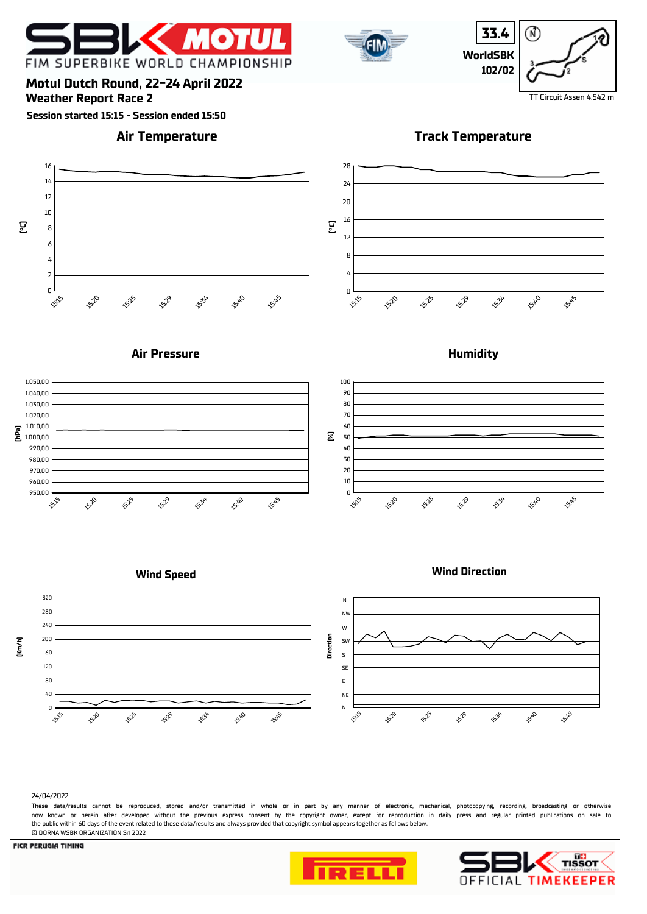



**33.4** ⋒ **WorldSBK 102/02**

**Weather Report Race 2** TT Circuit Assen 4.542 m **Motul Dutch Round, 22-24 April 2022**

**Session started 15:15 - Session ended 15:50**

### **Air Temperature**

**Track Temperature**



### **Air Pressure**



### **Wind Speed**





#### 24/04/2022

These data/results cannot be reproduced, stored and/or transmitted in whole or in part by any manner of electronic, mechanical, photocopying, recording, broadcasting or otherwise now known or herein afer developed without the previous express consent by the copyright owner, except for reproduction in daily press and regular printed publications on sale to the public within 60 days of the event related to those data/results and always provided that copyright symbol appears together as follows below. © DORNA WSBK ORGANIZATION Srl 2022







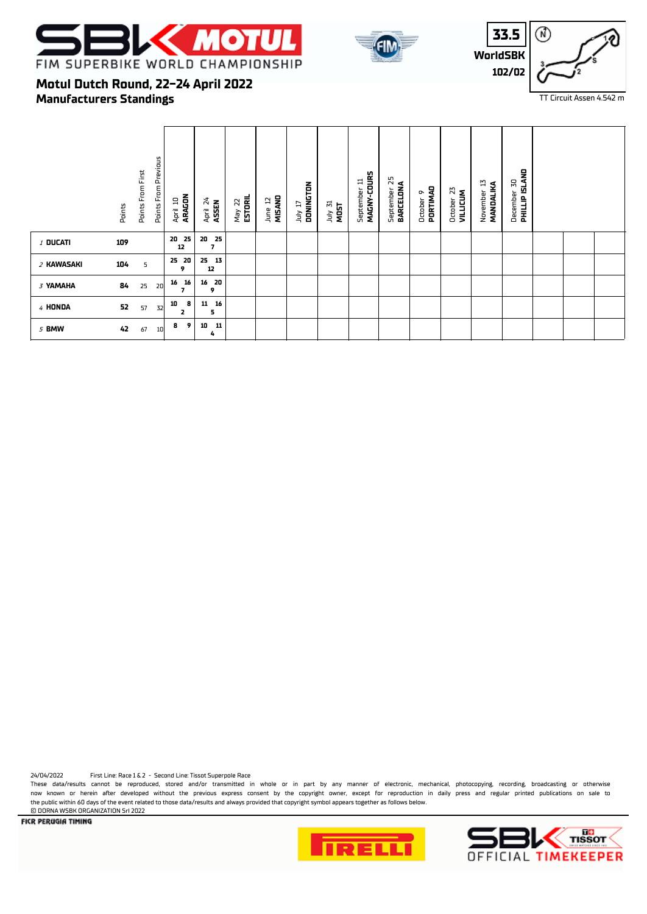





# **Manufacturers Standings Motul Dutch Round, 22-24 April 2022**

|                 | Points | Points From First | Points From Previous | ARAGON<br>April 10  | April 24<br>ASSEN                 | May 22<br><b>ESTORIL</b> | MISAND<br>₽<br>June | DONINGTON<br>TI VIDL | July 31<br>MOST | MAGNY-COURS<br>September 11 | 25<br>BARCELONA<br>September | October 9<br>PORTIMAD | 23<br><b>VILLICUM</b><br>October | N<br>MANDALIKA<br>November | <b>PHILLIP ISLAND</b><br>50<br>December |  |  |
|-----------------|--------|-------------------|----------------------|---------------------|-----------------------------------|--------------------------|---------------------|----------------------|-----------------|-----------------------------|------------------------------|-----------------------|----------------------------------|----------------------------|-----------------------------------------|--|--|
| <b>/ DUCATI</b> | 109    |                   |                      | 20 25<br>12         | 20 25<br>$\overline{\phantom{a}}$ |                          |                     |                      |                 |                             |                              |                       |                                  |                            |                                         |  |  |
| 2 KAWASAKI      | 104    | 5                 |                      | 25 20<br>9          | 25<br>13<br>12                    |                          |                     |                      |                 |                             |                              |                       |                                  |                            |                                         |  |  |
| 3 YAMAHA        | 84     | 25                | 16<br>20             | 16<br>7             | 20<br>16<br>9                     |                          |                     |                      |                 |                             |                              |                       |                                  |                            |                                         |  |  |
| 4 HONDA         | 52     | 57                | 10<br>32             | 8<br>$\overline{2}$ | 16<br>11<br>5                     |                          |                     |                      |                 |                             |                              |                       |                                  |                            |                                         |  |  |
| 5 BMW           | 42     | 67                | 10                   | 9<br>8              | 10<br>11<br>4                     |                          |                     |                      |                 |                             |                              |                       |                                  |                            |                                         |  |  |

24/04/2022 First Line: Race 1 & 2 - Second Line: Tissot Superpole Race

These data/results cannot be reproduced, stored and/or transmitted in whole or in part by any manner of electronic, mechanical, photocopying, recording, broadcasting or otherwise now known or herein after developed without the previous express consent by the copyright owner, except for reproduction in daily press and regular printed publications on sale to the public within 60 days of the event related to those data/results and always provided that copyright symbol appears together as follows below. **CO DORNA WSBK ORGANIZATION Srl 2022** 



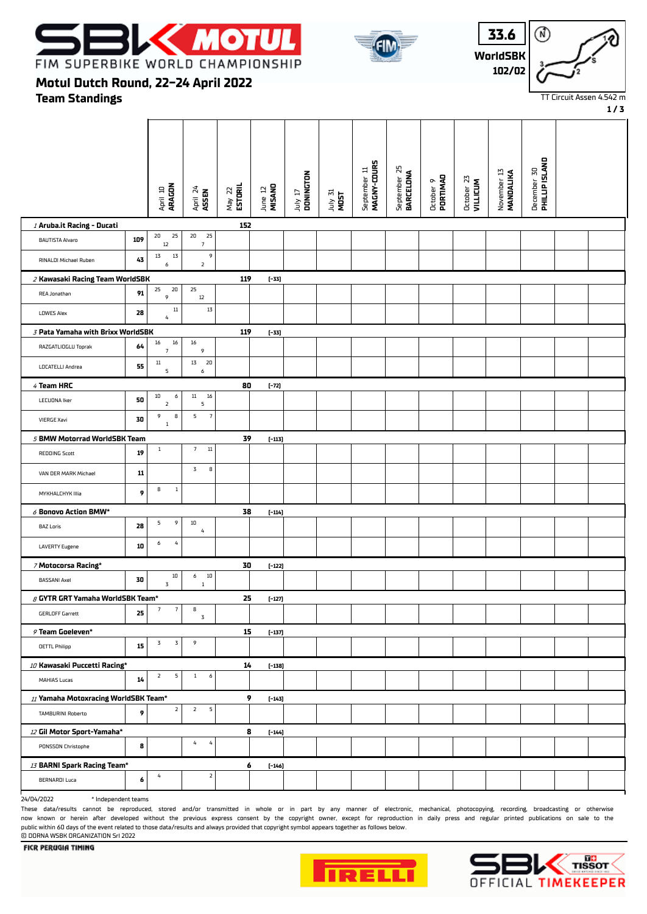





**1 / 3**

**Team Standings Motul Dutch Round, 22-24 April 2022**

|                                        |            | April 10<br><b>ARAGON</b>         | April 24<br>ASSEN                | $May$ 22<br><b>ESTORIL</b> | June 12<br>MISANO | DONNGTON<br>TI VIPL | July 31<br>MOST | MAGNY-COURS<br>September 11 | September 25<br><b>BARCELONA</b> | October 9<br>PORTIMAO | October 23<br>VILLICUM | November 13<br>MANDALIKA | <b>PHILLIP ISLAND</b><br>December 30 |  |
|----------------------------------------|------------|-----------------------------------|----------------------------------|----------------------------|-------------------|---------------------|-----------------|-----------------------------|----------------------------------|-----------------------|------------------------|--------------------------|--------------------------------------|--|
| / Aruba.it Racing - Ducati             |            |                                   |                                  | 152                        |                   |                     |                 |                             |                                  |                       |                        |                          |                                      |  |
| <b>BAUTISTA Alvaro</b>                 | 109        | 25<br>20<br>12                    | 20<br>25<br>$7\overline{ }$      |                            |                   |                     |                 |                             |                                  |                       |                        |                          |                                      |  |
| RINALDI Michael Ruben                  | 43         | $1\overline{3}$<br>13<br>6        | 9<br>$\overline{2}$              |                            |                   |                     |                 |                             |                                  |                       |                        |                          |                                      |  |
| 2 Kawasaki Racing Team WorldSBK        |            |                                   |                                  | 119                        | $[-33]$           |                     |                 |                             |                                  |                       |                        |                          |                                      |  |
| REA Jonathan                           | 91         | 20<br>25<br>9                     | 25<br>$12\,$                     |                            |                   |                     |                 |                             |                                  |                       |                        |                          |                                      |  |
| <b>LOWES Alex</b>                      | 28         | $11\,$<br>$\sqrt{4}$              | $1\overline{3}$                  |                            |                   |                     |                 |                             |                                  |                       |                        |                          |                                      |  |
| 3 Pata Yamaha with Brixx WorldSBK      |            |                                   |                                  | 119                        | $[-33]$           |                     |                 |                             |                                  |                       |                        |                          |                                      |  |
| RAZGATLIOGLU Toprak                    | 64         | 16<br>16<br>$\overline{7}$        | 16<br>9                          |                            |                   |                     |                 |                             |                                  |                       |                        |                          |                                      |  |
| LOCATELLI Andrea                       | 55         | $11\,$<br>5                       | 13<br>20<br>6                    |                            |                   |                     |                 |                             |                                  |                       |                        |                          |                                      |  |
| 4 Team HRC                             |            |                                   |                                  | 80                         | $[-72]$           |                     |                 |                             |                                  |                       |                        |                          |                                      |  |
| <b>LECUONA Iker</b>                    | 50         | $10\,$<br>6<br>$\mathbf{2}$       | $11\,$<br>16<br>5                |                            |                   |                     |                 |                             |                                  |                       |                        |                          |                                      |  |
| <b>VIERGE Xavi</b>                     | 30         | 9<br>8<br>$\,1\,$                 | $\overline{7}$<br>$\overline{5}$ |                            |                   |                     |                 |                             |                                  |                       |                        |                          |                                      |  |
| 5 BMW Motorrad WorldSBK Team           |            |                                   |                                  | 39                         | $[-113]$          |                     |                 |                             |                                  |                       |                        |                          |                                      |  |
| REDDING Scott                          | 19         | $1\,$                             | 7 <sup>7</sup><br>$11\,$         |                            |                   |                     |                 |                             |                                  |                       |                        |                          |                                      |  |
| VAN DER MARK Michael                   | ${\bf 11}$ |                                   | $\overline{3}$<br>$\bf{8}$       |                            |                   |                     |                 |                             |                                  |                       |                        |                          |                                      |  |
| MYKHALCHYK IIIia                       | 9          | 8<br>$\mathbf{1}$                 |                                  |                            |                   |                     |                 |                             |                                  |                       |                        |                          |                                      |  |
| $\delta$ Bonovo Action BMW*            |            |                                   |                                  | 38                         | $[-114]$          |                     |                 |                             |                                  |                       |                        |                          |                                      |  |
| <b>BAZ Loris</b>                       | 28         | 5<br>9                            | 10<br>$\pmb{4}$                  |                            |                   |                     |                 |                             |                                  |                       |                        |                          |                                      |  |
| <b>LAVERTY Eugene</b>                  | 10         | $\sqrt{4}$<br>6                   |                                  |                            |                   |                     |                 |                             |                                  |                       |                        |                          |                                      |  |
| 7 Motocorsa Racing*                    |            |                                   |                                  | 30                         | $[-122]$          |                     |                 |                             |                                  |                       |                        |                          |                                      |  |
| <b>BASSANI Axel</b>                    | 30         | 10<br>3                           | $10\,$<br>6<br>$\mathbf{1}$      |                            |                   |                     |                 |                             |                                  |                       |                        |                          |                                      |  |
| $\beta$ GYTR GRT Yamaha WorldSBK Team* |            |                                   |                                  | 25                         | $[-127]$          |                     |                 |                             |                                  |                       |                        |                          |                                      |  |
| <b>GERLOFF Garrett</b>                 | 25         | $7\phantom{.0}$<br>$\overline{7}$ | 8<br>$\overline{3}$              |                            |                   |                     |                 |                             |                                  |                       |                        |                          |                                      |  |
| 9 Team Goeleven*                       |            |                                   |                                  | 15                         | $[-137]$          |                     |                 |                             |                                  |                       |                        |                          |                                      |  |
| <b>OETTL Philipp</b>                   | 15         | $\mathbf 3$<br>3                  | 9                                |                            |                   |                     |                 |                             |                                  |                       |                        |                          |                                      |  |
| 10 Kawasaki Puccetti Racing*           |            |                                   |                                  | 14                         | $[-138]$          |                     |                 |                             |                                  |                       |                        |                          |                                      |  |
| MAHIAS Lucas                           | 14         | $\overline{2}$<br>$\overline{5}$  | 1<br>6                           |                            |                   |                     |                 |                             |                                  |                       |                        |                          |                                      |  |
| 11 Yamaha Motoxracing WorldSBK Team*   |            |                                   |                                  | 9                          | $[-143]$          |                     |                 |                             |                                  |                       |                        |                          |                                      |  |
| TAMBURINI Roberto                      | 9          | $\overline{2}$                    | $\overline{2}$<br>$\overline{5}$ |                            |                   |                     |                 |                             |                                  |                       |                        |                          |                                      |  |
| 12 Gil Motor Sport-Yamaha*             |            |                                   |                                  | 8                          | $[-144]$          |                     |                 |                             |                                  |                       |                        |                          |                                      |  |
| PONSSON Christophe                     | 8          |                                   | 4<br>$\pmb{4}$                   |                            |                   |                     |                 |                             |                                  |                       |                        |                          |                                      |  |
| 13 BARNI Spark Racing Team*            |            |                                   |                                  | 6                          | $[-146]$          |                     |                 |                             |                                  |                       |                        |                          |                                      |  |
| <b>BERNARDI Luca</b>                   | 6          | 4                                 | $\overline{2}$                   |                            |                   |                     |                 |                             |                                  |                       |                        |                          |                                      |  |

24/04/2022 \* Independent teams

These data/results cannot be reproduced, stored and/or transmitted in whole or in part by any manner of electronic, mechanical, photocopying, recording, broadcasting or otherwise now known or herein after developed without the previous express consent by the copyright owner, except for reproduction in daily press and regular printed publications on sale to the public within 60 days of the event related to those data/results and always provided that copyright symbol appears together as follows below. © DORNA WSBK ORGANIZATION Srl 2022



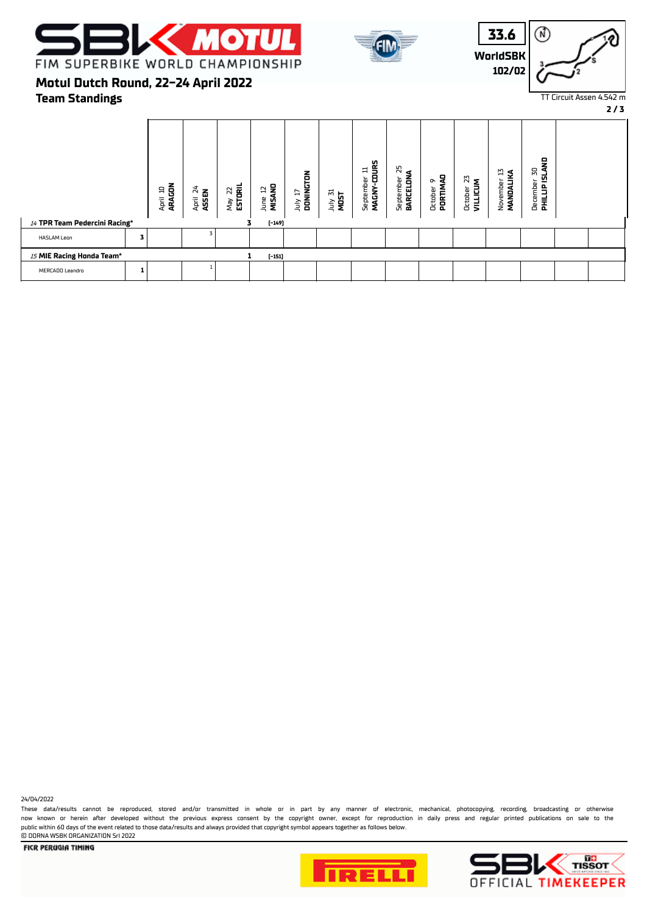





**2 / 3**

## **Team Standings Motul Dutch Round, 22-24 April 2022**

|                               | ARAGON<br>$\Xi$<br>April | $\approx$<br><b>ASSEN</b><br>April | ESTORIL<br>25<br>Vay | June 12<br>MISANO<br>R | July 17<br><b>DONINGTON</b> | July 31<br>MOST | g<br>급<br>8<br>September<br><b>MAGNY</b> | September 25<br><b>BARCELONA</b><br>September | 뭉<br>∾<br>PORTIN<br>Octobei | 22<br>5<br>Octobe<br>VILLIC | N<br>ડ<br>November<br>MANDALIK | <b>PHILLIP ISLAND</b><br>$\Sigma$<br>December |  |
|-------------------------------|--------------------------|------------------------------------|----------------------|------------------------|-----------------------------|-----------------|------------------------------------------|-----------------------------------------------|-----------------------------|-----------------------------|--------------------------------|-----------------------------------------------|--|
| 14 TPR Team Pedercini Racing* |                          |                                    |                      | $[-149]$               |                             |                 |                                          |                                               |                             |                             |                                |                                               |  |
| HASLAM Leon<br>з              |                          |                                    |                      |                        |                             |                 |                                          |                                               |                             |                             |                                |                                               |  |
| 15 MIE Racing Honda Team*     |                          |                                    |                      | $[-151]$               |                             |                 |                                          |                                               |                             |                             |                                |                                               |  |
| MERCADO Leandro               |                          |                                    |                      |                        |                             |                 |                                          |                                               |                             |                             |                                |                                               |  |

24/04/2022

These data/results cannot be reproduced, stored and/or transmitted in whole or in part by any manner of electronic, mechanical, photocopying, recording, broadcasting or otherwise now known or herein after developed without the previous express consent by the copyright owner, except for reproduction in daily press and regular printed publications on sale to the public within 60 days of the event related to those data/results and always provided that copyright symbol appears together as follows below. © DORNA WSBK ORGANIZATION Srl 2022



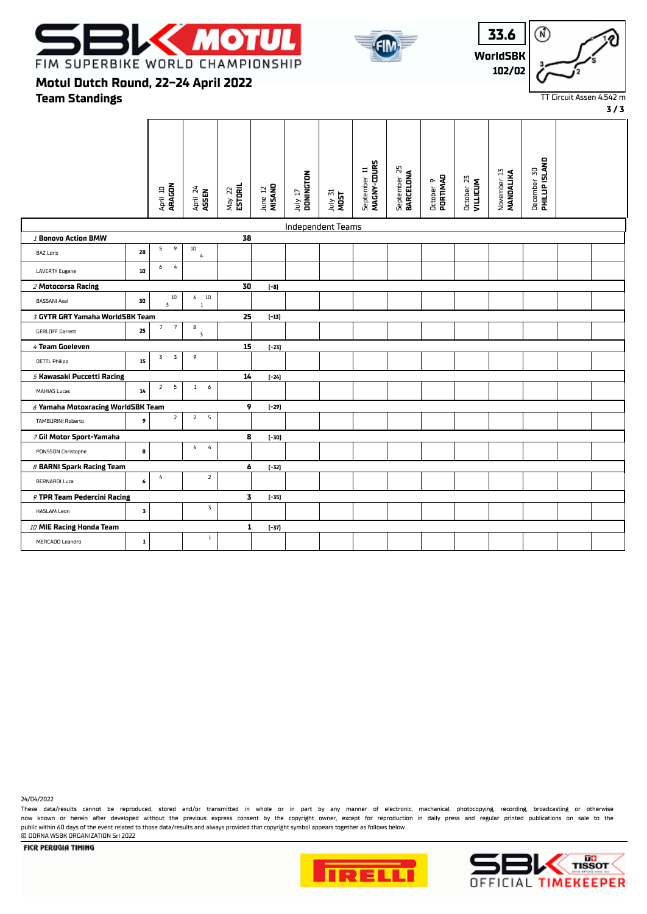





**3 / 3**

**Motul Dutch Round, 22-24 April 2022**

**Team Standings**

|                                           |              | April 10<br><b>ARAGON</b>         | April 24<br>ASSEN                | $May$ 22<br><b>ESTORIL</b> | MISAND<br>June 12 | DONNGTON<br>TI VIII      | July 31<br>MOST | MAGNY-COURS<br>September 11 | September 25<br><b>BARCELONA</b> | October 9<br><b>PORTIMAD</b> | October 23<br>VILLICUM | November 13<br>MANDALIKA | <b>PHILLIP ISLAND</b><br>December 30 |  |
|-------------------------------------------|--------------|-----------------------------------|----------------------------------|----------------------------|-------------------|--------------------------|-----------------|-----------------------------|----------------------------------|------------------------------|------------------------|--------------------------|--------------------------------------|--|
|                                           |              |                                   |                                  |                            |                   |                          |                 |                             |                                  |                              |                        |                          |                                      |  |
|                                           |              |                                   |                                  |                            |                   | <b>Independent Teams</b> |                 |                             |                                  |                              |                        |                          |                                      |  |
| 1 Bonovo Action BMW                       |              | 9<br>5                            | 10                               | 38                         |                   |                          |                 |                             |                                  |                              |                        |                          |                                      |  |
| <b>BAZ Loris</b>                          | 28           |                                   | $\it 4$                          |                            |                   |                          |                 |                             |                                  |                              |                        |                          |                                      |  |
| <b>LAVERTY Eugene</b>                     | 10           | $\overline{4}$<br>6               |                                  |                            |                   |                          |                 |                             |                                  |                              |                        |                          |                                      |  |
| 2 Motocorsa Racing                        |              |                                   |                                  | 30                         | $[-8]$            |                          |                 |                             |                                  |                              |                        |                          |                                      |  |
| <b>BASSANI Axel</b>                       | 30           | $10\,$<br>3                       | $6$ 10<br>$\mathbf{1}$           |                            |                   |                          |                 |                             |                                  |                              |                        |                          |                                      |  |
| 3 GYTR GRT Yamaha WorldSBK Team           |              |                                   |                                  | 25                         | $[-13]$           |                          |                 |                             |                                  |                              |                        |                          |                                      |  |
| <b>GERLOFF Garrett</b>                    | 25           | $\overline{7}$<br>$7\overline{ }$ | 8<br>$\mathbf 3$                 |                            |                   |                          |                 |                             |                                  |                              |                        |                          |                                      |  |
| $4$ Team Goeleven                         |              |                                   |                                  | 15                         | $[-23]$           |                          |                 |                             |                                  |                              |                        |                          |                                      |  |
| <b>OETTL Philipp</b>                      | 15           | $\overline{3}$<br>3               | 9                                |                            |                   |                          |                 |                             |                                  |                              |                        |                          |                                      |  |
| 5 Kawasaki Puccetti Racing                |              |                                   |                                  | 14                         | $[-24]$           |                          |                 |                             |                                  |                              |                        |                          |                                      |  |
| <b>MAHIAS Lucas</b>                       | $14\,$       | 5<br>$\overline{2}$               | 1<br>6                           |                            |                   |                          |                 |                             |                                  |                              |                        |                          |                                      |  |
| $\delta$ Yamaha Motoxracing WorldSBK Team |              |                                   |                                  | 9                          | $[-29]$           |                          |                 |                             |                                  |                              |                        |                          |                                      |  |
| <b>TAMBURINI Roberto</b>                  | 9            | $\overline{2}$                    | $\overline{2}$<br>${\mathsf 5}$  |                            |                   |                          |                 |                             |                                  |                              |                        |                          |                                      |  |
| 7 Gil Motor Sport-Yamaha                  |              |                                   |                                  | 8                          | $[-30]$           |                          |                 |                             |                                  |                              |                        |                          |                                      |  |
| PONSSON Christophe                        | 8            |                                   | $\overline{4}$<br>$\overline{4}$ |                            |                   |                          |                 |                             |                                  |                              |                        |                          |                                      |  |
| <b>8 BARNI Spark Racing Team</b>          |              |                                   |                                  | 6                          | $[-32]$           |                          |                 |                             |                                  |                              |                        |                          |                                      |  |
| <b>BERNARDI Luca</b>                      | 6            | $\sqrt{4}$                        | $\overline{2}$                   |                            |                   |                          |                 |                             |                                  |                              |                        |                          |                                      |  |
| 9 TPR Team Pedercini Racing               |              |                                   |                                  | 3                          | $[-35]$           |                          |                 |                             |                                  |                              |                        |                          |                                      |  |
| <b>HASLAM Leon</b>                        | 3            |                                   | $\mathbf 3$                      |                            |                   |                          |                 |                             |                                  |                              |                        |                          |                                      |  |
| 10 MIE Racing Honda Team                  |              |                                   |                                  | 1                          | $[-37]$           |                          |                 |                             |                                  |                              |                        |                          |                                      |  |
| MERCADO Leandro                           | $\mathbf{1}$ |                                   | $\,1\,$                          |                            |                   |                          |                 |                             |                                  |                              |                        |                          |                                      |  |

24/04/2022

These data/results cannot be reproduced, stored and/or transmitted in whole or in part by any manner of electronic, mechanical, photocopying, recording, broadcasting or otherwise now known or herein after developed without the previous express consent by the copyright owner, except for reproduction in daily press and regular printed publications on sale to the public within 60 days of the event related to those data/results and always provided that copyright symbol appears together as follows below. © DORNA WSBK ORGANIZATION Srl 2022



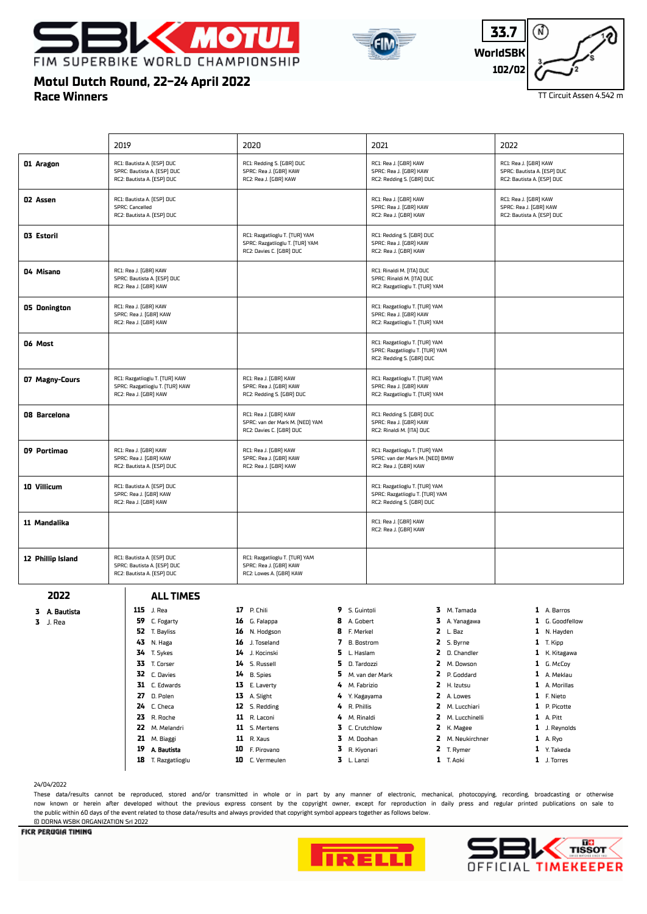





# **Race Winners Motul Dutch Round, 22-24 April 2022**

|                   | 2019                                                                                       | 2020                                                                                          | 2021                                                                                           | 2022                                                                               |
|-------------------|--------------------------------------------------------------------------------------------|-----------------------------------------------------------------------------------------------|------------------------------------------------------------------------------------------------|------------------------------------------------------------------------------------|
| 01 Aragon         | RC1: Bautista A. (ESP) DUC<br>SPRC: Bautista A. (ESP) DUC<br>RC2: Bautista A. (ESP) DUC    | RC1: Redding S. (GBR) DUC<br>SPRC: Rea J. (GBR) KAW<br>RC2: Rea J. (GBR) KAW                  | RC1: Rea J. (GBR) KAW<br>SPRC: Rea J. (GBR) KAW<br>RC2: Redding S. (GBR) DUC                   | RC1: Rea J. (GBR) KAW<br>SPRC: Bautista A. (ESP) DUC<br>RC2: Bautista A. (ESP) DUC |
| <b>02 Assen</b>   | RC1: Bautista A. (ESP) DUC<br>SPRC: Cancelled<br>RC2: Bautista A. (ESP) DUC                |                                                                                               | RC1: Rea J. (GBR) KAW<br>SPRC: Rea J. (GBR) KAW<br>RC2: Rea J. (GBR) KAW                       | RC1: Rea J. (GBR) KAW<br>SPRC: Rea J. (GBR) KAW<br>RC2: Bautista A. (ESP) DUC      |
| 03 Estoril        |                                                                                            | RC1: Razgatlioglu T. [TUR] YAM<br>SPRC: Razgatlioglu T. (TUR) YAM<br>RC2: Davies C. (GBR) DUC | RC1: Redding S. (GBR) DUC<br>SPRC: Rea J. (GBR) KAW<br>RC2: Rea J. (GBR) KAW                   |                                                                                    |
| 04 Misano         | RC1: Rea J. (GBR) KAW<br>SPRC: Bautista A. (ESP) DUC<br>RC2: Rea J. (GBR) KAW              |                                                                                               | RC1: Rinaldi M. (ITA) DUC<br>SPRC: Rinaldi M. (ITA) DUC<br>RC2: Razgatlioglu T. (TUR) YAM      |                                                                                    |
| 05 Donington      | RC1: Rea J. (GBR) KAW<br>SPRC: Rea J. (GBR) KAW<br>RC2: Rea J. (GBR) KAW                   |                                                                                               | RC1: Razgatlioglu T. (TUR) YAM<br>SPRC: Rea J. (GBR) KAW<br>RC2: Razgatlioglu T. (TUR) YAM     |                                                                                    |
| 06 Most           |                                                                                            |                                                                                               | RC1: Razgatlioglu T. [TUR] YAM<br>SPRC: Razgatlioglu T. (TUR) YAM<br>RC2: Redding S. (GBR) DUC |                                                                                    |
| 07 Magny-Cours    | RC1: Razgatlioglu T. (TUR) KAW<br>SPRC: Razgatlioglu T. (TUR) KAW<br>RC2: Rea J. (GBR) KAW | RC1: Rea J. (GBR) KAW<br>SPRC: Rea J. (GBR) KAW<br>RC2: Redding S. (GBR) DUC                  | RC1: Razgatlioglu T. (TUR) YAM<br>SPRC: Rea J. (GBR) KAW<br>RC2: Razgatlioglu T. (TUR) YAM     |                                                                                    |
| 08 Barcelona      |                                                                                            | RC1: Rea J. (GBR) KAW<br>SPRC: van der Mark M. (NED) YAM<br>RC2: Davies C. (GBR) DUC          | RC1: Redding S. (GBR) DUC<br>SPRC: Rea J. (GBR) KAW<br>RC2: Rinaldi M. (ITA) DUC               |                                                                                    |
| 09 Portimao       | RC1: Rea J. (GBR) KAW<br>SPRC: Rea J. (GBR) KAW<br>RC2: Bautista A. (ESP) DUC              | RC1: Rea J. (GBR) KAW<br>SPRC: Rea J. (GBR) KAW<br>RC2: Rea J. (GBR) KAW                      | RC1: Razgatlioglu T. (TUR) YAM<br>SPRC: van der Mark M. (NED) BMW<br>RC2: Rea J. (GBR) KAW     |                                                                                    |
| 10 Villicum       | RC1: Bautista A. (ESP) DUC<br>SPRC: Rea J. (GBR) KAW<br>RC2: Rea J. (GBR) KAW              |                                                                                               | RC1: Razgatlioglu T. (TUR) YAM<br>SPRC: Razgatlioglu T. (TUR) YAM<br>RC2: Redding S. (GBR) DUC |                                                                                    |
| 11 Mandalika      |                                                                                            |                                                                                               | RC1: Rea J. (GBR) KAW<br>RC2: Rea J. (GBR) KAW                                                 |                                                                                    |
| 12 Phillip Island | RC1: Bautista A. (ESP) DUC<br>SPRC: Bautista A. (ESP) DUC<br>RC2: Bautista A. (ESP) DUC    | RC1: Razgatlioglu T. (TUR) YAM<br>SPRC: Rea J. (GBR) KAW<br>RC2: Lowes A. (GBR) KAW           |                                                                                                |                                                                                    |
| 2022              | <b>ALL TIMES</b>                                                                           |                                                                                               |                                                                                                |                                                                                    |
| 3 A. Bautista     | 115 J. Rea                                                                                 | <b>17</b> P. Chili<br>9 S. Guintoli                                                           | 3 M. Tamada                                                                                    | 1 A. Barros                                                                        |
| $3$ J. Rea        | 59 C. Fogarty                                                                              | G. Falappa<br>8<br>A. Gobert<br>16                                                            | 3 A. Yanagawa                                                                                  | 1 G. Goodfellow                                                                    |
|                   | 52<br>T. Bayliss                                                                           | 8<br>F. Merkel<br>16<br>N. Hodgson                                                            | $2 L.$ Baz                                                                                     | 1 N. Hayden                                                                        |
|                   | N. Haga<br>43                                                                              | 7<br>16<br>J. Toseland<br><b>B.</b> Bostrom                                                   | 2 S. Byrne                                                                                     | $1$ T. Kipp                                                                        |
|                   | 34<br>T. Sykes                                                                             | 5<br>14<br>J. Kocinski<br>L. Haslam                                                           | 2 D. Chandler                                                                                  | 1 K. Kitagawa                                                                      |
|                   | 33<br>T. Corser                                                                            | 5<br>14<br>S. Russell<br>D. Tardozzi                                                          | 2 M. Dowson                                                                                    | 1 G. McCoy                                                                         |
|                   | 32 C. Davies                                                                               | <b>B.</b> Spies<br>5<br>14                                                                    | M. van der Mark<br>2 P. Goddard                                                                | 1 A. Meklau                                                                        |
|                   | 31<br>C. Edwards                                                                           | 13<br>E. Laverty<br>4<br>M. Fabrizio                                                          | 2<br>H. Izutsu                                                                                 | 1 A. Morillas                                                                      |
|                   | D. Polen<br>27                                                                             | 13 A. Slight<br>4                                                                             | 2 A. Lowes<br>Y. Kagayama                                                                      | 1 F. Nieto                                                                         |
|                   | 24<br>C. Checa                                                                             | 12<br>S. Redding<br>4<br>R. Phillis                                                           | 2 M. Lucchiari                                                                                 | 1 P. Picotte                                                                       |
|                   | 23<br>R. Roche                                                                             | 11<br>R. Laconi<br>4<br>M. Rinaldi                                                            | 2 M. Lucchinelli                                                                               | 1 A. Pitt                                                                          |
|                   | 22 M. Melandri                                                                             | 11 S. Mertens<br>3                                                                            | 2 K. Magee<br>C. Crutchlow                                                                     | 1 J. Reynolds                                                                      |
|                   | 21<br>M. Biaggi                                                                            | <b>11</b> R. Xaus<br>3<br>M. Doohan                                                           | 2 M. Neukirchner                                                                               | 1 A. Ryo                                                                           |
|                   | 19 A. Bautista                                                                             | 10<br>F. Pirovano<br>3<br>R. Kiyonari                                                         | 2 T. Rymer                                                                                     | 1 Y. Takeda                                                                        |
|                   | <b>18</b> T. Razgatlioglu                                                                  | 3 L. Lanzi<br>10 C. Vermeulen                                                                 | 1 T. Aoki                                                                                      | 1 J. Torres                                                                        |

#### 24/04/2022

These data/results cannot be reproduced, stored and/or transmitted in whole or in part by any manner of electronic, mechanical, photocopying, recording, broadcasting or otherwise now known or herein afer developed without the previous express consent by the copyright owner, except for reproduction in daily press and regular printed publications on sale to the public within 60 days of the event related to those data/results and always provided that copyright symbol appears together as follows below.

#### © DORNA WSBK ORGANIZATION Srl 2022**FICR PERUGIA TIMING**



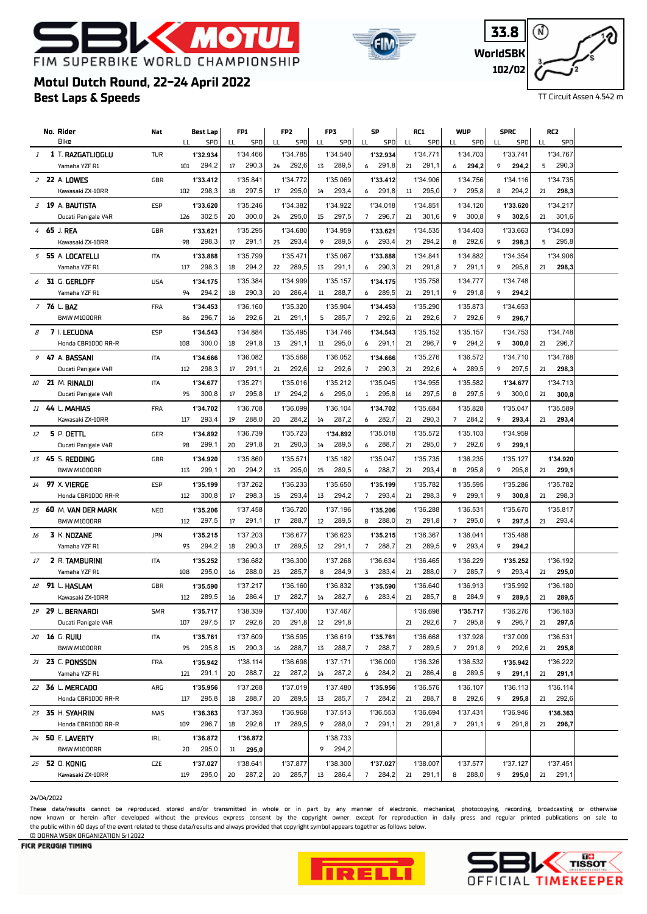# K MOT FIM SUPERBIKE WORLD CHAMPIONSHIP





TT Circuit Assen 4.542 m

# **Best Laps & Speeds Motul Dutch Round, 22-24 April 2022**

|    | No. Rider                            | Nat        |     | Best Lap          | FP1                      | FP <sub>2</sub>         | FP3                     | SP                               | RC1                     | <b>WUP</b>                          | <b>SPRC</b>            | RC2                     |  |
|----|--------------------------------------|------------|-----|-------------------|--------------------------|-------------------------|-------------------------|----------------------------------|-------------------------|-------------------------------------|------------------------|-------------------------|--|
|    | Bike                                 |            | LL  | SPD               | LL<br>SPD                | SPD<br>LL               | SPD<br>LL               | SPD<br>LL                        | SPD<br>LL               | LL<br>SPD                           | SPD<br>LL              | SPD<br>LL               |  |
| 1  | 1 T. RAZGATLIOGLU                    | <b>TUR</b> |     | 1'32.934          | 1'34.466                 | 1'34.785                | 1'34.540                | 1'32.934                         | 1'34.771                | 1'34.703                            | 1'33.741               | 1'34.767                |  |
|    | Yamaha YZF R1                        |            | 101 | 294,2             | 290,3<br>17              | 292,6<br>24             | 289,5<br>13             | 291,8<br>6                       | 291,1<br>21             | 294,2<br>6                          | 9<br>294,2             | 290,3<br>5              |  |
|    | 2 22 A. LOWES                        | GBR        |     | 1'33.412          | 1'35.841                 | 1'34.772                | 1'35.069                | 1'33.412                         | 1'34.906                | 1'34.756                            | 1'34.116               | 1'34.735                |  |
|    | Kawasaki ZX-10RR                     |            | 102 | 298,3             | 297,5<br>18              | 295,0<br>17             | 293,4<br>14             | 291,8<br>6                       | 295,0<br>11             | 295,8<br>$7^{\circ}$                | 294,2<br>8             | 21<br>298,3             |  |
|    | 3 19 A. BAUTISTA                     | ESP        |     | 1'33.620          | 1'35.246                 | 1'34.382                | 1'34.922                | 1'34.018                         | 1'34.851                | 1'34.120                            | 1'33.620               | 1'34.217                |  |
|    | Ducati Panigale V4R                  |            | 126 | 302,5             | 300,0<br>20              | 295,0<br>24             | 297,5<br>15             | 296,7<br>7                       | 301,6<br>21             | 9<br>300,8                          | 9<br>302,5             | 301,6<br>21             |  |
|    | 4 65 J. REA                          | GBR        |     | 1'33.621          | 1'35.295                 | 1'34.680                | 1'34.959                | 1'33.621                         | 1'34.535                | 1'34.403                            | 1'33.663               | 1'34.093                |  |
|    | Kawasaki ZX-10RR                     |            | 98  | 298,3             | 17<br>291,1              | 23<br>293,4             | 289,5<br>9              | 293,4<br>6                       | 294,2<br>21             | 8<br>292,6                          | 298,3<br>9             | 5<br>295,8              |  |
|    | 5 55 A. LOCATELLI                    | <b>ITA</b> |     | 1'33.888          | 1'35.799                 | 1'35.471                | 1'35.067                | 1'33.888                         | 1'34.841                | 1'34.882                            | 1'34.354               | 1'34.906                |  |
|    | Yamaha YZF R1                        |            | 117 | 298,3             | 294,2<br>18              | 289,5<br>22             | 291,1<br>13             | 290,3<br>6                       | 291,8<br>21             | 291,1<br>7                          | 295,8<br>9             | 298,3<br>21             |  |
|    | $6$ 31 G. GERLOFF                    | <b>USA</b> |     | 1'34.175          | 1'35.384                 | 1'34.999                | 1'35.157                | 1'34.175                         | 1'35.758                | 1'34.777                            | 1'34.748               |                         |  |
|    | Yamaha YZF R1                        |            | 94  | 294,2             | 290,3<br>18              | 286,4<br>20             | 288,7<br>11             | 289,5<br>6                       | 291,1<br>21             | 291,8<br>9                          | 9<br>294,2             |                         |  |
|    |                                      |            |     |                   |                          |                         |                         |                                  |                         |                                     |                        |                         |  |
|    | 7 76 L. BAZ<br>BMW M1000RR           | <b>FRA</b> | 86  | 1'34.453<br>296,7 | 1'36.160<br>292,6<br>16  | 1'35.320<br>291,1<br>21 | 1'35.904<br>285,7<br>5  | 1'34.453<br>292,6<br>$7^{\circ}$ | 1'35.290<br>292,6<br>21 | 1'35.873<br>292,6<br>$\overline{7}$ | 1'34.653<br>9<br>296,7 |                         |  |
|    |                                      |            |     |                   |                          |                         |                         |                                  |                         |                                     |                        |                         |  |
| 8  | 7 I. LECUONA                         | <b>ESP</b> |     | 1'34.543          | 1'34.884                 | 1'35.495                | 1'34.746                | 1'34.543                         | 1'35.152                | 1'35.157                            | 1'34.753               | 1'34.748                |  |
|    | Honda CBR1000 RR-R                   |            | 108 | 300,0             | 291,8<br>18              | 291,1<br>13             | 295,0<br>11             | 291,1<br>6                       | 296,7<br>21             | 294,2<br>9                          | 9<br>300,0             | 296,7<br>21             |  |
|    | 9 47 A. BASSANI                      | ITA        |     | 1'34.666          | 1'36.082                 | 1'35.568                | 1'36.052                | 1'34.666                         | 1'35.276                | 1'36.572                            | 1'34.710               | 1'34.788                |  |
|    | Ducati Panigale V4R                  |            | 112 | 298,3             | 291,1<br>17              | 292,6<br>21             | 12<br>292,6             | $\overline{7}$<br>290,3          | 292,6<br>21             | 289,5<br>4                          | 9<br>297,5             | 298,3<br>21             |  |
| 10 | 21 M. RINALDI                        | <b>ITA</b> |     | 1'34.677          | 1'35.271                 | 1'35.016                | 1'35.212                | 1'35.045                         | 1'34.955                | 1'35.582                            | 1'34.677               | 1'34.713                |  |
|    | Ducati Panigale V4R                  |            | 95  | 300,8             | 17<br>295,8              | 17<br>294,2             | 295,0<br>6              | 295,8<br>$\mathbf{1}$            | 297,5<br>16             | 8<br>297,5                          | 9<br>300,0             | 300,8<br>21             |  |
|    | 11 44 L. MAHIAS                      | FRA        |     | 1'34.702          | 1'36.708                 | 1'36.099                | 1'36.104                | 1'34.702                         | 1'35.684                | 1'35.828                            | 1'35.047               | 1'35.589                |  |
|    | Kawasaki ZX-10RR                     |            | 117 | 293,4             | 288,0<br>19              | 20<br>284,2             | 287,2<br>14             | 282,7<br>6                       | 290,3<br>21             | 284,2<br>$\overline{7}$             | 9<br>293,4             | 293,4<br>21             |  |
| 12 | 5 P. OETTL                           | <b>GER</b> |     | 1'34.892          | 1'36.739                 | 1'35.723                | 1'34.892                | 1'35.018                         | 1'35.572                | 1'35.103                            | 1'34.959               |                         |  |
|    | Ducati Panigale V4R                  |            | 98  | 299,1             | 291,8<br>20              | 290,3<br>21             | 289,5<br>14             | 288,7<br>6                       | 295,0<br>21             | 292,6<br>$7^{\circ}$                | 9<br>299,1             |                         |  |
|    | 13 45 S. <b>REDDING</b>              | GBR        |     | 1'34.920          | 1'35.860                 | 1'35.571                | 1'35.182                | 1'35.047                         | 1'35.735                | 1'36.235                            | 1'35.127               | 1'34.920                |  |
|    | BMW M1000RR                          |            | 113 | 299,1             | 294,2<br>20              | 295,0<br>13             | 289,5<br>15             | 288,7<br>6                       | 293,4<br>21             | 295,8<br>8                          | 295,8<br>9             | 299,1<br>21             |  |
|    | 14 97 X. VIERGE                      | <b>ESP</b> |     | 1'35.199          | 1'37.262                 | 1'36.233                | 1'35.650                | 1'35.199                         | 1'35.782                | 1'35.595                            | 1'35.286               | 1'35.782                |  |
|    | Honda CBR1000 RR-R                   |            | 112 | 300,8             | 298,3<br>17              | 293,4<br>15             | 294,2<br>13             | 293,4<br>7                       | 298,3<br>21             | 9<br>299,1                          | 9<br>300,8             | 298,3<br>21             |  |
|    |                                      |            |     |                   |                          |                         |                         |                                  |                         |                                     |                        |                         |  |
|    | 15 60 M. VAN DER MARK<br>BMW M1000RR | NED        | 112 | 1'35.206<br>297,5 | 1'37.458<br>291,1<br>17  | 1'36.720<br>288,7<br>17 | 1'37.196<br>289,5<br>12 | 1'35.206<br>288,0<br>8           | 1'36.288<br>291,8<br>21 | 1'36.531<br>295,0<br>$7^{\circ}$    | 1'35.670<br>9<br>297,5 | 1'35.817<br>293,4<br>21 |  |
|    |                                      |            |     |                   |                          |                         |                         |                                  |                         |                                     |                        |                         |  |
| 16 | 3 K. NOZANE                          | <b>JPN</b> |     | 1'35.215          | 1'37.203                 | 1'36.677                | 1'36.623                | 1'35.215                         | 1'36.367                | 1'36.041                            | 1'35.488               |                         |  |
|    | Yamaha YZF R1                        |            | 93  | 294,2             | 290,3<br>18              | 289,5<br>17             | 291,1<br>12             | 288,7<br>$7^{\circ}$             | 289,5<br>21             | 293,4<br>9                          | 9<br>294,2             |                         |  |
| 17 | 2 R. TAMBURINI                       | ITA        |     | 1'35.252          | 1'36.682                 | 1'36.300                | 1'37.268                | 1'36.634                         | 1'36.465                | 1'36.229                            | 1'35.252               | 1'36.192                |  |
|    | Yamaha YZF R1                        |            | 108 | 295,0             | 288,0<br>16              | 285,7<br>23             | 284,9<br>8              | 3<br>283,4                       | 21<br>288,0             | 285,7<br>7                          | 293,4<br>9             | 21<br>295,0             |  |
|    | 18 91 L. HASLAM                      | GBR        |     | 1'35.590          | 1'37.217                 | 1'36.160                | 1'36.832                | 1'35.590                         | 1'36.640                | 1'36.913                            | 1'35.992               | 1'36.180                |  |
|    | Kawasaki ZX-10RR                     |            | 112 | 289,5             | 286,4<br>16              | 282,7<br>17             | 282,7<br>14             | 283,4<br>6                       | 285,7<br>21             | 284,9<br>8                          | 9<br>289,5             | 289,5<br>21             |  |
|    | 19 29 L. BERNARDI                    | <b>SMR</b> |     | 1'35.717          | 1'38.339                 | 1'37.400                | 1'37.467                |                                  | 1'36.698                | 1'35.717                            | 1'36.276               | 1'36.183                |  |
|    | Ducati Panigale V4R                  |            | 107 | 297,5             | 292,6<br>17              | 291,8<br>20             | 291,8<br>12             |                                  | 292,6<br>21             | 295,8<br>$\overline{7}$             | 296,7<br>9             | 297,5<br>21             |  |
|    | 20 16 G. RUIU                        | <b>ITA</b> |     | 1'35.761          | 1'37.609                 | 1'36.595                | 1'36.619                | 1'35.761                         | 1'36.668                | 1'37.928                            | 1'37.009               | 1'36.531                |  |
|    | BMW M1000RR                          |            | 95  | 295,8             | 290,3<br>15 <sub>1</sub> | 288,7<br>16             | 288,7<br>13             | 288,7<br>7                       | 289,5<br>7              | 291,8<br>7                          | 292,6<br>9             | 295,8<br>21             |  |
|    | 21 23 C. PONSSON                     | <b>FRA</b> |     | 1'35.942          | 1'38.114                 | 1'36.698                | 1'37.171                | 1'36.000                         | 1'36.326                | 1'36.532                            | 1'35.942               | 1'36.222                |  |
|    | Yamaha YZF R1                        |            | 121 | 291,1             | 288,7<br>20              | 287,2<br>22             | 287,2<br>14             | 6 284,2                          | 286,4<br>21             | 289,5<br>8                          | 9<br>291,1             | 21<br>291,1             |  |
|    | 22 36 L. MERCADO                     | ARG        |     | 1'35.956          | 1'37.268                 | 1'37.019                | 1'37.480                | 1'35.956                         | 1'36.576                | 1'36.107                            | 1'36.113               | 1'36.114                |  |
|    | Honda CBR1000 RR-R                   |            | 117 | 295,8             | 288,7<br>18              | 289,5<br>20             | 285,7<br>13             | 7 284,2                          | 288,7<br>21             | 292,6<br>8                          | 9<br>295,8             | 292,6<br>21             |  |
|    | 23 35 H. SYAHRIN                     | MAS        |     | 1'36.363          | 1'37.393                 | 1'36.968                | 1'37.513                | 1'36.553                         | 1'36.694                | 1'37.431                            | 1'36.946               | 1'36.363                |  |
|    | Honda CBR1000 RR-R                   |            | 109 | 296,7             | 292,6<br>18              | 17<br>289,5             | 9<br>288,0              | 291,1<br>7                       | 291,8<br>21             | 291,1<br>7                          | 291,8<br>9             | 296,7<br>21             |  |
|    |                                      |            |     |                   |                          |                         |                         |                                  |                         |                                     |                        |                         |  |
|    | 24 50 E. LAVERTY                     | IRL        |     | 1'36.872          | 1'36.872                 |                         | 1'38.733                |                                  |                         |                                     |                        |                         |  |
|    | BMW M1000RR                          |            | 20  | 295,0             | 295,0<br>11              |                         | 294,2<br>9              |                                  |                         |                                     |                        |                         |  |
|    | 25 52 0. KONIG                       | <b>CZE</b> |     | 1'37.027          | 1'38.641                 | 1'37.877                | 1'38.300                | 1'37.027                         | 1'38.007                | 1'37.577                            | 1'37.127               | 1'37.451                |  |
|    | Kawasaki ZX-10RR                     |            | 119 | 295,0             | 287,2<br>20              | 285,7<br>20             | 286,4<br>13             | 7 284,2                          | 291,1<br>21             | 288,0<br>8                          | 9<br>295,0             | 21 291,1                |  |

24/04/2022

These data/results cannot be reproduced, stored and/or transmitted in whole or in part by any manner of electronic, mechanical, photocopying, recording, broadcasting or otherwise now known or herein afer developed without the previous express consent by the copyright owner, except for reproduction in daily press and regular printed publications on sale to the public within 60 days of the event related to those data/results and always provided that copyright symbol appears together as follows below. © DORNA WSBK ORGANIZATION Srl 2022



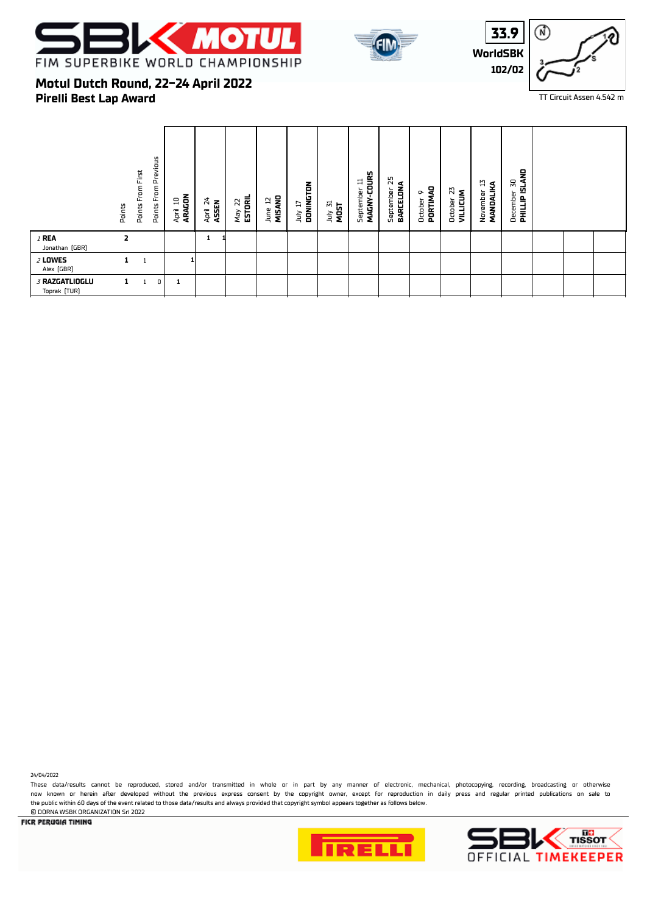





### **Pirelli Best Lap Award Motul Dutch Round, 22-24 April 2022**

|                                | Points       | From First<br>Points | From Previous<br>Points | ARAGON<br>므<br>April | 24<br>April 24<br>ASSEN | May 22<br><b>ESTORIL</b> | MISAND<br>F.<br>June | DONINGTON<br>H<br>ληr | July 31<br>MOST | MAGNY-COURS<br>≔<br>September | 52<br>BARCELONA<br>September | PORTIMAD<br>ō<br>October | N<br><b>VILLICUM</b><br>October | Z,<br>MANDALIKA<br>November | December 30<br><b>PHILLIP ISLAND</b> |  |  |
|--------------------------------|--------------|----------------------|-------------------------|----------------------|-------------------------|--------------------------|----------------------|-----------------------|-----------------|-------------------------------|------------------------------|--------------------------|---------------------------------|-----------------------------|--------------------------------------|--|--|
| $I$ REA<br>Jonathan [GBR]      | 2            |                      |                         |                      | 1                       |                          |                      |                       |                 |                               |                              |                          |                                 |                             |                                      |  |  |
| $2$ LOWES<br>Alex (GBR)        | 1            | $\mathbf{1}$         |                         |                      |                         |                          |                      |                       |                 |                               |                              |                          |                                 |                             |                                      |  |  |
| 3 RAZGATLIOGLU<br>Toprak (TUR) | $\mathbf{1}$ |                      | 0                       | 1                    |                         |                          |                      |                       |                 |                               |                              |                          |                                 |                             |                                      |  |  |

24/04/2022

These data/results cannot be reproduced, stored and/or transmitted in whole or in part by any manner of electronic, mechanical, photocopying, recording, broadcasting or otherwise now known or herein afer developed without the previous express consent by the copyright owner, except for reproduction in daily press and regular printed publications on sale to the public within 60 days of the event related to those data/results and always provided that copyright symbol appears together as follows below. © DORNA WSBK ORGANIZATION Srl 2022



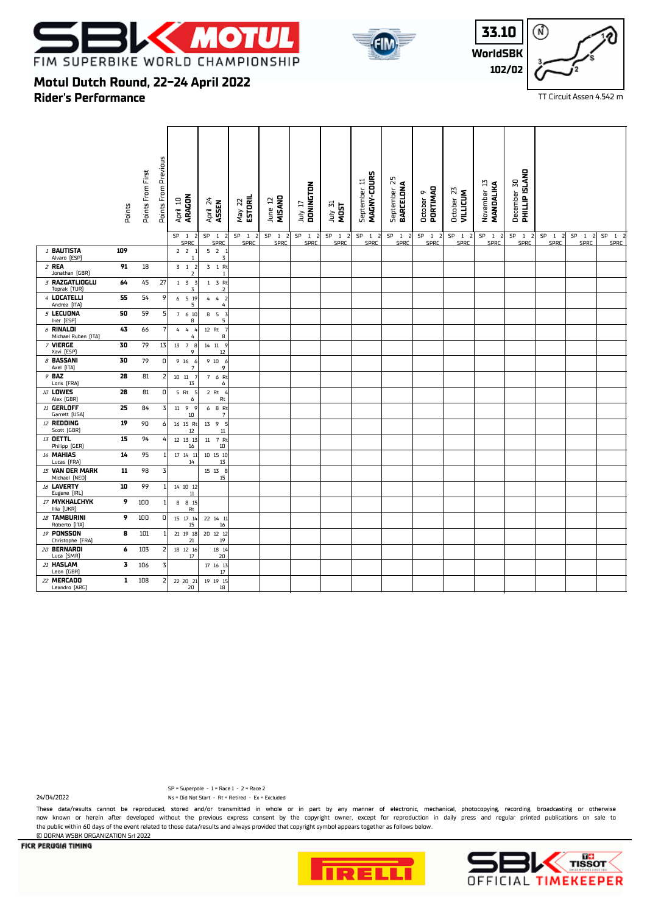





TT Circuit Assen 4.542 m

# **Motul Dutch Round, 22-24 April 2022**

**Rider's Performance**

|                                       | Points | Points From First | Points From Previous    | ARAGON<br>April 10<br>SP <sub>1</sub> | April 24<br>ASSEN<br>SP <sub>1</sub><br>$\overline{2}$ | ESTORIL<br>May 22<br>SP 1 2 | MISAND<br>June 12<br>SP <sub>1</sub><br>$\overline{2}$ | DONINGTON<br>TI VIII<br>SP<br>$\mathbf{1}$<br>$\overline{2}$ | July 31<br>MOST<br>SP <sub>1</sub><br>$\overline{2}$ | MAGNY-COURS<br>September 11<br>SP <sub>1</sub> | $\overline{\mathbf{5}}$<br>BARCELONA<br>September<br>SP<br>$\overline{1}$<br>$\overline{2}$ | October 9<br>PORTIMAO<br>SP <sub>1</sub><br>-2 | October 23<br><b>VILLICUM</b><br>SP<br>$\overline{1}$<br>$\overline{2}$ | November 13<br>MANDALIKA<br>SP <sub>1</sub><br>$\overline{z}$ | <b>PHILLIP ISLAND</b><br>December 30<br>SP <sub>1</sub><br>$\overline{2}$ | SP <sub>1</sub><br>$\overline{2}$ | SP<br>$\overline{1}$<br>$\vert$ 2 | SP <sub>1</sub> |
|---------------------------------------|--------|-------------------|-------------------------|---------------------------------------|--------------------------------------------------------|-----------------------------|--------------------------------------------------------|--------------------------------------------------------------|------------------------------------------------------|------------------------------------------------|---------------------------------------------------------------------------------------------|------------------------------------------------|-------------------------------------------------------------------------|---------------------------------------------------------------|---------------------------------------------------------------------------|-----------------------------------|-----------------------------------|-----------------|
| 1 BAUTISTA                            | 109    |                   |                         | SPRC<br>$2$ $2$ $1$                   | SPRC<br>521                                            | SPRC                        | SPRC                                                   | SPRC                                                         | SPRC                                                 | SPRC                                           | SPRC                                                                                        | SPRC                                           | <b>SPRC</b>                                                             | SPRC                                                          | SPRC                                                                      | <b>SPRC</b>                       | SPRC                              | SPRC            |
| Alvaro (ESP)                          |        |                   |                         | -1                                    | $\overline{3}$                                         |                             |                                                        |                                                              |                                                      |                                                |                                                                                             |                                                |                                                                         |                                                               |                                                                           |                                   |                                   |                 |
| $2$ REA<br>Jonathan (GBR)             | 91     | 18                |                         | $3 \quad 1 \quad 2$<br>$\overline{2}$ | 3 1 Rt                                                 |                             |                                                        |                                                              |                                                      |                                                |                                                                                             |                                                |                                                                         |                                                               |                                                                           |                                   |                                   |                 |
| 3 RAZGATLIOGLU<br>Toprak (TUR)        | 64     | 45                | 27                      | $1 \quad 3 \quad 3$<br>3              | $1 \quad 3 \quad Rt$<br>$\overline{\mathbf{2}}$        |                             |                                                        |                                                              |                                                      |                                                |                                                                                             |                                                |                                                                         |                                                               |                                                                           |                                   |                                   |                 |
| 4 LOCATELLI<br>Andrea [ITA]           | 55     | 54                | 9                       | 6 5 19<br>5                           | 442<br>4                                               |                             |                                                        |                                                              |                                                      |                                                |                                                                                             |                                                |                                                                         |                                                               |                                                                           |                                   |                                   |                 |
| 5 LECUONA<br>Iker [ESP]               | 50     | 59                | 5                       | 7 6 10<br>8                           | 8 5<br>$\overline{3}$<br>5                             |                             |                                                        |                                                              |                                                      |                                                |                                                                                             |                                                |                                                                         |                                                               |                                                                           |                                   |                                   |                 |
| $6$ RINALDI<br>Michael Ruben [ITA]    | 43     | 66                | 7                       | $\overline{4}$<br>4<br>$\overline{4}$ | $12$ Rt<br>8                                           |                             |                                                        |                                                              |                                                      |                                                |                                                                                             |                                                |                                                                         |                                                               |                                                                           |                                   |                                   |                 |
| 7 VIERGE<br>Xavi [ESP]                | 30     | 79                | 13                      | 13<br>7 8<br>9                        | 14 11 9<br>12                                          |                             |                                                        |                                                              |                                                      |                                                |                                                                                             |                                                |                                                                         |                                                               |                                                                           |                                   |                                   |                 |
| $\beta$ BASSANI<br>Axel [ITA]         | 30     | 79                | 0                       | 9 16<br>$\overline{7}$                | 910<br>- 6<br>9                                        |                             |                                                        |                                                              |                                                      |                                                |                                                                                             |                                                |                                                                         |                                                               |                                                                           |                                   |                                   |                 |
| $9$ BAZ<br>Loris [FRA]                | 28     | 81                | $\overline{\mathbf{2}}$ | $10\quad 11$<br>13                    | 7 6 Rt<br>6                                            |                             |                                                        |                                                              |                                                      |                                                |                                                                                             |                                                |                                                                         |                                                               |                                                                           |                                   |                                   |                 |
| 10 LOWES<br>Alex (GBR)                | 28     | 81                | 0                       | $5$ Rt<br>6                           | $2$ Rt<br>Rt                                           |                             |                                                        |                                                              |                                                      |                                                |                                                                                             |                                                |                                                                         |                                                               |                                                                           |                                   |                                   |                 |
| $11$ GERLOFF<br>Garrett [USA]         | 25     | 84                | 3                       | 11 9 9<br>10                          | 6 8 Rt<br>$\overline{7}$                               |                             |                                                        |                                                              |                                                      |                                                |                                                                                             |                                                |                                                                         |                                                               |                                                                           |                                   |                                   |                 |
| 12 REDDING<br>Scott [GBR]             | 19     | 90                | 6                       | 16 15 Rt<br>12                        | 13 9<br>- 5<br>$11\,$                                  |                             |                                                        |                                                              |                                                      |                                                |                                                                                             |                                                |                                                                         |                                                               |                                                                           |                                   |                                   |                 |
| 13 OETTL<br>Philipp (GER)             | 15     | 94                | 4                       | 12 13 13<br>16                        | 11 7 Rt<br>$10\,$                                      |                             |                                                        |                                                              |                                                      |                                                |                                                                                             |                                                |                                                                         |                                                               |                                                                           |                                   |                                   |                 |
| 14 MAHIAS<br>Lucas [FRA]              | 14     | 95                | 1                       | 17  14  11<br>14                      | 10 15 10<br>13                                         |                             |                                                        |                                                              |                                                      |                                                |                                                                                             |                                                |                                                                         |                                                               |                                                                           |                                   |                                   |                 |
| 15 VAN DER MARK<br>Michael [NED]      | 11     | 98                | 3                       |                                       | 15 13 8<br>15                                          |                             |                                                        |                                                              |                                                      |                                                |                                                                                             |                                                |                                                                         |                                                               |                                                                           |                                   |                                   |                 |
| 16 LAVERTY<br>Eugene [IRL]            | 10     | 99                | 1                       | 14 10 12<br>$11\,$                    |                                                        |                             |                                                        |                                                              |                                                      |                                                |                                                                                             |                                                |                                                                         |                                                               |                                                                           |                                   |                                   |                 |
| 17 MYKHALCHYK<br>Illia [UKR]          | 9      | 100               | 1                       | 8 8 15<br>Rt                          |                                                        |                             |                                                        |                                                              |                                                      |                                                |                                                                                             |                                                |                                                                         |                                                               |                                                                           |                                   |                                   |                 |
| 18 TAMBURINI<br>Roberto (ITA)         | 9      | 100               | 0                       | 15 17 14<br>15                        | 22 14 11<br>16                                         |                             |                                                        |                                                              |                                                      |                                                |                                                                                             |                                                |                                                                         |                                                               |                                                                           |                                   |                                   |                 |
| <b>19 PONSSON</b><br>Christophe [FRA] | 8      | 101               |                         | 21 19 18<br>21                        | 20 12 12<br>$19\,$                                     |                             |                                                        |                                                              |                                                      |                                                |                                                                                             |                                                |                                                                         |                                                               |                                                                           |                                   |                                   |                 |
| 20 BERNARDI<br>Luca [SMR]             | 6      | 103               | 2                       | 18 12 16<br>17                        | 18 14<br>20                                            |                             |                                                        |                                                              |                                                      |                                                |                                                                                             |                                                |                                                                         |                                                               |                                                                           |                                   |                                   |                 |
| 21 HASLAM<br>Leon (GBR)               | 3      | 106               | $\overline{\mathsf{3}}$ |                                       | 17 16 13<br>$17\,$                                     |                             |                                                        |                                                              |                                                      |                                                |                                                                                             |                                                |                                                                         |                                                               |                                                                           |                                   |                                   |                 |
| 22 MERCADO<br>Leandro [ARG]           | 1      | 108               | 2                       | 22 20 21<br>20                        | 19  19  15<br>$18\,$                                   |                             |                                                        |                                                              |                                                      |                                                |                                                                                             |                                                |                                                                         |                                                               |                                                                           |                                   |                                   |                 |

24/04/2022 Ns = Did Not Start - Rt = Retired - Ex = Excluded SP = Superpole - 1 = Race 1 - 2 = Race 2

These data/results cannot be reproduced, stored and/or transmitted in whole or in part by any manner of electronic, mechanical, photocopying, recording, broadcasting or otherwise now known or herein afer developed without the previous express consent by the copyright owner, except for reproduction in daily press and regular printed publications on sale to the public within 60 days of the event related to those data/results and always provided that copyright symbol appears together as follows below. © DORNA WSBK ORGANIZATION Srl 2022





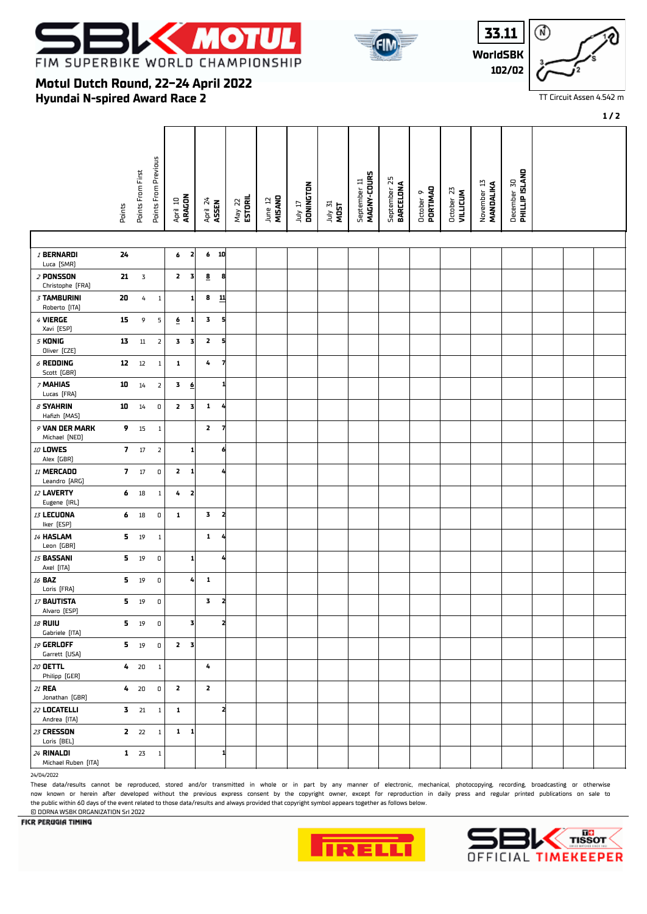

**Hyundai N-spired Award Race 2**

**Motul Dutch Round, 22-24 April 2022**



| i3.11    |  |
|----------|--|
| WorldSBK |  |
| 102/02   |  |

| $\mathbf{L}$ |  |
|--------------|--|
| 3K<br>02     |  |
|              |  |

#### TT Circuit Assen 4.542 m

**1 / 2**

|                                     |                |                   |                             |                                         |                              |                   |                   |                      |                 |                             |                           |                       |                               |                          |                                      |  | 1/2 |
|-------------------------------------|----------------|-------------------|-----------------------------|-----------------------------------------|------------------------------|-------------------|-------------------|----------------------|-----------------|-----------------------------|---------------------------|-----------------------|-------------------------------|--------------------------|--------------------------------------|--|-----|
|                                     | Points         | Points From First | <b>Points From Previous</b> | April 10<br><b>ARAGON</b>               | April 24<br>ASSEN            | ESTORIL<br>May 22 | June 12<br>MISANO | DONINGTON<br>TI VIII | July 31<br>MOST | MAGNY-COURS<br>September 11 | September 25<br>BARCELONA | PORTIMAD<br>October 9 | October 23<br><b>VILLICUM</b> | November 13<br>MANDALIKA | December 30<br><b>PHILLIP ISLAND</b> |  |     |
|                                     |                |                   |                             |                                         |                              |                   |                   |                      |                 |                             |                           |                       |                               |                          |                                      |  |     |
| <b>/ BERNARDI</b><br>Luca [SMR]     | 24             |                   |                             | 6<br>2                                  | $6$ 10                       |                   |                   |                      |                 |                             |                           |                       |                               |                          |                                      |  |     |
| $2$ PONSSON<br>Christophe [FRA]     | 21             | $\mathsf 3$       |                             | $\mathbf{z}$<br>$\overline{\mathbf{3}}$ | $\overline{\mathbf{g}}$<br>8 |                   |                   |                      |                 |                             |                           |                       |                               |                          |                                      |  |     |
| <b>3 TAMBURINI</b><br>Roberto [ITA] | 20             | 4                 | $\mathbf{1}$                | 1                                       | 8<br>$\mathbf{11}$           |                   |                   |                      |                 |                             |                           |                       |                               |                          |                                      |  |     |
| 4 VIERGE<br>Xavi [ESP]              | 15             | 9                 | 5                           | ₫<br>1                                  | 3<br>5                       |                   |                   |                      |                 |                             |                           |                       |                               |                          |                                      |  |     |
| $5$ KONIG<br>Oliver [CZE]           | 13             | $11\,$            | $\overline{\mathbf{2}}$     | 3<br>3                                  | $\mathbf{z}$<br>5            |                   |                   |                      |                 |                             |                           |                       |                               |                          |                                      |  |     |
| $6$ REDDING<br>Scott (GBR)          | ${\bf 12}$     | $12\,$            | $\,1\,$                     | 1                                       | 4<br>7                       |                   |                   |                      |                 |                             |                           |                       |                               |                          |                                      |  |     |
| 7 MAHIAS<br>Lucas [FRA]             | 10             | 14                | $\mathsf{Z}$                | 3<br>$\overline{6}$                     |                              |                   |                   |                      |                 |                             |                           |                       |                               |                          |                                      |  |     |
| $\beta$ SYAHRIN<br>Hafizh [MAS]     | 10             | 14                | $\mathbf 0$                 | $\mathbf{z}$<br>3                       | 1<br>4                       |                   |                   |                      |                 |                             |                           |                       |                               |                          |                                      |  |     |
| 9 VAN DER MARK<br>Michael [NED]     | 9              | 15                | $\,1\,$                     |                                         | $\mathbf{z}$<br>7            |                   |                   |                      |                 |                             |                           |                       |                               |                          |                                      |  |     |
| 10 <b>LOWES</b><br>Alex [GBR]       |                | $7 \t17$          | $\mathsf{Z}$                | 1                                       | 6                            |                   |                   |                      |                 |                             |                           |                       |                               |                          |                                      |  |     |
| 11 MERCADO<br>Leandro [ARG]         | $\overline{7}$ | 17                | $\mathbf 0$                 | $\mathbf{z}$<br>1                       | 4                            |                   |                   |                      |                 |                             |                           |                       |                               |                          |                                      |  |     |
| 12 LAVERTY<br>Eugene [IRL]          | 6              | 18                | $\,1\,$                     | $\overline{\mathbf{z}}$<br>4            |                              |                   |                   |                      |                 |                             |                           |                       |                               |                          |                                      |  |     |
| 13 LECUONA<br>Iker [ESP]            | 6              | $18\,$            | 0                           | $\mathbf{1}$                            | 3<br>2                       |                   |                   |                      |                 |                             |                           |                       |                               |                          |                                      |  |     |
| 14 HASLAM<br>Leon (GBR)             | 5              | $19\,$            | $\,1\,$                     |                                         | $\mathbf{1}$<br>4            |                   |                   |                      |                 |                             |                           |                       |                               |                          |                                      |  |     |
| 15 BASSANI<br>Axel [ITA]            | 5              | $19\,$            | $\mathbf 0$                 | 1                                       |                              |                   |                   |                      |                 |                             |                           |                       |                               |                          |                                      |  |     |
| 16 BAZ<br>Loris [FRA]               | 5              | 19                | $\mathsf D$                 | 4                                       | 1                            |                   |                   |                      |                 |                             |                           |                       |                               |                          |                                      |  |     |
| 17 BAUTISTA<br>Alvaro [ESP]         | 5.             | $19\,$            | $\mathbf 0$                 |                                         | 3<br>2                       |                   |                   |                      |                 |                             |                           |                       |                               |                          |                                      |  |     |
| 18 RUIU<br>Gabriele [ITA]           |                | $5 - 19$          | $\mathsf D$                 | $\overline{\mathbf{3}}$                 | 7                            |                   |                   |                      |                 |                             |                           |                       |                               |                          |                                      |  |     |
| $19$ GERLOFF<br>Garrett [USA]       | 5.             | 19                | $\mathsf D$                 | 2 <sub>3</sub>                          |                              |                   |                   |                      |                 |                             |                           |                       |                               |                          |                                      |  |     |
| 20 OETTL<br>Philipp (GER)           |                | $4 - 20$          | $\mathbf{1}$                |                                         | 4                            |                   |                   |                      |                 |                             |                           |                       |                               |                          |                                      |  |     |
| 21 REA<br>Jonathan [GBR]            |                | $4 - 20$          | $\mathsf D$                 | 2                                       | 2                            |                   |                   |                      |                 |                             |                           |                       |                               |                          |                                      |  |     |
| 22 LOCATELLI<br>Andrea [ITA]        | 3              | 21                | $\,1$                       | 1                                       | 2                            |                   |                   |                      |                 |                             |                           |                       |                               |                          |                                      |  |     |
| 23 CRESSON<br>Loris [BEL]           |                | $2 \t22$          | $\mathbf{1}$                | $\mathbf{1}$<br>1                       |                              |                   |                   |                      |                 |                             |                           |                       |                               |                          |                                      |  |     |
| $24$ RINALDI<br>Michael Ruben [ITA] |                | $1 \t23$          | $\mathbf{1}$                |                                         |                              |                   |                   |                      |                 |                             |                           |                       |                               |                          |                                      |  |     |

<sup>24/04/2022</sup>

These data/results cannot be reproduced, stored and/or transmitted in whole or in part by any manner of electronic, mechanical, photocopying, recording, broadcasting or otherwise now known or herein afer developed without the previous express consent by the copyright owner, except for reproduction in daily press and regular printed publications on sale to the public within 60 days of the event related to those data/results and always provided that copyright symbol appears together as follows below. © DORNA WSBK ORGANIZATION Srl 2022



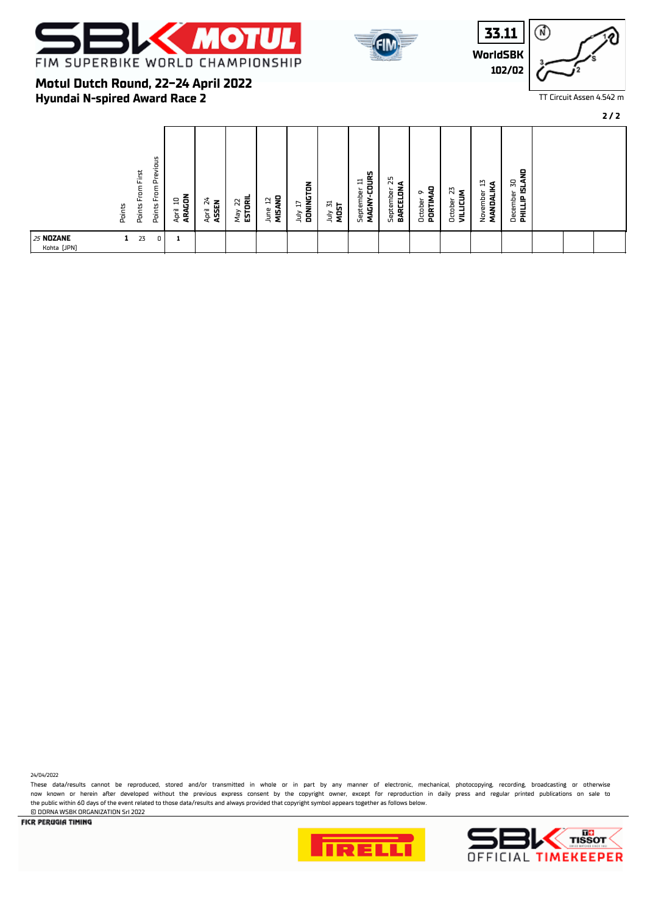



**WorldSBK 33.11 102/02**



TT Circuit Assen 4.542 m

**Hyundai N-spired Award Race 2 Motul Dutch Round, 22-24 April 2022**

| vious<br>First<br>ω<br>՟<br>From<br>틍<br>՟<br>Points<br>Points<br>Pain | ARAGON<br>믘<br>April | $\frac{1}{2}$<br>April 24<br>ASSEN | $May$ 22<br><b>ESTORIL</b> | MISAND<br>ά<br>June | DONINGTON<br>Þ<br>ληr | July 31<br>MOST | MAGNY-COURS<br>$\Box$<br>September | 55<br>⋖<br>BARCELON<br>September | å<br>∾<br>PORTIM<br>October | N<br>Σ<br>лгтсл<br>October | IJ<br>s<br>ember<br>믖<br>Š<br>ş | 뭏<br>50<br>희<br>December<br>el<br>E |  |  |
|------------------------------------------------------------------------|----------------------|------------------------------------|----------------------------|---------------------|-----------------------|-----------------|------------------------------------|----------------------------------|-----------------------------|----------------------------|---------------------------------|-------------------------------------|--|--|
| <b>25 NOZANE</b><br>1<br>23<br>0<br>Kohta [JPN]                        | 1                    |                                    |                            |                     |                       |                 |                                    |                                  |                             |                            |                                 |                                     |  |  |

24/04/2022

These data/results cannot be reproduced, stored and/or transmitted in whole or in part by any manner of electronic, mechanical, photocopying, recording, broadcasting or otherwise now known or herein afer developed without the previous express consent by the copyright owner, except for reproduction in daily press and regular printed publications on sale to the public within 60 days of the event related to those data/results and always provided that copyright symbol appears together as follows below. © DORNA WSBK ORGANIZATION Srl 2022



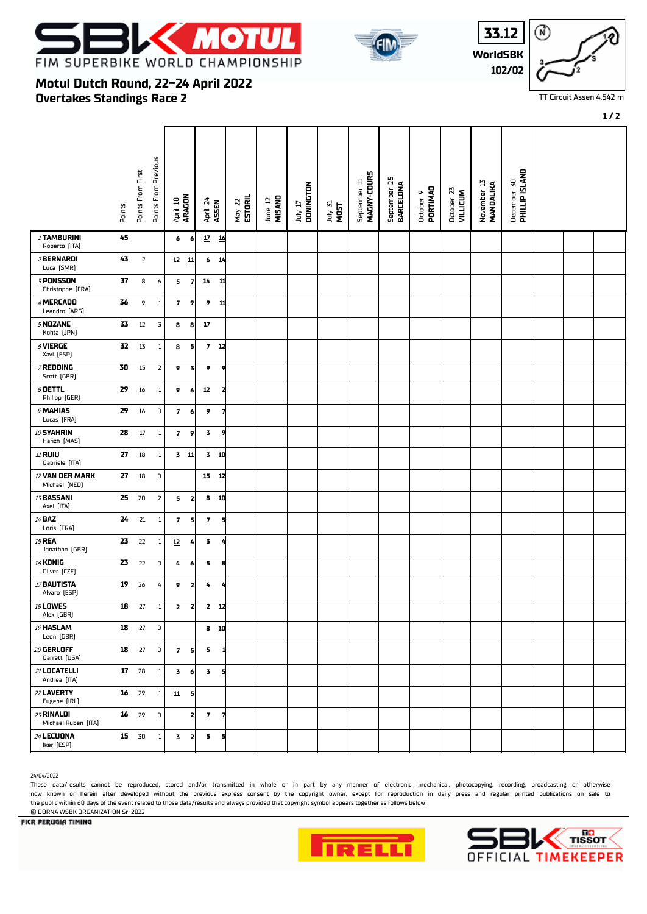

**Motul Dutch Round, 22-24 April 2022**

**Overtakes Standings Race 2**







TT Circuit Assen 4.542 m

#### **1 / 2**

#### Points From Previous Points From Previous December 30<br>**PHILLIP ISLAND** Points From First September 11<br>MAGNY-COURS Points From First  **PHILLIP ISLAND MAGNY-COURS BARCELONA** September 25 September 11 November 13  **MANDALIKA** July 17  **DONINGTON** October 9  **PORTIMAO** October 23  **VILLICUM** April 10  **ARAGON** May 22  **ESTORIL** June 12  **MISANO** April 24  **ASSEN** Points July 31 **MOST** <sup>1</sup> **TAMBURINI 45 6 6 17 16** Roberto (ITA) <sup>2</sup> **BERNARDI 43** 2 **12 11 6 14** Luca (SMR) <sup>3</sup> **PONSSON 37** 8 6 **5 7 14 11** Christophe (FRA) <sup>4</sup> **MERCADO 36** 9 1 **7 9 9 11** Leandro (ARG) <sup>5</sup> **NOZANE 33** 12 3 **8 8 17** Kohta (JPN) <sup>6</sup> **VIERGE 32** 13 1 **8 5 7 12** Xavi (ESP) <sup>7</sup> **REDDING 30** 15 2 **9 3 9 9** Scott (GBR) <sup>8</sup> **OETTL 29** 16 1 **9 6 12 2** Philipp (GER) <sup>9</sup> **MAHIAS 29** 16 0 **7 6 9 7** Lucas (FRA) <sup>10</sup> **SYAHRIN 28** 17 1 **7 9 3 9** Hafzh (MAS) <sup>11</sup> **RUIU 27** 18 1 **3 11 3 10** Gabriele (ITA) <sup>12</sup> **VAN DER MARK 27** 18 0 **15 12** Michael (NED) <sup>13</sup> **BASSANI 25** 20 2 **5 2 8 10** Axel (ITA) <sup>14</sup> **BAZ 24** 21 1 **7 5 7 5** Loris (FRA) <sup>15</sup> **REA 23** 22 1 **12 4 3 4** Jonathan (GBR) <sup>16</sup> **KONIG 23** 22 0 **4 6 5 8** Oliver (CZE) <sup>17</sup> **BAUTISTA 19** 26 4 **9 2 4 4** Alvaro (ESP) <sup>18</sup> **LOWES 18** 27 1 **2 2 2 12** Alex (GBR) <sup>19</sup> **HASLAM 18** 27 0 **8 10** Leon (GBR) <sup>20</sup> **GERLOFF 18** 27 0 **7 5 5 1** Garrett (USA) <sup>21</sup> **LOCATELLI 17** 28 1 **3 6 3 5** Andrea (ITA) <sup>22</sup> **LAVERTY 16** 29 1 **11 5** Eugene (IRL) <sup>23</sup> **RINALDI 16** 29 0 **2 7 7** Michael Ruben (ITA) <sup>24</sup> **LECUONA 15** 30 1 **3 2 5 5** Iker (ESP)

24/04/2022

These data/results cannot be reproduced, stored and/or transmitted in whole or in part by any manner of electronic, mechanical, photocopying, recording, broadcasting or otherwise now known or herein afer developed without the previous express consent by the copyright owner, except for reproduction in daily press and regular printed publications on sale to the public within 60 days of the event related to those data/results and always provided that copyright symbol appears together as follows below.

DE I I

#### **FICR PERUGIA TIMING**

© DORNA WSBK ORGANIZATION Srl 2022



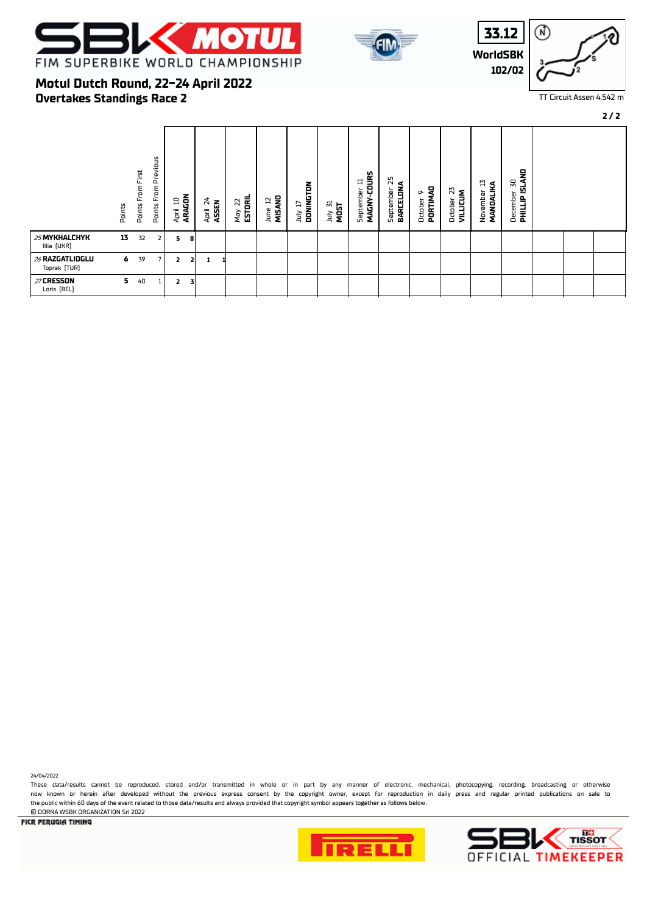







# **Overtakes Standings Race 2 Motul Dutch Round, 22-24 April 2022**

|                                 | Points | From First<br>Points | Previous<br>$\mathsf{From}$<br>Points | 믘<br>April     | ARAGON | 24<br><b>ASSEN</b><br>April | May 22<br><b>ESTORIL</b> | MISAND<br>₽<br>June | July 17<br><b>DONINGTON</b> | July 31<br>MOST | MAGNY-COURS<br>ᄇ<br>September | September 25<br>BARCELONA | PORTIMAD<br>๛<br>October | N<br><b>VILLICUM</b><br>October | 끱<br>MANDALIKA<br>Novembe | <b>DHILLIP ISLAND</b><br>50<br>December |  |  |
|---------------------------------|--------|----------------------|---------------------------------------|----------------|--------|-----------------------------|--------------------------|---------------------|-----------------------------|-----------------|-------------------------------|---------------------------|--------------------------|---------------------------------|---------------------------|-----------------------------------------|--|--|
| 25 MYKHALCHYK<br>Illia [UKR]    | 13     | 32                   | 2                                     | 5              | 8      |                             |                          |                     |                             |                 |                               |                           |                          |                                 |                           |                                         |  |  |
| 26 RAZGATLIOGLU<br>Toprak (TUR) | 6      | 39                   | $\overline{\phantom{a}}$              | $\overline{2}$ |        | 1                           |                          |                     |                             |                 |                               |                           |                          |                                 |                           |                                         |  |  |
| 27 CRESSON<br>Loris [BEL]       | 5.     | 40                   | Τ.                                    | 2              | 3      |                             |                          |                     |                             |                 |                               |                           |                          |                                 |                           |                                         |  |  |

24/04/2022

These data/results cannot be reproduced, stored and/or transmitted in whole or in part by any manner of electronic, mechanical, photocopying, recording, broadcasting or otherwise now known or herein afer developed without the previous express consent by the copyright owner, except for reproduction in daily press and regular printed publications on sale to the public within 60 days of the event related to those data/results and always provided that copyright symbol appears together as follows below. © DORNA WSBK ORGANIZATION Srl 2022